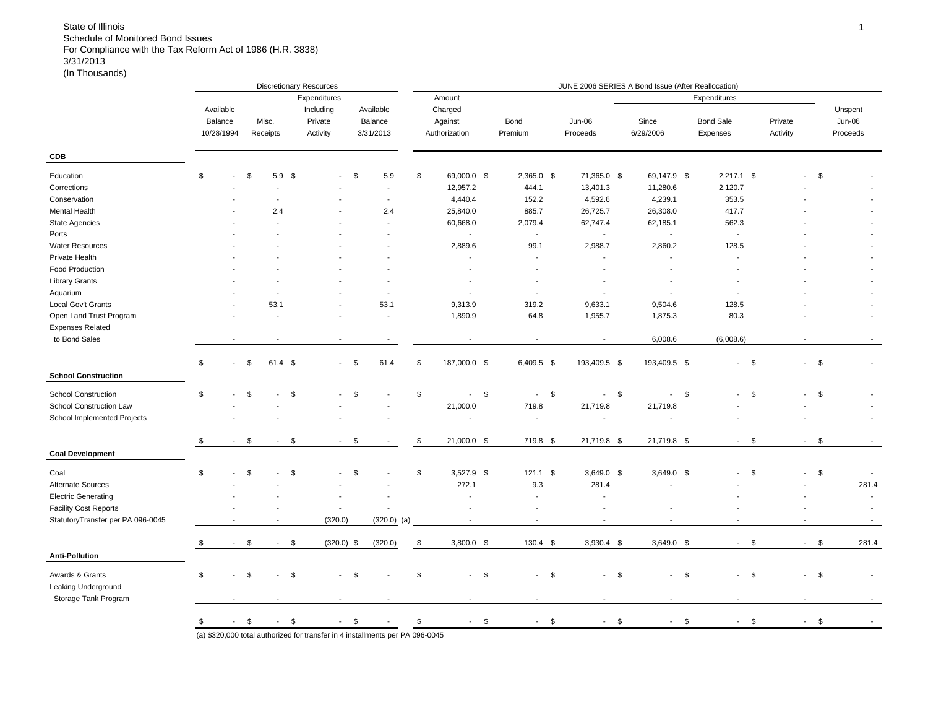|                                   |                |                           |                          | <b>Discretionary Resources</b> |                          |                          |                            |                          | JUNE 2006 SERIES A Bond Issue (After Reallocation) |                                          |                                |                          |        |          |
|-----------------------------------|----------------|---------------------------|--------------------------|--------------------------------|--------------------------|--------------------------|----------------------------|--------------------------|----------------------------------------------------|------------------------------------------|--------------------------------|--------------------------|--------|----------|
|                                   |                |                           |                          | Expenditures                   |                          |                          | Amount                     |                          |                                                    |                                          | Expenditures                   |                          |        |          |
|                                   | Available      |                           |                          | Including                      |                          | Available                | Charged                    |                          |                                                    |                                          |                                |                          |        | Unspent  |
|                                   | Balance        | Misc.                     |                          | Private                        |                          | Balance                  | Against                    | Bond                     | Jun-06                                             | Since                                    | <b>Bond Sale</b>               | Private                  |        | Jun-06   |
|                                   | 10/28/1994     | Receipts                  |                          | Activity                       |                          | 3/31/2013                | Authorization              | Premium                  | Proceeds                                           | 6/29/2006                                | Expenses                       | Activity                 |        | Proceeds |
| <b>CDB</b>                        |                |                           |                          |                                |                          |                          |                            |                          |                                                    |                                          |                                |                          |        |          |
|                                   | \$             |                           |                          |                                |                          |                          |                            |                          |                                                    |                                          |                                |                          |        |          |
| Education                         |                | \$                        | 5.9                      | - \$                           |                          | \$<br>5.9                | \$<br>69,000.0 \$          | 2,365.0 \$               | 71,365.0 \$                                        | 69,147.9 \$                              | $2,217.1$ \$                   |                          | \$     |          |
| Corrections                       |                |                           |                          |                                |                          | $\overline{\phantom{a}}$ | 12,957.2                   | 444.1                    | 13,401.3                                           | 11,280.6                                 | 2,120.7                        |                          |        |          |
| Conservation                      |                |                           |                          |                                |                          | $\overline{\phantom{a}}$ | 4,440.4                    | 152.2                    | 4,592.6                                            | 4,239.1                                  | 353.5                          |                          |        |          |
| <b>Mental Health</b>              |                |                           | 2.4                      |                                |                          | 2.4                      | 25,840.0                   | 885.7                    | 26,725.7                                           | 26,308.0                                 | 417.7                          |                          |        |          |
| <b>State Agencies</b>             |                |                           |                          |                                |                          | $\sim$                   | 60,668.0                   | 2,079.4                  | 62,747.4                                           | 62,185.1                                 | 562.3                          |                          |        |          |
| Ports                             |                |                           |                          |                                |                          |                          | $\sim$                     | J.                       | $\overline{\phantom{a}}$                           | $\overline{\phantom{a}}$                 | $\blacksquare$                 |                          |        |          |
| <b>Water Resources</b>            |                |                           |                          |                                |                          |                          | 2,889.6                    | 99.1                     | 2,988.7                                            | 2,860.2                                  | 128.5                          |                          |        |          |
| Private Health                    |                |                           |                          |                                |                          |                          | ÷,                         |                          | Ĭ.                                                 | $\overline{\phantom{a}}$                 | $\overline{\phantom{a}}$       |                          |        |          |
| Food Production                   |                |                           |                          |                                |                          |                          | $\overline{\phantom{a}}$   |                          | $\overline{\phantom{a}}$                           |                                          |                                |                          |        |          |
| <b>Library Grants</b>             |                |                           |                          |                                |                          |                          |                            |                          |                                                    |                                          |                                |                          |        |          |
| Aquarium                          |                |                           |                          |                                |                          | $\overline{\phantom{a}}$ |                            | $\overline{\phantom{a}}$ |                                                    |                                          |                                |                          |        |          |
| Local Gov't Grants                |                |                           | 53.1                     |                                |                          | 53.1                     | 9,313.9                    | 319.2                    | 9,633.1                                            | 9,504.6                                  | 128.5                          |                          |        |          |
| Open Land Trust Program           |                |                           |                          |                                |                          | $\overline{\phantom{a}}$ | 1,890.9                    | 64.8                     | 1,955.7                                            | 1,875.3                                  | 80.3                           |                          |        |          |
| <b>Expenses Related</b>           |                |                           |                          |                                |                          |                          |                            |                          |                                                    |                                          |                                |                          |        |          |
| to Bond Sales                     |                |                           |                          |                                |                          |                          |                            | $\overline{a}$           | $\blacksquare$                                     | 6,008.6                                  | (6,008.6)                      |                          |        |          |
|                                   | $\blacksquare$ | \$                        | $61.4$ \$                |                                | $\blacksquare$           | \$<br>61.4               | \$<br>187,000.0 \$         | 6,409.5 \$               | 193,409.5 \$                                       | 193,409.5 \$                             | \$<br>$\overline{\phantom{a}}$ | $\sim$                   | \$     |          |
| <b>School Construction</b>        |                |                           |                          |                                |                          |                          |                            |                          |                                                    |                                          |                                |                          |        |          |
| <b>School Construction</b>        | \$             | \$                        |                          | \$                             |                          | \$                       | \$<br>\$<br>$\blacksquare$ | \$<br>$\blacksquare$     | $\sqrt{3}$<br>$\overline{\phantom{a}}$             | $\mathsf{S}$<br>$\overline{\phantom{a}}$ | \$<br>$\blacksquare$           | $\overline{\phantom{a}}$ | \$     |          |
| School Construction Law           |                |                           |                          |                                |                          |                          |                            |                          |                                                    |                                          |                                |                          |        |          |
|                                   |                |                           |                          |                                |                          |                          | 21,000.0                   | 719.8                    | 21,719.8                                           | 21,719.8                                 |                                |                          |        |          |
| School Implemented Projects       |                |                           |                          |                                |                          |                          | ÷,                         | $\overline{\phantom{a}}$ | $\overline{\phantom{a}}$                           | $\blacksquare$                           |                                |                          |        |          |
|                                   | \$             | \$                        |                          | \$                             |                          | \$                       | \$<br>21,000.0 \$          | 719.8 \$                 | 21,719.8 \$                                        | 21,719.8 \$                              | \$<br>$\sim$                   | $\overline{a}$           | \$     |          |
| <b>Coal Development</b>           |                |                           |                          |                                |                          |                          |                            |                          |                                                    |                                          |                                |                          |        |          |
| Coal                              | \$             | \$                        |                          | \$                             |                          | \$                       | \$<br>$3,527.9$ \$         | $121.1$ \$               | $3,649.0$ \$                                       | $3,649.0$ \$                             | \$                             |                          | \$     |          |
| Alternate Sources                 |                |                           |                          |                                |                          |                          | 272.1                      | 9.3                      | 281.4                                              | $\overline{\phantom{a}}$                 |                                |                          |        | 281.4    |
| <b>Electric Generating</b>        |                |                           |                          |                                |                          | Ĭ.                       | $\overline{\phantom{a}}$   | $\overline{\phantom{a}}$ | $\overline{\phantom{a}}$                           |                                          |                                |                          |        | $\sim$   |
| <b>Facility Cost Reports</b>      |                |                           |                          |                                | ÷,                       |                          |                            |                          | Ĭ.                                                 |                                          |                                |                          |        |          |
| StatutoryTransfer per PA 096-0045 |                |                           | $\overline{\phantom{a}}$ |                                | (320.0)                  | $(320.0)$ (a)            | $\sim$                     | $\blacksquare$           | $\overline{\phantom{a}}$                           | $\blacksquare$                           | $\sim$                         | $\overline{\phantom{a}}$ |        | $\sim$   |
|                                   |                |                           |                          |                                |                          |                          |                            |                          |                                                    |                                          |                                |                          |        |          |
|                                   |                | \$                        |                          | \$                             | $(320.0)$ \$             | (320.0)                  | \$<br>$3,800.0$ \$         | $130.4$ \$               | $3,930.4$ \$                                       | $3,649.0$ \$                             | \$<br>$\mathbf{r}$             | $\sim$                   | \$     | 281.4    |
| <b>Anti-Pollution</b>             |                |                           |                          |                                |                          |                          |                            |                          |                                                    |                                          |                                |                          |        |          |
| Awards & Grants                   | \$             | \$                        |                          | \$                             |                          | \$                       | \$<br>$-5$                 | $-5$                     | $-5$                                               | $-5$                                     | $-5$                           |                          | $-$ \$ |          |
| Leaking Underground               |                |                           |                          |                                |                          |                          |                            |                          |                                                    |                                          |                                |                          |        |          |
| Storage Tank Program              |                |                           |                          |                                | $\overline{\phantom{a}}$ |                          | $\overline{a}$             | $\overline{a}$           | $\overline{a}$                                     | $\overline{a}$                           | $\overline{\phantom{a}}$       |                          |        |          |
|                                   |                |                           |                          |                                |                          |                          |                            |                          |                                                    |                                          |                                |                          |        |          |
|                                   |                | $\frac{1}{2}$ 5 - \$ - \$ |                          |                                | $-$ \$                   | $\sim$ $-$               | \$<br>$-$ \$               | $-$ \$                   | $-5$                                               | $-5$                                     | $-$ \$                         |                          | $-$ \$ |          |
|                                   |                |                           |                          |                                |                          |                          |                            |                          |                                                    |                                          |                                |                          |        |          |

(a) \$320,000 total authorized for transfer in 4 installments per PA 096-0045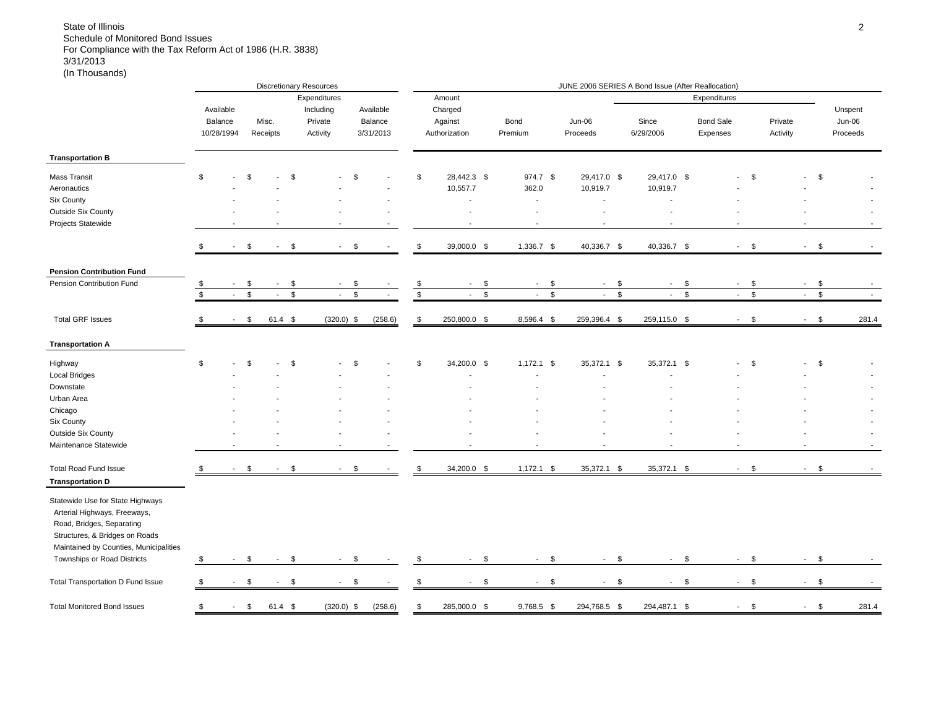|                                                                                                                                                                           |               |                |               |           |               | <b>Discretionary Resources</b> |               |                |            |               |                |                          |               | JUNE 2006 SERIES A Bond Issue (After Reallocation) |                |                |                             |                |                          |              |          |
|---------------------------------------------------------------------------------------------------------------------------------------------------------------------------|---------------|----------------|---------------|-----------|---------------|--------------------------------|---------------|----------------|------------|---------------|----------------|--------------------------|---------------|----------------------------------------------------|----------------|----------------|-----------------------------|----------------|--------------------------|--------------|----------|
|                                                                                                                                                                           |               |                |               |           |               | Expenditures                   |               |                |            | Amount        |                |                          |               |                                                    |                |                | Expenditures                |                |                          |              |          |
|                                                                                                                                                                           |               | Available      |               |           |               | Including                      |               | Available      |            | Charged       |                |                          |               |                                                    |                |                |                             |                |                          |              | Unspent  |
|                                                                                                                                                                           |               | Balance        |               | Misc.     |               | Private                        |               | Balance        |            | Against       |                | Bond                     |               | Jun-06                                             | Since          |                | <b>Bond Sale</b>            |                | Private                  |              | Jun-06   |
|                                                                                                                                                                           |               | 10/28/1994     |               | Receipts  |               | Activity                       |               | 3/31/2013      |            | Authorization |                | Premium                  |               | Proceeds                                           | 6/29/2006      |                | Expenses                    |                | Activity                 |              | Proceeds |
| <b>Transportation B</b>                                                                                                                                                   |               |                |               |           |               |                                |               |                |            |               |                |                          |               |                                                    |                |                |                             |                |                          |              |          |
| Mass Transit                                                                                                                                                              | $\mathfrak s$ |                | \$            |           | \$            |                                | \$            |                | \$         | 28,442.3 \$   |                | 974.7 \$                 |               | 29,417.0 \$                                        |                |                |                             | \$             |                          | \$           |          |
|                                                                                                                                                                           |               |                |               |           |               |                                |               |                |            |               |                |                          |               |                                                    | 29,417.0 \$    |                |                             |                |                          |              |          |
| Aeronautics                                                                                                                                                               |               |                |               |           |               |                                |               |                |            | 10,557.7      |                | 362.0                    |               | 10,919.7                                           | 10,919.7       |                |                             |                |                          |              |          |
| Six County                                                                                                                                                                |               |                |               |           |               |                                |               |                |            | $\sim$        |                | $\sim$                   |               | $\sim$                                             |                |                |                             |                |                          |              |          |
| <b>Outside Six County</b>                                                                                                                                                 |               |                |               |           |               |                                |               |                |            | ÷.            |                | $\overline{a}$           |               |                                                    |                |                |                             |                |                          |              |          |
| Projects Statewide                                                                                                                                                        |               |                |               |           |               |                                |               | $\blacksquare$ |            |               |                | $\blacksquare$           |               | $\overline{\phantom{a}}$                           |                |                | $\overline{\phantom{a}}$    |                |                          |              |          |
|                                                                                                                                                                           |               |                | \$            |           | \$            | $\sim$                         | \$            |                | \$         | 39,000.0 \$   |                | 1,336.7 \$               |               | 40,336.7 \$                                        | 40,336.7 \$    |                | $\sim$                      | \$             | $\sim$                   | \$           |          |
| <b>Pension Contribution Fund</b>                                                                                                                                          |               |                |               |           |               |                                |               |                |            |               |                |                          |               |                                                    |                |                |                             |                |                          |              |          |
| Pension Contribution Fund                                                                                                                                                 | \$            |                | \$            |           | \$            |                                | \$            |                | \$         | $\sim$        | \$             | $\sim$                   | \$            | $\sim$                                             | \$<br>$\sim$   | - \$           | $\sim$                      | \$             | $\sim$                   | \$           |          |
|                                                                                                                                                                           | $\mathfrak s$ | $\sim$         | $\mathfrak s$ | $\sim$    | $\mathfrak s$ | $\sim$                         | $\mathfrak s$ | $\mathbf{r}$   | $\sqrt{2}$ | $\sim$        | $$\mathbb{S}$$ | $\sim$                   | $\mathfrak s$ | $-$ \$                                             | $\sim 10^{-1}$ | $$\mathbb{S}$$ | $\mathcal{L}_{\mathcal{A}}$ | $$\mathbb{S}$$ | $\sim$                   | $\sqrt{ }$   |          |
|                                                                                                                                                                           |               |                |               |           |               |                                |               |                |            |               |                |                          |               |                                                    |                |                |                             |                |                          |              |          |
| <b>Total GRF Issues</b>                                                                                                                                                   | \$            | $\sim$         | \$            | $61.4$ \$ |               | $(320.0)$ \$                   |               | (258.6)        | \$         | 250,800.0 \$  |                | 8,596.4 \$               |               | 259,396.4 \$                                       | 259,115.0 \$   |                |                             | $-$ \$         |                          | $-$ \$       | 281.4    |
| <b>Transportation A</b>                                                                                                                                                   |               |                |               |           |               |                                |               |                |            |               |                |                          |               |                                                    |                |                |                             |                |                          |              |          |
| Highway                                                                                                                                                                   | \$            |                | \$            |           | \$            |                                | \$            |                | \$         | 34,200.0 \$   |                | $1,172.1$ \$             |               | 35,372.1 \$                                        | 35,372.1 \$    |                |                             | \$             |                          | \$           |          |
| <b>Local Bridges</b>                                                                                                                                                      |               |                |               |           |               |                                |               |                |            |               |                |                          |               |                                                    |                |                |                             |                |                          |              |          |
| Downstate                                                                                                                                                                 |               |                |               |           |               |                                |               |                |            |               |                |                          |               |                                                    |                |                |                             |                |                          |              |          |
| Urban Area                                                                                                                                                                |               |                |               |           |               |                                |               |                |            |               |                |                          |               |                                                    |                |                |                             |                |                          |              |          |
| Chicago                                                                                                                                                                   |               |                |               |           |               |                                |               |                |            |               |                |                          |               |                                                    |                |                |                             |                |                          |              |          |
| Six County                                                                                                                                                                |               |                |               |           |               |                                |               |                |            |               |                |                          |               |                                                    |                |                |                             |                |                          |              |          |
| Outside Six County                                                                                                                                                        |               |                |               |           |               |                                |               |                |            |               |                |                          |               |                                                    |                |                |                             |                |                          |              |          |
| Maintenance Statewide                                                                                                                                                     |               |                |               |           |               |                                |               |                |            |               |                |                          |               |                                                    |                |                |                             |                |                          |              |          |
| <b>Total Road Fund Issue</b>                                                                                                                                              |               |                | \$            |           | \$            |                                | \$            |                | \$         | 34,200.0 \$   |                | $1,172.1$ \$             |               | 35,372.1 \$                                        | 35,372.1 \$    |                | $\mathbf{r}$                | \$             | $\sim$                   | \$           |          |
| <b>Transportation D</b>                                                                                                                                                   |               |                |               |           |               |                                |               |                |            |               |                |                          |               |                                                    |                |                |                             |                |                          |              |          |
| Statewide Use for State Highways<br>Arterial Highways, Freeways,<br>Road, Bridges, Separating<br>Structures, & Bridges on Roads<br>Maintained by Counties, Municipalities |               |                |               |           |               |                                |               |                |            |               |                |                          |               |                                                    |                |                |                             |                |                          |              |          |
| Townships or Road Districts                                                                                                                                               | \$            |                | \$            |           | \$            |                                | \$            |                | - \$       |               | \$             | $\overline{\phantom{a}}$ | \$            |                                                    | \$             | \$             |                             | \$             | $\overline{\phantom{a}}$ | - \$         |          |
|                                                                                                                                                                           |               |                |               |           |               |                                |               |                |            |               |                |                          |               |                                                    |                |                |                             |                |                          |              |          |
| Total Transportation D Fund Issue                                                                                                                                         | \$            | $\blacksquare$ | \$            |           | $-$ \$        | $\blacksquare$                 | \$            |                | \$         | $-$ \$        |                | $\sim$                   | $\sqrt{3}$    | $-$ \$                                             | $\sim$         | $\mathfrak s$  | $\blacksquare$              | $\sqrt{3}$     | $\sim$                   | $\sqrt{3}$   |          |
| <b>Total Monitored Bond Issues</b>                                                                                                                                        | \$            |                | $-$ \$        | 61.4 \$   |               | $(320.0)$ \$                   |               | (258.6)        | \$         | 285,000.0 \$  |                | 9,768.5 \$               |               | 294,768.5 \$                                       | 294,487.1 \$   |                | $\sim$                      | $\mathbb{S}$   | $\sim$                   | $\mathbb{S}$ | 281.4    |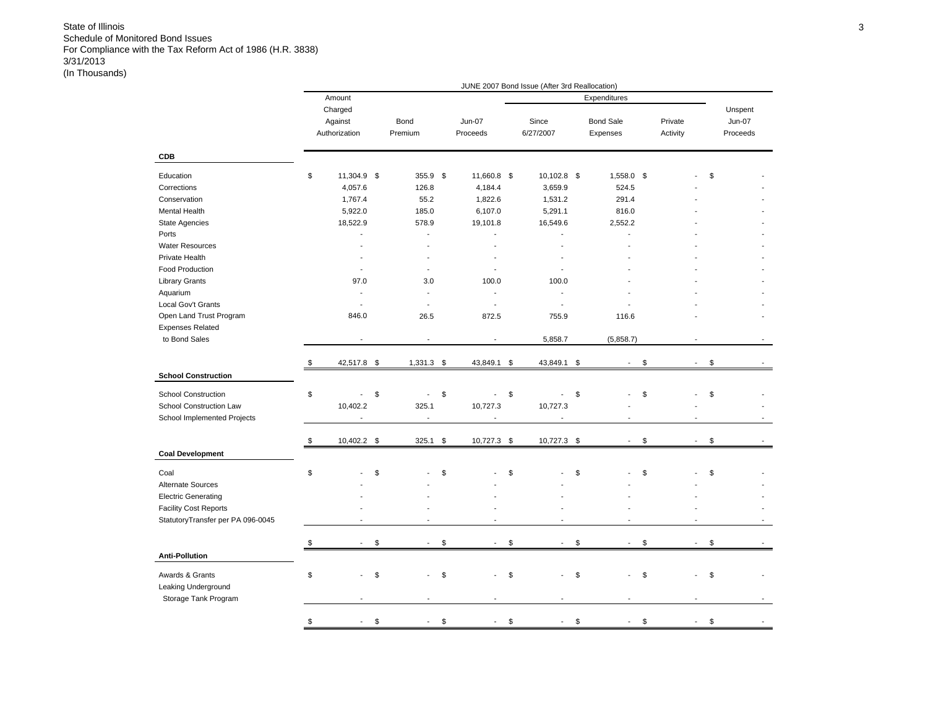|                                   |                     |                                |                          | JUNE 2007 Bond Issue (After 3rd Reallocation) |      |                          |                      |                          |               |
|-----------------------------------|---------------------|--------------------------------|--------------------------|-----------------------------------------------|------|--------------------------|----------------------|--------------------------|---------------|
|                                   | Amount              |                                |                          |                                               |      | Expenditures             |                      |                          |               |
|                                   | Charged             |                                |                          |                                               |      |                          |                      |                          | Unspent       |
|                                   | Against             | Bond                           | Jun-07                   | Since                                         |      | <b>Bond Sale</b>         | Private              |                          | <b>Jun-07</b> |
|                                   | Authorization       | Premium                        | Proceeds                 | 6/27/2007                                     |      | Expenses                 | Activity             |                          | Proceeds      |
|                                   |                     |                                |                          |                                               |      |                          |                      |                          |               |
| <b>CDB</b>                        |                     |                                |                          |                                               |      |                          |                      |                          |               |
| Education                         | \$<br>11,304.9 \$   | 355.9 \$                       | 11,660.8 \$              | 10,102.8                                      | - \$ | 1,558.0                  | \$                   |                          | \$            |
| Corrections                       | 4,057.6             | 126.8                          | 4,184.4                  | 3,659.9                                       |      | 524.5                    |                      |                          |               |
| Conservation                      | 1,767.4             | 55.2                           | 1,822.6                  | 1,531.2                                       |      | 291.4                    |                      |                          |               |
| Mental Health                     | 5,922.0             | 185.0                          | 6,107.0                  | 5,291.1                                       |      | 816.0                    |                      |                          |               |
|                                   |                     |                                |                          |                                               |      |                          |                      |                          |               |
| State Agencies                    | 18,522.9            | 578.9                          | 19,101.8                 | 16,549.6                                      |      | 2,552.2                  |                      |                          |               |
| Ports                             |                     |                                |                          | ÷                                             |      |                          |                      |                          |               |
| <b>Water Resources</b>            |                     |                                |                          |                                               |      |                          |                      |                          |               |
| Private Health                    |                     |                                |                          |                                               |      |                          |                      |                          |               |
| <b>Food Production</b>            | Ĭ.                  | $\blacksquare$                 |                          |                                               |      |                          |                      |                          |               |
| <b>Library Grants</b>             | 97.0                | 3.0                            | 100.0                    | 100.0                                         |      |                          |                      |                          |               |
| Aquarium                          | ٠                   | $\overline{\phantom{a}}$       | $\overline{\phantom{a}}$ | $\overline{a}$                                |      |                          |                      |                          |               |
| Local Gov't Grants                |                     |                                | Ĭ.                       | ٠                                             |      |                          |                      |                          |               |
| Open Land Trust Program           | 846.0               | 26.5                           | 872.5                    | 755.9                                         |      | 116.6                    |                      |                          |               |
| <b>Expenses Related</b>           |                     |                                |                          |                                               |      |                          |                      |                          |               |
| to Bond Sales                     |                     |                                |                          | 5,858.7                                       |      | (5,858.7)                |                      |                          |               |
|                                   |                     |                                |                          |                                               |      |                          |                      |                          |               |
|                                   | \$<br>42,517.8 \$   | $1,331.3$ \$                   | 43,849.1 \$              | 43,849.1 \$                                   |      | $\blacksquare$           | \$<br>$\blacksquare$ |                          | \$            |
| <b>School Construction</b>        |                     |                                |                          |                                               |      |                          |                      |                          |               |
| <b>School Construction</b>        | \$<br>ä,            | \$<br>$\sim$                   | \$<br>$\overline{a}$     | \$<br>$\overline{a}$                          | \$   |                          | \$                   |                          | \$            |
|                                   |                     |                                |                          |                                               |      |                          |                      |                          |               |
| School Construction Law           | 10,402.2            | 325.1                          | 10,727.3                 | 10,727.3                                      |      |                          |                      |                          |               |
| School Implemented Projects       |                     | $\overline{\phantom{a}}$       | $\overline{a}$           | ٠                                             |      |                          |                      |                          |               |
|                                   | \$<br>10,402.2 \$   | 325.1                          | \$<br>10,727.3 \$        | 10,727.3 \$                                   |      |                          | \$<br>$\blacksquare$ |                          | \$            |
| <b>Coal Development</b>           |                     |                                |                          |                                               |      |                          |                      |                          |               |
|                                   | \$                  |                                |                          | \$                                            |      |                          |                      |                          |               |
| Coal                              |                     | \$                             | \$                       |                                               | \$   |                          | \$                   |                          | \$            |
| Alternate Sources                 |                     |                                |                          |                                               |      |                          |                      |                          |               |
| <b>Electric Generating</b>        |                     |                                |                          |                                               |      |                          |                      |                          |               |
| <b>Facility Cost Reports</b>      |                     |                                |                          |                                               |      |                          |                      |                          |               |
| StatutoryTransfer per PA 096-0045 |                     |                                |                          |                                               |      |                          |                      |                          |               |
|                                   |                     |                                |                          |                                               |      |                          |                      |                          |               |
|                                   | \$<br>$\frac{1}{2}$ | \$<br>$\overline{\phantom{a}}$ | \$<br>$\blacksquare$     | \$<br>$\blacksquare$                          | \$   | $\overline{\phantom{a}}$ | \$                   | $\overline{\phantom{a}}$ | \$            |
| <b>Anti-Pollution</b>             |                     |                                |                          |                                               |      |                          |                      |                          |               |
| Awards & Grants                   | \$                  | \$                             | \$                       | \$                                            | \$   |                          | \$                   |                          | \$            |
| Leaking Underground               |                     |                                |                          |                                               |      |                          |                      |                          |               |
| Storage Tank Program              |                     |                                |                          |                                               |      |                          |                      |                          |               |
|                                   |                     |                                |                          |                                               |      |                          |                      |                          |               |
|                                   | \$                  | \$                             | \$                       | \$                                            | \$   |                          | \$                   |                          | \$            |
|                                   |                     |                                |                          |                                               |      |                          |                      |                          |               |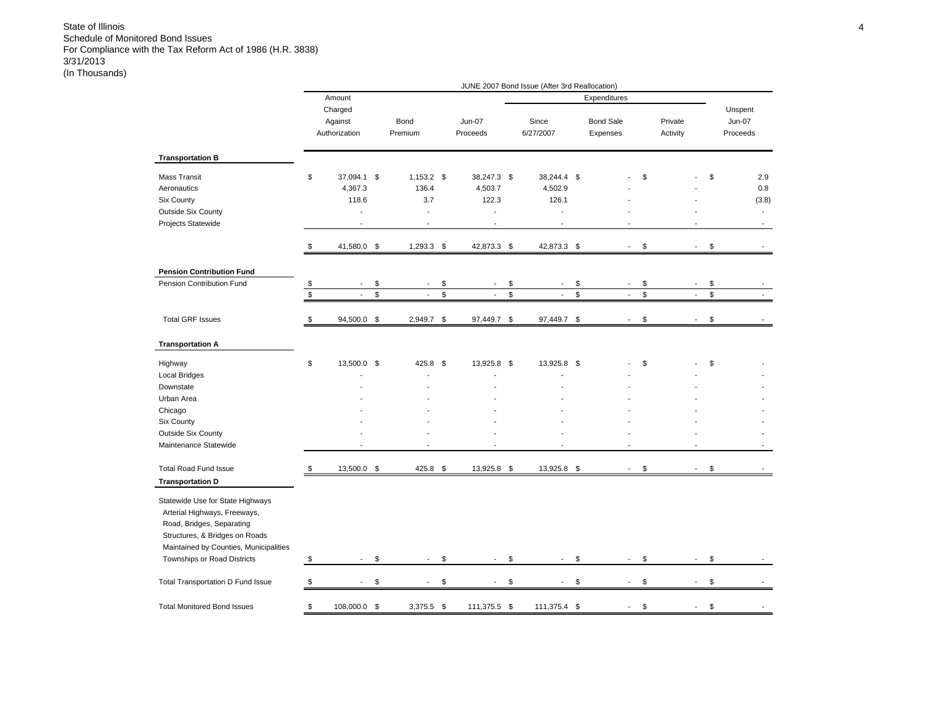|                                                                  |      |                          |                                 |                      | JUNE 2007 Bond Issue (After 3rd Reallocation) |                                |      |          |                          |                          |
|------------------------------------------------------------------|------|--------------------------|---------------------------------|----------------------|-----------------------------------------------|--------------------------------|------|----------|--------------------------|--------------------------|
|                                                                  |      | Amount                   |                                 |                      |                                               | Expenditures                   |      |          |                          |                          |
|                                                                  |      | Charged<br>Against       | Bond                            | <b>Jun-07</b>        | Since                                         | <b>Bond Sale</b>               |      | Private  |                          | Unspent<br><b>Jun-07</b> |
|                                                                  |      | Authorization            | Premium                         | Proceeds             | 6/27/2007                                     | Expenses                       |      | Activity |                          | Proceeds                 |
| <b>Transportation B</b>                                          |      |                          |                                 |                      |                                               |                                |      |          |                          |                          |
| Mass Transit                                                     | \$   | 37,094.1 \$              | $1,153.2$ \$                    | 38,247.3 \$          | 38,244.4 \$                                   |                                | \$   |          |                          | \$<br>2.9                |
| Aeronautics                                                      |      | 4,367.3                  | 136.4                           | 4,503.7              | 4,502.9                                       |                                |      |          |                          | 0.8                      |
| <b>Six County</b>                                                |      | 118.6                    | 3.7                             | 122.3                | 126.1                                         |                                |      |          |                          | (3.8)                    |
| <b>Outside Six County</b>                                        |      | ÷.                       | $\blacksquare$                  | L.                   | $\overline{a}$                                |                                |      |          |                          | $\overline{\phantom{a}}$ |
| Projects Statewide                                               |      | ä,                       | $\blacksquare$                  | Ĭ.                   | Ĭ.                                            |                                |      |          |                          |                          |
|                                                                  | \$   | 41,580.0 \$              | $1,293.3$ \$                    | 42,873.3 \$          | 42,873.3 \$                                   | $\overline{\phantom{a}}$       | \$   |          | $\blacksquare$           | \$                       |
| <b>Pension Contribution Fund</b>                                 |      |                          |                                 |                      |                                               |                                |      |          |                          |                          |
| Pension Contribution Fund                                        | \$   | $\overline{\phantom{a}}$ | \$<br>$\overline{\phantom{a}}$  | \$<br>$\blacksquare$ | \$<br>$\blacksquare$                          | \$<br>$\overline{\phantom{a}}$ | \$   |          | $\overline{\phantom{a}}$ | \$                       |
|                                                                  | $\,$ | $\overline{a}$           | \$<br>$\mathbb{Z}^{\mathbb{Z}}$ | \$<br>$\overline{a}$ | \$<br>$\mathcal{L}$                           | \$<br>$\blacksquare$           | $\,$ |          | $\overline{\phantom{a}}$ | \$                       |
|                                                                  |      |                          |                                 |                      |                                               |                                |      |          |                          |                          |
| <b>Total GRF Issues</b>                                          | \$   | 94,500.0 \$              | 2,949.7 \$                      | 97,449.7 \$          | 97,449.7 \$                                   |                                | \$   |          | ÷,                       | \$                       |
| <b>Transportation A</b>                                          |      |                          |                                 |                      |                                               |                                |      |          |                          |                          |
| Highway                                                          | \$   | 13,500.0 \$              | 425.8                           | \$<br>13,925.8 \$    | 13,925.8 \$                                   |                                | \$   |          |                          | \$                       |
| <b>Local Bridges</b>                                             |      |                          |                                 |                      |                                               |                                |      |          |                          |                          |
| Downstate                                                        |      |                          |                                 |                      |                                               |                                |      |          |                          |                          |
| Urban Area                                                       |      |                          |                                 |                      |                                               |                                |      |          |                          |                          |
| Chicago                                                          |      |                          |                                 |                      |                                               |                                |      |          |                          |                          |
| <b>Six County</b>                                                |      |                          |                                 |                      |                                               |                                |      |          |                          |                          |
| Outside Six County                                               |      |                          |                                 |                      |                                               |                                |      |          |                          |                          |
| Maintenance Statewide                                            |      |                          |                                 |                      |                                               |                                |      |          |                          |                          |
| <b>Total Road Fund Issue</b>                                     | \$   | 13,500.0 \$              | 425.8 \$                        | 13,925.8 \$          | 13,925.8 \$                                   | in 1919.                       | \$   |          | $\sim$                   | \$                       |
| <b>Transportation D</b>                                          |      |                          |                                 |                      |                                               |                                |      |          |                          |                          |
| Statewide Use for State Highways<br>Arterial Highways, Freeways, |      |                          |                                 |                      |                                               |                                |      |          |                          |                          |
| Road, Bridges, Separating                                        |      |                          |                                 |                      |                                               |                                |      |          |                          |                          |
| Structures, & Bridges on Roads                                   |      |                          |                                 |                      |                                               |                                |      |          |                          |                          |
| Maintained by Counties, Municipalities                           |      |                          |                                 |                      |                                               |                                |      |          |                          |                          |
| Townships or Road Districts                                      | \$   | $\blacksquare$           | \$<br>$\overline{\phantom{a}}$  | \$<br>$\blacksquare$ | \$<br>$\overline{\phantom{a}}$                | \$<br>$\overline{\phantom{a}}$ | \$   |          | $\overline{\phantom{a}}$ | \$                       |
| Total Transportation D Fund Issue                                | \$   | $\blacksquare$           | \$<br>$\overline{\phantom{a}}$  | \$<br>$\sim$         | \$<br>$\overline{\phantom{a}}$                | \$<br>$\blacksquare$           | \$   |          | $\blacksquare$           | \$                       |
|                                                                  |      |                          |                                 |                      |                                               |                                |      |          |                          |                          |
| <b>Total Monitored Bond Issues</b>                               | \$   | 108,000.0 \$             | $3,375.5$ \$                    | 111,375.5 \$         | 111,375.4                                     | \$                             | \$   |          |                          | \$                       |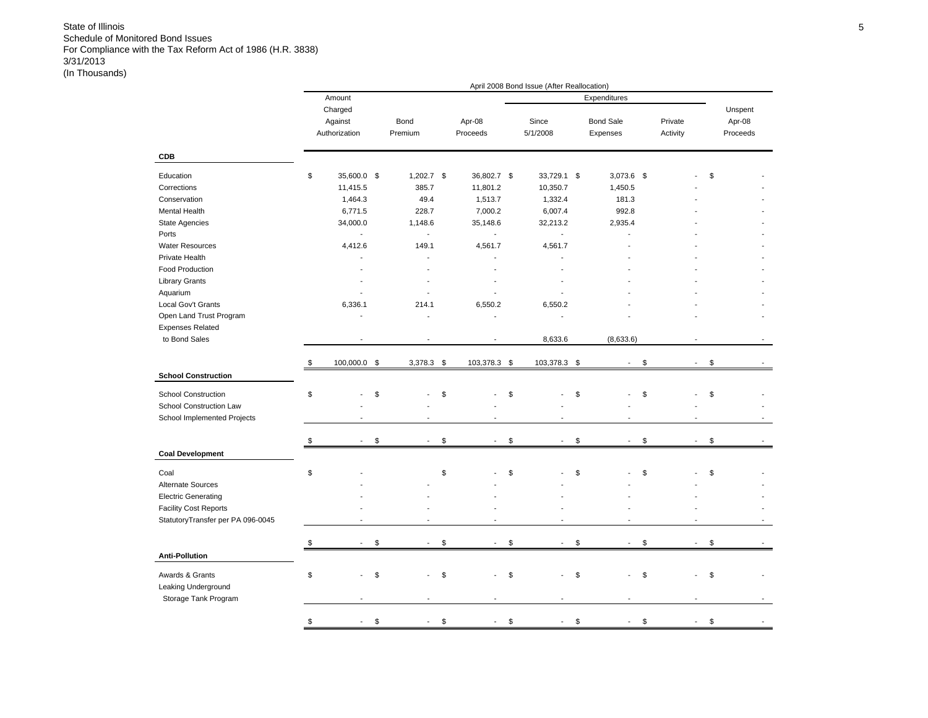|                                   |                          |              |                      | April 2008 Bond Issue (After Reallocation) |                                |                                |          |
|-----------------------------------|--------------------------|--------------|----------------------|--------------------------------------------|--------------------------------|--------------------------------|----------|
|                                   | Amount                   |              |                      |                                            | Expenditures                   |                                |          |
|                                   | Charged                  |              |                      |                                            |                                |                                | Unspent  |
|                                   | Against                  | Bond         | Apr-08               | Since                                      | <b>Bond Sale</b>               | Private                        | Apr-08   |
|                                   | Authorization            | Premium      |                      | 5/1/2008                                   |                                |                                | Proceeds |
|                                   |                          |              | Proceeds             |                                            | Expenses                       | Activity                       |          |
| CDB                               |                          |              |                      |                                            |                                |                                |          |
| Education                         | \$<br>35,600.0 \$        | $1,202.7$ \$ | 36,802.7 \$          | 33,729.1 \$                                | 3,073.6                        | \$                             | \$       |
| Corrections                       | 11,415.5                 | 385.7        | 11,801.2             | 10,350.7                                   | 1,450.5                        |                                |          |
| Conservation                      | 1,464.3                  | 49.4         | 1,513.7              | 1,332.4                                    | 181.3                          |                                |          |
|                                   |                          |              |                      | 6,007.4                                    |                                |                                |          |
| Mental Health                     | 6,771.5                  | 228.7        | 7,000.2              |                                            | 992.8                          |                                |          |
| State Agencies                    | 34,000.0                 | 1,148.6      | 35,148.6             | 32,213.2                                   | 2,935.4                        |                                |          |
| Ports                             | $\overline{\phantom{a}}$ | $\sim$       | $\mathbf{r}$         | $\overline{a}$                             |                                |                                |          |
| <b>Water Resources</b>            | 4,412.6                  | 149.1        | 4,561.7              | 4,561.7                                    |                                |                                |          |
| Private Health                    |                          |              |                      |                                            |                                |                                |          |
| Food Production                   |                          |              |                      |                                            |                                |                                |          |
| <b>Library Grants</b>             |                          |              |                      |                                            |                                |                                |          |
| Aquarium                          |                          |              |                      |                                            |                                |                                |          |
| Local Gov't Grants                | 6,336.1                  | 214.1        | 6,550.2              | 6,550.2                                    |                                |                                |          |
| Open Land Trust Program           |                          |              | L,                   |                                            |                                |                                |          |
| <b>Expenses Related</b>           |                          |              |                      |                                            |                                |                                |          |
| to Bond Sales                     |                          |              |                      | 8,633.6                                    | (8,633.6)                      |                                |          |
|                                   |                          |              |                      |                                            |                                |                                |          |
|                                   | \$<br>100,000.0 \$       | $3,378.3$ \$ | 103,378.3 \$         | 103,378.3 \$                               | $\overline{\phantom{a}}$       | \$<br>$\sim$                   | \$       |
| <b>School Construction</b>        |                          |              |                      |                                            |                                |                                |          |
| <b>School Construction</b>        | \$                       | \$           | \$                   | \$                                         | \$                             | \$                             | \$       |
| School Construction Law           |                          |              |                      |                                            |                                |                                |          |
| School Implemented Projects       |                          |              |                      |                                            |                                |                                |          |
|                                   |                          |              |                      |                                            |                                |                                |          |
|                                   | \$                       | \$           | \$<br>$\overline{a}$ | \$<br>$\blacksquare$                       | \$<br>$\blacksquare$           | \$<br>$\overline{a}$           | \$       |
| <b>Coal Development</b>           |                          |              |                      |                                            |                                |                                |          |
| Coal                              | \$                       |              | \$                   | \$                                         | \$                             | \$                             | \$       |
| Alternate Sources                 |                          |              |                      |                                            |                                |                                |          |
| <b>Electric Generating</b>        |                          |              |                      |                                            |                                |                                |          |
| <b>Facility Cost Reports</b>      |                          |              |                      |                                            |                                |                                |          |
|                                   |                          |              |                      |                                            |                                |                                |          |
| StatutoryTransfer per PA 096-0045 |                          |              |                      |                                            |                                |                                |          |
|                                   | \$                       | \$           | \$<br>$\blacksquare$ | \$<br>$\blacksquare$                       | \$<br>$\overline{\phantom{a}}$ | \$<br>$\overline{\phantom{a}}$ | \$       |
| <b>Anti-Pollution</b>             |                          |              |                      |                                            |                                |                                |          |
|                                   |                          |              |                      |                                            |                                |                                |          |
| Awards & Grants                   | \$                       | \$           | \$                   | \$                                         | \$                             | \$                             | \$       |
| Leaking Underground               |                          |              |                      |                                            |                                |                                |          |
| Storage Tank Program              |                          |              |                      |                                            |                                |                                |          |
|                                   |                          |              |                      |                                            |                                |                                |          |
|                                   | \$                       | \$           | \$                   | \$                                         | \$                             | \$                             | \$       |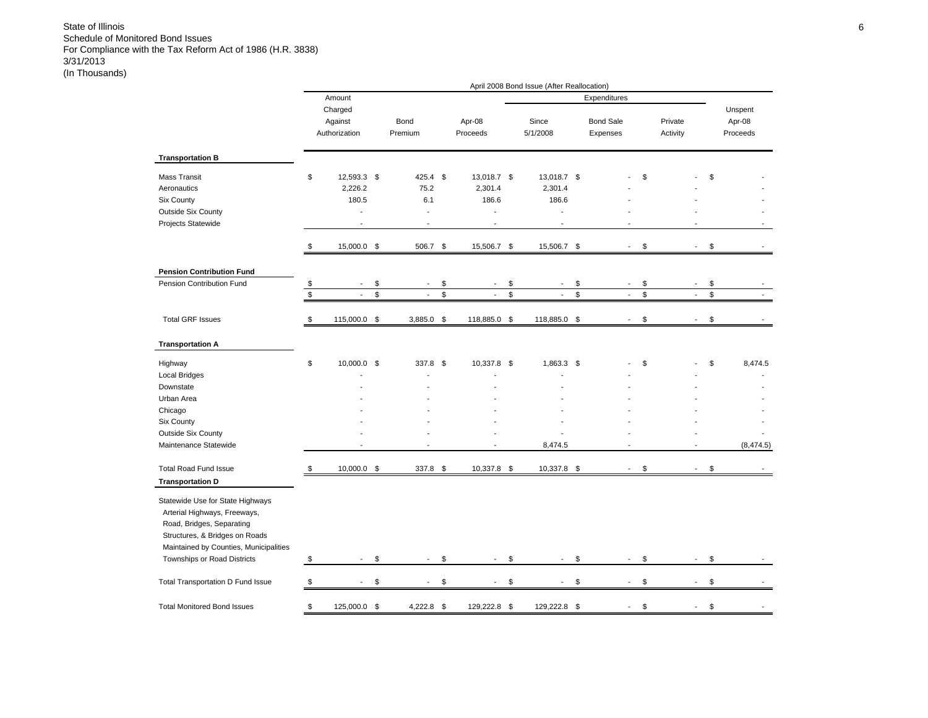|                                                                                                                                                                                                          |                 |                                                         |             |                                                     |                                                         |               | April 2008 Bond Issue (After Reallocation) |              |                              |              |                     |                          |               |                               |
|----------------------------------------------------------------------------------------------------------------------------------------------------------------------------------------------------------|-----------------|---------------------------------------------------------|-------------|-----------------------------------------------------|---------------------------------------------------------|---------------|--------------------------------------------|--------------|------------------------------|--------------|---------------------|--------------------------|---------------|-------------------------------|
|                                                                                                                                                                                                          |                 | Amount                                                  |             |                                                     |                                                         |               |                                            |              | Expenditures                 |              |                     |                          |               |                               |
|                                                                                                                                                                                                          |                 | Charged<br>Against<br>Authorization                     |             | Bond<br>Premium                                     | Apr-08<br>Proceeds                                      |               | Since<br>5/1/2008                          |              | <b>Bond Sale</b><br>Expenses |              | Private<br>Activity |                          |               | Unspent<br>Apr-08<br>Proceeds |
| <b>Transportation B</b>                                                                                                                                                                                  |                 |                                                         |             |                                                     |                                                         |               |                                            |              |                              |              |                     |                          |               |                               |
| <b>Mass Transit</b><br>Aeronautics<br>Six County<br><b>Outside Six County</b><br>Projects Statewide                                                                                                      | \$              | 12,593.3 \$<br>2,226.2<br>180.5<br>÷,<br>$\overline{a}$ |             | 425.4 \$<br>75.2<br>6.1<br>$\sim$<br>$\overline{a}$ | 13,018.7 \$<br>2,301.4<br>186.6<br>÷,<br>$\overline{a}$ |               | 13,018.7 \$<br>2,301.4<br>186.6<br>÷.      |              |                              | \$           |                     |                          | \$            |                               |
|                                                                                                                                                                                                          | \$              | 15,000.0 \$                                             |             | 506.7 \$                                            | 15,506.7 \$                                             |               | 15,506.7 \$                                |              | $\sim$                       | \$           |                     | $\blacksquare$           | \$            |                               |
| <b>Pension Contribution Fund</b>                                                                                                                                                                         |                 |                                                         |             |                                                     |                                                         |               |                                            |              |                              |              |                     |                          |               |                               |
| Pension Contribution Fund                                                                                                                                                                                | \$              |                                                         | \$          | $\mathbf{r}$                                        | \$<br>L,                                                | \$            | $\overline{\phantom{a}}$                   | \$           | $\sim$                       | \$           |                     | $\overline{a}$           | \$            |                               |
|                                                                                                                                                                                                          | $\overline{\$}$ |                                                         | $\mathbb S$ | $\tilde{\phantom{a}}$                               | \$<br>$\overline{\phantom{a}}$                          | $\mathsf{\$}$ | $\overline{\phantom{a}}$                   | $\mathbb{S}$ | $\overline{\phantom{a}}$     | $\mathbb{S}$ |                     | $\overline{\phantom{a}}$ | $\mathsf{\$}$ |                               |
| <b>Total GRF Issues</b>                                                                                                                                                                                  | \$              | 115,000.0 \$                                            |             | 3,885.0                                             | \$<br>118,885.0                                         | \$            | 118,885.0                                  | \$           | $\overline{a}$               | \$           |                     | $\overline{a}$           | \$            |                               |
| <b>Transportation A</b>                                                                                                                                                                                  |                 |                                                         |             |                                                     |                                                         |               |                                            |              |                              |              |                     |                          |               |                               |
| Highway<br>Local Bridges                                                                                                                                                                                 | \$              | 10,000.0 \$                                             |             | 337.8 \$                                            | 10,337.8 \$                                             |               | 1,863.3 \$                                 |              |                              | \$           |                     |                          | \$            | 8,474.5                       |
| Downstate                                                                                                                                                                                                |                 |                                                         |             |                                                     |                                                         |               |                                            |              |                              |              |                     |                          |               |                               |
| Urban Area                                                                                                                                                                                               |                 |                                                         |             |                                                     |                                                         |               |                                            |              |                              |              |                     |                          |               |                               |
| Chicago<br>Six County                                                                                                                                                                                    |                 |                                                         |             |                                                     |                                                         |               |                                            |              |                              |              |                     |                          |               |                               |
| Outside Six County                                                                                                                                                                                       |                 |                                                         |             |                                                     |                                                         |               |                                            |              |                              |              |                     |                          |               |                               |
| Maintenance Statewide                                                                                                                                                                                    |                 |                                                         |             |                                                     |                                                         |               | 8,474.5                                    |              |                              |              |                     |                          |               | (8,474.5)                     |
| <b>Total Road Fund Issue</b><br><b>Transportation D</b>                                                                                                                                                  | \$              | 10,000.0 \$                                             |             | 337.8 \$                                            | 10,337.8                                                | - \$          | 10,337.8                                   | - \$         |                              | \$           |                     | L.                       | \$            |                               |
| Statewide Use for State Highways<br>Arterial Highways, Freeways,<br>Road, Bridges, Separating<br>Structures, & Bridges on Roads<br>Maintained by Counties, Municipalities<br>Townships or Road Districts | \$              | $\overline{\phantom{a}}$                                | \$          | $\overline{\phantom{a}}$                            | \$<br>$\blacksquare$                                    | \$            | $\overline{\phantom{a}}$                   | \$           | $\overline{\phantom{a}}$     | \$           |                     | $\blacksquare$           | \$            |                               |
| Total Transportation D Fund Issue                                                                                                                                                                        | \$              | $\overline{\phantom{a}}$                                | \$          | $\overline{\phantom{a}}$                            | \$<br>$\sim$                                            | \$            | $\overline{\phantom{a}}$                   | \$           | $\sim$                       | \$           |                     | $\overline{\phantom{a}}$ | \$            |                               |
| <b>Total Monitored Bond Issues</b>                                                                                                                                                                       | \$              | 125,000.0 \$                                            |             | 4,222.8 \$                                          | 129,222.8                                               | \$            | 129,222.8 \$                               |              |                              | \$           |                     |                          | \$            |                               |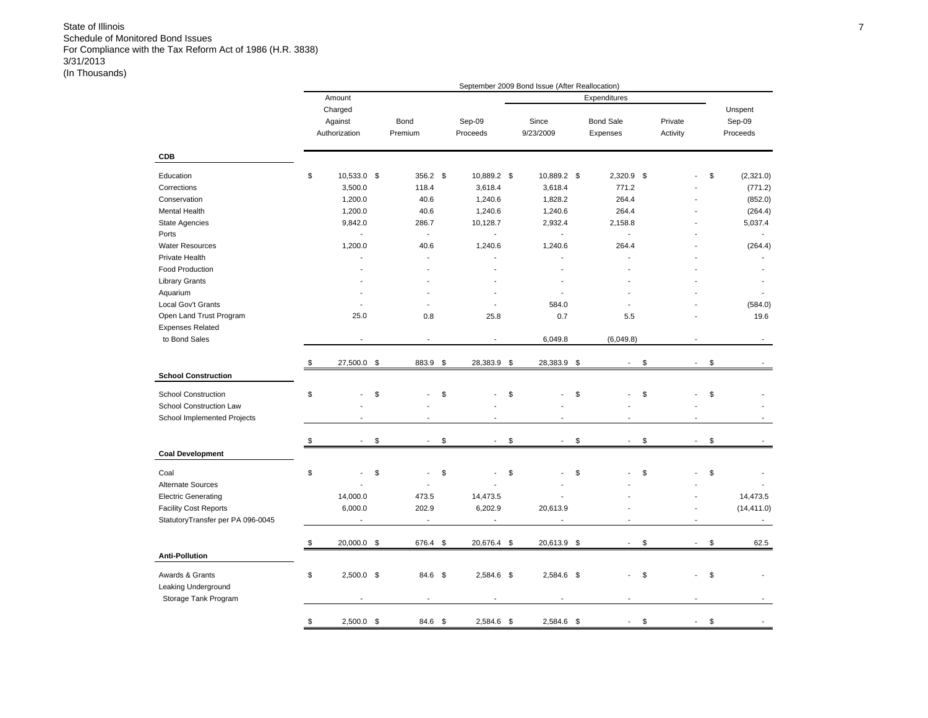|                                   |                                     |                      |                          | September 2009 Bond Issue (After Reallocation) |                              |                     |                          |                               |
|-----------------------------------|-------------------------------------|----------------------|--------------------------|------------------------------------------------|------------------------------|---------------------|--------------------------|-------------------------------|
|                                   | Amount                              |                      |                          |                                                | Expenditures                 |                     |                          |                               |
|                                   | Charged<br>Against<br>Authorization | Bond<br>Premium      | Sep-09<br>Proceeds       | Since<br>9/23/2009                             | <b>Bond Sale</b><br>Expenses | Private<br>Activity |                          | Unspent<br>Sep-09<br>Proceeds |
| <b>CDB</b>                        |                                     |                      |                          |                                                |                              |                     |                          |                               |
| Education                         | \$<br>10,533.0 \$                   | 356.2 \$             | 10,889.2 \$              | 10,889.2 \$                                    | $2,320.9$ \$                 |                     |                          | \$<br>(2,321.0)               |
| Corrections                       | 3,500.0                             | 118.4                | 3,618.4                  | 3,618.4                                        | 771.2                        |                     |                          | (771.2)                       |
| Conservation                      | 1,200.0                             | 40.6                 | 1,240.6                  | 1,828.2                                        | 264.4                        |                     |                          | (852.0)                       |
| <b>Mental Health</b>              | 1,200.0                             | 40.6                 | 1,240.6                  | 1,240.6                                        | 264.4                        |                     |                          | (264.4)                       |
| <b>State Agencies</b>             | 9,842.0                             | 286.7                | 10,128.7                 | 2,932.4                                        | 2,158.8                      |                     |                          | 5,037.4                       |
| Ports                             |                                     | $\blacksquare$       | $\overline{\phantom{a}}$ | $\overline{\phantom{a}}$                       | $\overline{\phantom{a}}$     |                     |                          |                               |
| <b>Water Resources</b>            | 1,200.0                             | 40.6                 | 1,240.6                  | 1,240.6                                        | 264.4                        |                     |                          | (264.4)                       |
| Private Health                    | ٠                                   | $\overline{a}$       |                          | $\overline{a}$                                 | $\overline{a}$               |                     |                          |                               |
| <b>Food Production</b>            |                                     |                      |                          |                                                |                              |                     |                          |                               |
| <b>Library Grants</b>             |                                     |                      |                          |                                                |                              |                     |                          |                               |
| Aquarium                          |                                     |                      |                          |                                                |                              |                     |                          |                               |
| Local Gov't Grants                |                                     |                      |                          | 584.0                                          |                              |                     |                          | (584.0)                       |
| Open Land Trust Program           | 25.0                                | 0.8                  | 25.8                     | 0.7                                            | 5.5                          |                     |                          | 19.6                          |
| <b>Expenses Related</b>           |                                     |                      |                          |                                                |                              |                     |                          |                               |
| to Bond Sales                     |                                     |                      |                          | 6,049.8                                        | (6,049.8)                    |                     |                          |                               |
|                                   |                                     |                      |                          |                                                |                              |                     |                          |                               |
|                                   | \$<br>27,500.0                      | \$<br>883.9          | \$<br>28,383.9           | \$<br>28,383.9                                 | \$<br>$\blacksquare$         | \$                  |                          | \$                            |
| <b>School Construction</b>        |                                     |                      |                          |                                                |                              |                     |                          |                               |
| <b>School Construction</b>        | \$                                  | \$                   | \$                       | \$                                             | \$<br>$\overline{a}$         | \$                  |                          | \$                            |
| School Construction Law           |                                     |                      |                          |                                                |                              |                     |                          |                               |
| School Implemented Projects       | ٠                                   | ٠                    |                          |                                                | $\blacksquare$               |                     | ٠                        |                               |
|                                   |                                     |                      |                          |                                                |                              |                     |                          |                               |
|                                   | \$                                  | \$<br>$\blacksquare$ | \$<br>$\blacksquare$     | \$                                             | \$<br>$\blacksquare$         | \$                  | $\blacksquare$           | \$                            |
| <b>Coal Development</b>           |                                     |                      |                          |                                                |                              |                     |                          |                               |
| Coal                              | \$                                  | \$                   | \$                       | \$                                             | \$                           | \$                  |                          | \$                            |
| Alternate Sources                 |                                     |                      |                          |                                                |                              |                     |                          |                               |
| <b>Electric Generating</b>        | 14,000.0                            | 473.5                | 14,473.5                 |                                                |                              |                     |                          | 14,473.5                      |
| <b>Facility Cost Reports</b>      | 6,000.0                             | 202.9                | 6,202.9                  | 20,613.9                                       |                              |                     | L.                       | (14, 411.0)                   |
| StatutoryTransfer per PA 096-0045 | $\overline{\phantom{m}}$            | $\blacksquare$       | $\overline{\phantom{a}}$ |                                                |                              |                     | Ĭ.                       | $\sim$                        |
|                                   | \$<br>20,000.0 \$                   | 676.4 \$             | 20,676.4 \$              | 20,613.9 \$                                    | $\blacksquare$               | \$                  | $\overline{\phantom{m}}$ | \$<br>62.5                    |
| <b>Anti-Pollution</b>             |                                     |                      |                          |                                                |                              |                     |                          |                               |
|                                   |                                     |                      |                          |                                                |                              |                     |                          |                               |
| Awards & Grants                   | \$<br>$2,500.0$ \$                  | 84.6 \$              | 2,584.6 \$               | 2,584.6 \$                                     | ä,                           | \$                  |                          | \$                            |
| Leaking Underground               |                                     |                      |                          |                                                |                              |                     |                          |                               |
| Storage Tank Program              |                                     |                      |                          |                                                |                              |                     |                          |                               |
|                                   | \$<br>$2,500.0$ \$                  | 84.6 \$              | 2,584.6 \$               | 2,584.6 \$                                     |                              | \$                  |                          | \$                            |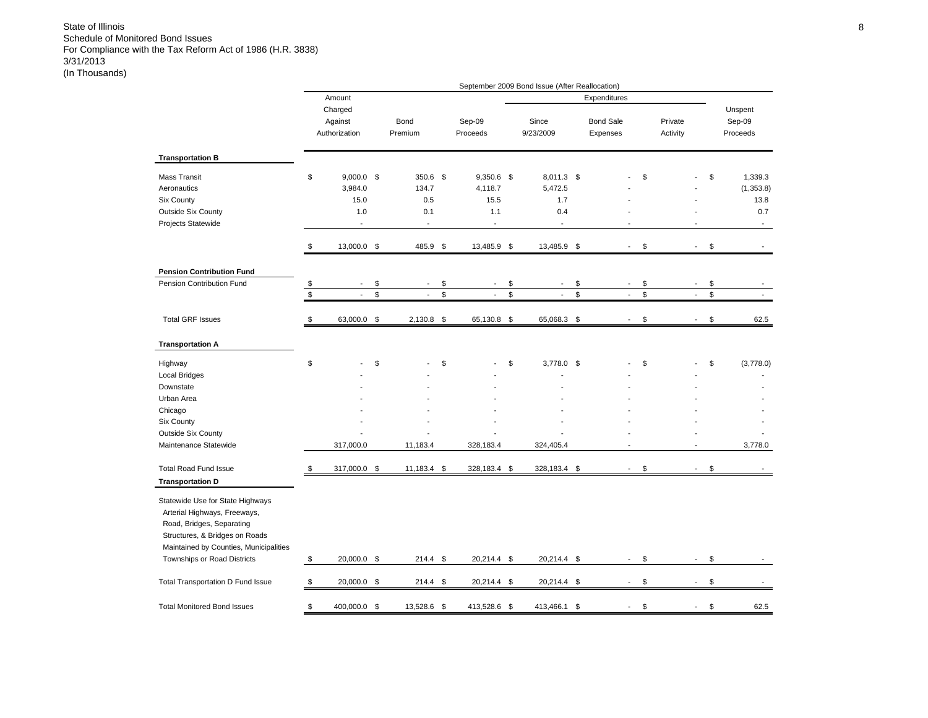|                                                                                                                                                                                                          |                   |                                                          |      |                                           |                                                                    | September 2009 Bond Issue (After Reallocation)        |    |                              |                     |                          |                                                                       |
|----------------------------------------------------------------------------------------------------------------------------------------------------------------------------------------------------------|-------------------|----------------------------------------------------------|------|-------------------------------------------|--------------------------------------------------------------------|-------------------------------------------------------|----|------------------------------|---------------------|--------------------------|-----------------------------------------------------------------------|
|                                                                                                                                                                                                          |                   | Amount                                                   |      |                                           |                                                                    |                                                       |    | Expenditures                 |                     |                          |                                                                       |
|                                                                                                                                                                                                          |                   | Charged<br>Against<br>Authorization                      |      | Bond<br>Premium                           | Sep-09<br>Proceeds                                                 | Since<br>9/23/2009                                    |    | <b>Bond Sale</b><br>Expenses | Private<br>Activity |                          | Unspent<br>Sep-09<br>Proceeds                                         |
| <b>Transportation B</b>                                                                                                                                                                                  |                   |                                                          |      |                                           |                                                                    |                                                       |    |                              |                     |                          |                                                                       |
| <b>Mass Transit</b><br>Aeronautics<br>Six County<br><b>Outside Six County</b><br>Projects Statewide                                                                                                      | \$                | $9,000.0$ \$<br>3,984.0<br>15.0<br>1.0<br>$\overline{a}$ |      | 350.6 \$<br>134.7<br>0.5<br>0.1<br>$\sim$ | $9,350.6$ \$<br>4,118.7<br>15.5<br>1.1<br>$\overline{\phantom{a}}$ | 8,011.3 \$<br>5,472.5<br>1.7<br>0.4<br>$\overline{a}$ |    |                              | \$                  |                          | \$<br>1,339.3<br>(1,353.8)<br>13.8<br>0.7<br>$\overline{\phantom{a}}$ |
|                                                                                                                                                                                                          | \$                | 13,000.0 \$                                              |      | 485.9 \$                                  | 13,485.9 \$                                                        | 13,485.9 \$                                           |    |                              | \$                  | $\blacksquare$           | \$                                                                    |
| <b>Pension Contribution Fund</b>                                                                                                                                                                         |                   |                                                          |      |                                           |                                                                    |                                                       |    |                              |                     |                          |                                                                       |
| Pension Contribution Fund                                                                                                                                                                                | $\boldsymbol{\$}$ | ÷.                                                       | \$   | $\sim$                                    | \$<br>L,                                                           | \$<br>$\overline{a}$                                  | \$ | $\overline{\phantom{a}}$     | \$                  | $\overline{a}$           | \$                                                                    |
|                                                                                                                                                                                                          | \$                | $\overline{\phantom{a}}$                                 | \$   |                                           | \$<br>$\overline{\phantom{a}}$                                     | \$<br>$\overline{\phantom{a}}$                        | \$ | $\blacksquare$               | \$                  | $\overline{\phantom{a}}$ | \$                                                                    |
| <b>Total GRF Issues</b>                                                                                                                                                                                  | \$                | 63,000.0 \$                                              |      | $2,130.8$ \$                              | 65,130.8 \$                                                        | 65,068.3 \$                                           |    | $\blacksquare$               | \$                  | ÷,                       | \$<br>62.5                                                            |
| <b>Transportation A</b>                                                                                                                                                                                  |                   |                                                          |      |                                           |                                                                    |                                                       |    |                              |                     |                          |                                                                       |
| Highway<br>Local Bridges                                                                                                                                                                                 | \$                |                                                          | \$   |                                           | \$                                                                 | \$<br>3,778.0 \$                                      |    |                              | \$                  |                          | \$<br>(3,778.0)                                                       |
| Downstate                                                                                                                                                                                                |                   |                                                          |      |                                           |                                                                    |                                                       |    |                              |                     |                          |                                                                       |
| Urban Area                                                                                                                                                                                               |                   |                                                          |      |                                           |                                                                    |                                                       |    |                              |                     |                          |                                                                       |
| Chicago                                                                                                                                                                                                  |                   |                                                          |      |                                           |                                                                    |                                                       |    |                              |                     |                          |                                                                       |
| Six County<br><b>Outside Six County</b>                                                                                                                                                                  |                   |                                                          |      |                                           |                                                                    |                                                       |    |                              |                     |                          |                                                                       |
| Maintenance Statewide                                                                                                                                                                                    |                   | 317,000.0                                                |      | 11,183.4                                  | 328,183.4                                                          | 324,405.4                                             |    |                              |                     |                          | 3,778.0                                                               |
| <b>Total Road Fund Issue</b><br><b>Transportation D</b>                                                                                                                                                  | \$                | 317,000.0                                                | - \$ | 11,183.4                                  | \$<br>328,183.4                                                    | \$<br>328,183.4                                       | \$ |                              | \$                  |                          | \$                                                                    |
| Statewide Use for State Highways<br>Arterial Highways, Freeways,<br>Road, Bridges, Separating<br>Structures, & Bridges on Roads<br>Maintained by Counties, Municipalities<br>Townships or Road Districts | \$                | 20,000.0 \$                                              |      | $214.4$ \$                                | 20,214.4 \$                                                        | 20,214.4 \$                                           |    | $\sim$                       | \$                  | $\blacksquare$           | \$                                                                    |
| Total Transportation D Fund Issue                                                                                                                                                                        | \$                | 20,000.0 \$                                              |      | 214.4                                     | \$<br>20,214.4 \$                                                  | 20,214.4 \$                                           |    |                              | \$                  | $\overline{a}$           | \$                                                                    |
| <b>Total Monitored Bond Issues</b>                                                                                                                                                                       | \$                | 400,000.0 \$                                             |      | 13,528.6                                  | \$<br>413,528.6                                                    | \$<br>413,466.1                                       | S  |                              | \$                  |                          | \$<br>62.5                                                            |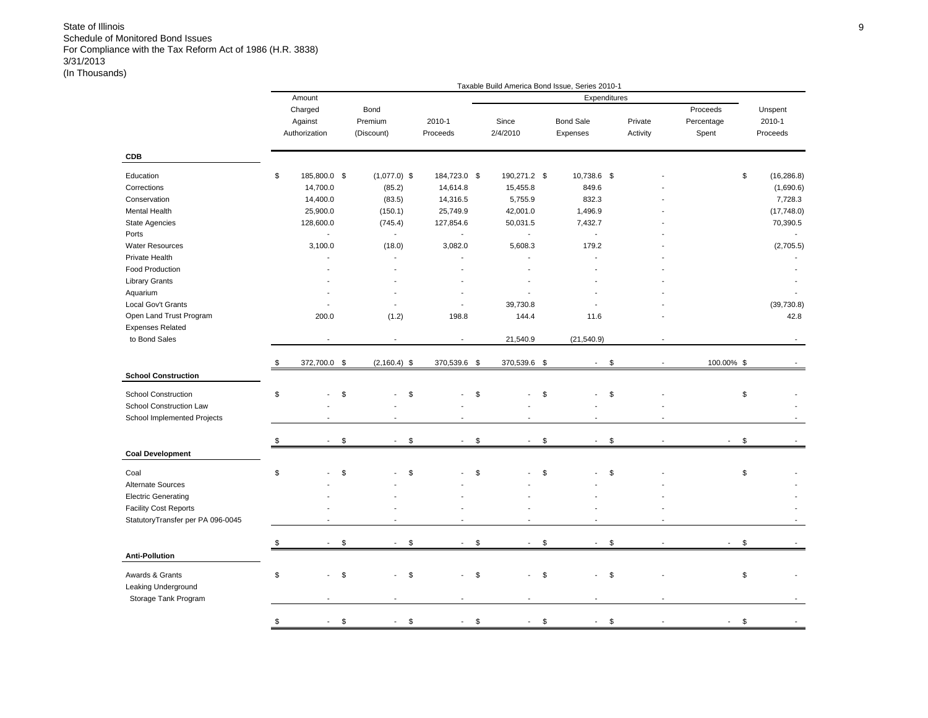|                                   |    |               |                            |                             | Taxable Build America Bond Issue, Series 2010-1 |                      |          |            |             |
|-----------------------------------|----|---------------|----------------------------|-----------------------------|-------------------------------------------------|----------------------|----------|------------|-------------|
|                                   |    | Amount        |                            |                             |                                                 | Expenditures         |          |            |             |
|                                   |    | Charged       | Bond                       |                             |                                                 |                      |          | Proceeds   | Unspent     |
|                                   |    | Against       | Premium                    | 2010-1                      | Since                                           | <b>Bond Sale</b>     | Private  | Percentage | 2010-1      |
|                                   |    | Authorization | (Discount)                 | Proceeds                    | 2/4/2010                                        | Expenses             | Activity | Spent      | Proceeds    |
| <b>CDB</b>                        |    |               |                            |                             |                                                 |                      |          |            |             |
| Education                         | \$ | 185,800.0 \$  | $(1,077.0)$ \$             | 184,723.0 \$                | 190,271.2 \$                                    | 10,738.6 \$          |          | \$         | (16, 286.8) |
| Corrections                       |    | 14,700.0      | (85.2)                     | 14,614.8                    | 15,455.8                                        | 849.6                |          |            | (1,690.6)   |
| Conservation                      |    | 14,400.0      | (83.5)                     | 14,316.5                    | 5,755.9                                         | 832.3                |          |            | 7,728.3     |
| Mental Health                     |    | 25,900.0      | (150.1)                    | 25,749.9                    | 42,001.0                                        | 1,496.9              |          |            | (17,748.0)  |
|                                   |    |               |                            |                             |                                                 |                      |          |            |             |
| State Agencies                    |    | 128,600.0     | (745.4)                    | 127,854.6<br>$\overline{a}$ | 50,031.5                                        | 7,432.7              |          |            | 70,390.5    |
| Ports                             |    | $\mathbf{r}$  | $\sim$                     |                             | $\mathbf{r}$                                    | $\mathcal{L}$        |          |            |             |
| <b>Water Resources</b>            |    | 3,100.0       | (18.0)                     | 3,082.0                     | 5,608.3                                         | 179.2                |          |            | (2,705.5)   |
| Private Health                    |    |               |                            |                             |                                                 |                      |          |            |             |
| Food Production                   |    |               |                            |                             |                                                 |                      |          |            |             |
| Library Grants                    |    |               |                            |                             |                                                 |                      |          |            |             |
| Aquarium                          |    |               |                            |                             |                                                 |                      |          |            |             |
| Local Gov't Grants                |    |               |                            | $\overline{a}$              | 39,730.8                                        |                      |          |            | (39, 730.8) |
| Open Land Trust Program           |    | 200.0         | (1.2)                      | 198.8                       | 144.4                                           | 11.6                 |          |            | 42.8        |
| <b>Expenses Related</b>           |    |               |                            |                             |                                                 |                      |          |            |             |
| to Bond Sales                     |    |               |                            | J.                          | 21,540.9                                        | (21, 540.9)          |          |            |             |
|                                   |    |               |                            |                             |                                                 |                      |          |            |             |
|                                   | \$ | 372,700.0 \$  | $(2, 160.4)$ \$            | 370,539.6 \$                | 370,539.6 \$                                    | $\blacksquare$       | \$       | 100.00% \$ |             |
| <b>School Construction</b>        |    |               |                            |                             |                                                 |                      |          |            |             |
| <b>School Construction</b>        | \$ |               | \$<br>\$                   |                             | \$                                              | \$                   | \$       | \$         |             |
| School Construction Law           |    |               |                            |                             |                                                 |                      |          |            |             |
| School Implemented Projects       |    |               |                            |                             |                                                 |                      |          |            |             |
|                                   |    |               |                            |                             |                                                 |                      |          |            |             |
|                                   | S  |               | \$<br>\$<br>$\overline{a}$ | $\blacksquare$              | \$<br>$\overline{a}$                            | \$<br>$\overline{a}$ | \$       | \$         |             |
| <b>Coal Development</b>           |    |               |                            |                             |                                                 |                      |          |            |             |
| Coal                              | \$ |               | \$<br>\$                   |                             | \$                                              | \$                   | \$       | \$         |             |
| Alternate Sources                 |    |               |                            |                             |                                                 |                      |          |            |             |
| <b>Electric Generating</b>        |    |               |                            |                             |                                                 |                      |          |            |             |
| <b>Facility Cost Reports</b>      |    |               |                            |                             |                                                 |                      |          |            |             |
| StatutoryTransfer per PA 096-0045 |    |               |                            |                             |                                                 |                      |          |            |             |
|                                   |    |               |                            |                             |                                                 |                      |          |            |             |
|                                   |    |               | \$<br>\$                   | $\blacksquare$              | \$<br>$\blacksquare$                            | \$<br>$\blacksquare$ | \$       | \$         |             |
| <b>Anti-Pollution</b>             |    |               |                            |                             |                                                 |                      |          |            |             |
| Awards & Grants                   | \$ |               | \$<br>\$                   | $\overline{\phantom{a}}$    | \$                                              | \$                   | \$       | \$         |             |
| Leaking Underground               |    |               |                            |                             |                                                 |                      |          |            |             |
| Storage Tank Program              |    |               |                            |                             |                                                 |                      |          |            |             |
|                                   |    |               |                            |                             |                                                 |                      |          |            |             |
|                                   | \$ | $\sim$        | \$<br>\$<br>$\blacksquare$ | $\mathbf{r}$                | \$<br>$\blacksquare$                            | \$                   | \$       | \$         |             |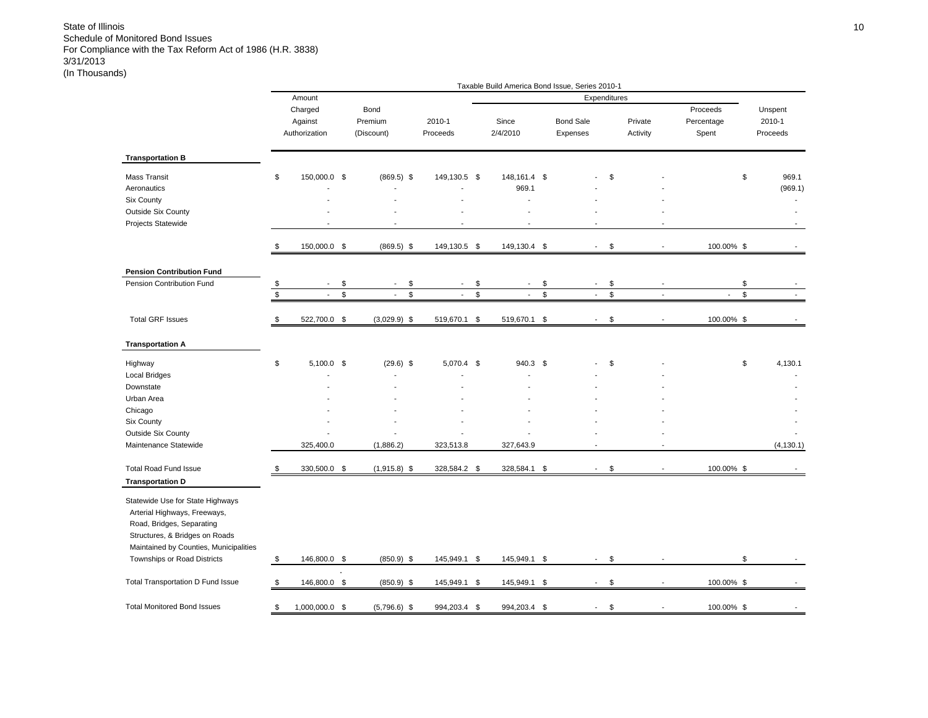|                                                                                             |                      |                                     |                                                |                    | Taxable Build America Bond Issue, Series 2010-1 |                |                              |              |                          |                                 |                               |
|---------------------------------------------------------------------------------------------|----------------------|-------------------------------------|------------------------------------------------|--------------------|-------------------------------------------------|----------------|------------------------------|--------------|--------------------------|---------------------------------|-------------------------------|
|                                                                                             |                      | Amount                              |                                                |                    |                                                 |                |                              | Expenditures |                          |                                 |                               |
|                                                                                             |                      | Charged<br>Against<br>Authorization | Bond<br>Premium<br>(Discount)                  | 2010-1<br>Proceeds | Since<br>2/4/2010                               |                | <b>Bond Sale</b><br>Expenses |              | Private<br>Activity      | Proceeds<br>Percentage<br>Spent | Unspent<br>2010-1<br>Proceeds |
| <b>Transportation B</b>                                                                     |                      |                                     |                                                |                    |                                                 |                |                              |              |                          |                                 |                               |
| <b>Mass Transit</b><br>Aeronautics                                                          | \$                   | 150,000.0 \$                        | $(869.5)$ \$                                   | 149,130.5 \$       | 148, 161.4 \$<br>969.1                          |                |                              | \$           |                          |                                 | \$<br>969.1<br>(969.1)        |
| Six County                                                                                  |                      |                                     |                                                |                    | ÷                                               |                |                              |              |                          |                                 |                               |
| <b>Outside Six County</b><br>Projects Statewide                                             |                      |                                     |                                                |                    |                                                 |                |                              |              |                          |                                 |                               |
|                                                                                             | \$                   | 150,000.0 \$                        | $(869.5)$ \$                                   | 149,130.5 \$       | 149,130.4 \$                                    |                | $\overline{\phantom{a}}$     | \$           |                          | 100.00% \$                      |                               |
| <b>Pension Contribution Fund</b>                                                            |                      |                                     |                                                |                    |                                                 |                |                              |              |                          |                                 |                               |
| Pension Contribution Fund                                                                   | $\pmb{\mathfrak{S}}$ | $\overline{\phantom{a}}$            | \$<br>\$<br>$\blacksquare$                     | $\blacksquare$     | \$<br>$\overline{\phantom{a}}$                  | \$             | $\sim$                       | \$           |                          |                                 | \$                            |
|                                                                                             | \$                   | $\overline{\phantom{a}}$            | \$<br>$\mathbb{S}$<br>$\overline{\phantom{a}}$ | $\blacksquare$     | \$<br>$\overline{\phantom{a}}$                  | $$\mathbb{S}$$ | $\sim$                       | \$           | $\overline{\phantom{a}}$ | $\overline{\phantom{a}}$        | \$                            |
| <b>Total GRF Issues</b>                                                                     | \$                   | 522,700.0 \$                        | $(3,029.9)$ \$                                 | 519,670.1 \$       | 519,670.1 \$                                    |                | $\overline{\phantom{a}}$     | \$           |                          | 100.00% \$                      |                               |
| <b>Transportation A</b>                                                                     |                      |                                     |                                                |                    |                                                 |                |                              |              |                          |                                 |                               |
| Highway                                                                                     | \$                   | $5,100.0$ \$                        | $(29.6)$ \$                                    | 5,070.4 \$         | 940.3 \$                                        |                |                              | \$           |                          |                                 | \$<br>4,130.1                 |
| Local Bridges                                                                               |                      |                                     |                                                |                    |                                                 |                |                              |              |                          |                                 |                               |
| Downstate<br>Urban Area                                                                     |                      |                                     |                                                |                    |                                                 |                |                              |              |                          |                                 |                               |
| Chicago                                                                                     |                      |                                     |                                                |                    |                                                 |                |                              |              |                          |                                 |                               |
| Six County                                                                                  |                      |                                     |                                                |                    |                                                 |                |                              |              |                          |                                 |                               |
| <b>Outside Six County</b>                                                                   |                      |                                     |                                                |                    |                                                 |                |                              |              |                          |                                 |                               |
| Maintenance Statewide                                                                       |                      | 325,400.0                           | (1,886.2)                                      | 323,513.8          | 327,643.9                                       |                |                              |              | $\overline{a}$           |                                 | (4, 130.1)                    |
| <b>Total Road Fund Issue</b>                                                                | \$                   | 330,500.0 \$                        | $(1,915.8)$ \$                                 | 328,584.2          | \$<br>328,584.1                                 | \$             |                              | \$           |                          | 100.00% \$                      |                               |
| <b>Transportation D</b><br>Statewide Use for State Highways                                 |                      |                                     |                                                |                    |                                                 |                |                              |              |                          |                                 |                               |
| Arterial Highways, Freeways,<br>Road, Bridges, Separating<br>Structures, & Bridges on Roads |                      |                                     |                                                |                    |                                                 |                |                              |              |                          |                                 |                               |
| Maintained by Counties, Municipalities<br>Townships or Road Districts                       | \$                   | 146,800.0 \$                        | $(850.9)$ \$                                   | 145,949.1 \$       | 145,949.1 \$                                    |                | $\sim$                       | \$           |                          |                                 | \$                            |
| Total Transportation D Fund Issue                                                           | \$                   | 146,800.0 \$                        | $(850.9)$ \$                                   | 145,949.1 \$       | 145,949.1                                       | - \$           | $\sim$                       | \$           | $\overline{a}$           | 100.00% \$                      |                               |
| <b>Total Monitored Bond Issues</b>                                                          | \$                   | 1,000,000.0 \$                      | $(5,796.6)$ \$                                 | 994,203.4 \$       | 994,203.4                                       | \$             |                              | \$           |                          | 100.00% \$                      |                               |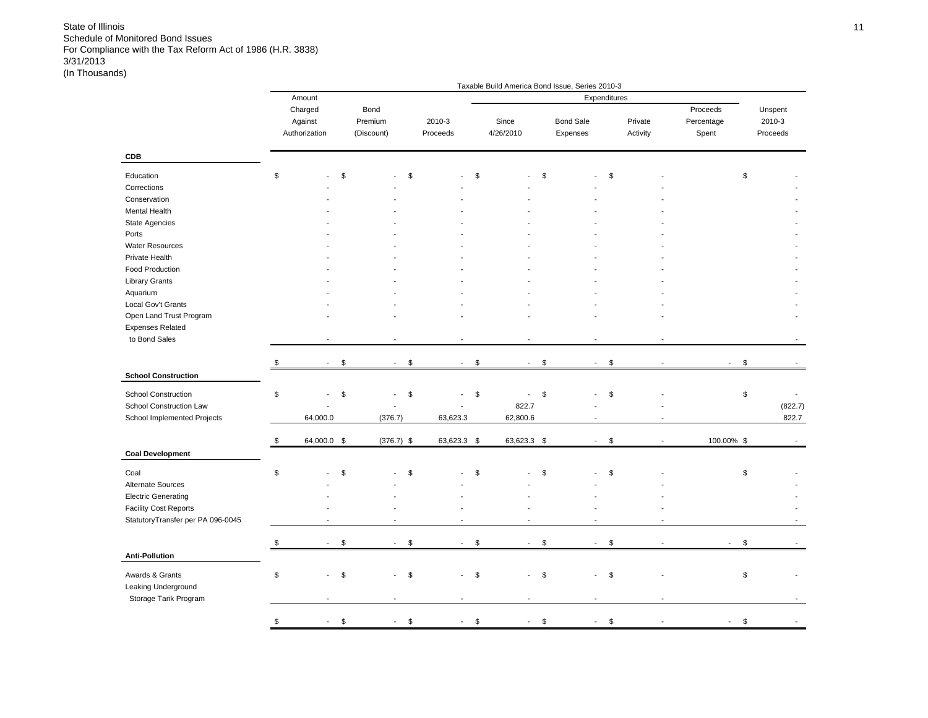|                                                                                                                                                                                                                |    |                                     |                           |                               |                                      |              | Taxable Build America Bond Issue, Series 2010-3 |                              |               |                     |                                 |                               |
|----------------------------------------------------------------------------------------------------------------------------------------------------------------------------------------------------------------|----|-------------------------------------|---------------------------|-------------------------------|--------------------------------------|--------------|-------------------------------------------------|------------------------------|---------------|---------------------|---------------------------------|-------------------------------|
|                                                                                                                                                                                                                |    | Amount                              |                           |                               |                                      |              |                                                 | Expenditures                 |               |                     |                                 |                               |
|                                                                                                                                                                                                                |    | Charged<br>Against<br>Authorization |                           | Bond<br>Premium<br>(Discount) | 2010-3<br>Proceeds                   |              | Since<br>4/26/2010                              | <b>Bond Sale</b><br>Expenses |               | Private<br>Activity | Proceeds<br>Percentage<br>Spent | Unspent<br>2010-3<br>Proceeds |
| CDB                                                                                                                                                                                                            |    |                                     |                           |                               |                                      |              |                                                 |                              |               |                     |                                 |                               |
| Education<br>Corrections<br>Conservation<br>Mental Health<br>State Agencies<br>Ports<br><b>Water Resources</b><br>Private Health<br>Food Production<br><b>Library Grants</b><br>Aquarium<br>Local Gov't Grants | \$ |                                     | \$                        | \$                            |                                      | \$           |                                                 | \$                           | \$            |                     |                                 | \$                            |
| Open Land Trust Program                                                                                                                                                                                        |    |                                     |                           |                               |                                      |              |                                                 |                              |               |                     |                                 |                               |
| <b>Expenses Related</b><br>to Bond Sales                                                                                                                                                                       |    |                                     |                           |                               | $\overline{\phantom{a}}$             |              |                                                 |                              |               |                     |                                 |                               |
|                                                                                                                                                                                                                |    |                                     |                           |                               |                                      |              |                                                 |                              |               |                     |                                 |                               |
| <b>School Construction</b>                                                                                                                                                                                     | S  | $\sim$                              | $\mathfrak s$             | \$<br>$\sim$                  | $\sim$                               | $\mathbb{S}$ | $\blacksquare$                                  | \$<br>$\sim$                 | $\mathfrak s$ |                     | $\sim$                          | \$                            |
|                                                                                                                                                                                                                |    |                                     |                           |                               |                                      |              |                                                 |                              |               |                     |                                 |                               |
| <b>School Construction</b><br>School Construction Law<br>School Implemented Projects                                                                                                                           | \$ | 64,000.0                            | \$                        | \$<br>(376.7)                 | $\overline{\phantom{a}}$<br>63,623.3 | \$           | 822.7<br>62,800.6                               | \$                           | \$            |                     |                                 | $\,$<br>(822.7)<br>822.7      |
|                                                                                                                                                                                                                | \$ | 64,000.0 \$                         |                           | $(376.7)$ \$                  | 63,623.3 \$                          |              | 63,623.3 \$                                     | $\sim$                       | \$            |                     | 100.00% \$                      |                               |
| <b>Coal Development</b>                                                                                                                                                                                        |    |                                     |                           |                               |                                      |              |                                                 |                              |               |                     |                                 |                               |
| Coal<br>Alternate Sources<br><b>Electric Generating</b><br><b>Facility Cost Reports</b><br>StatutoryTransfer per PA 096-0045                                                                                   | \$ |                                     | \$                        | \$                            | $\overline{a}$                       | \$           |                                                 | \$                           | \$            |                     |                                 | \$                            |
|                                                                                                                                                                                                                |    |                                     |                           |                               |                                      |              |                                                 |                              |               |                     |                                 |                               |
| <b>Anti-Pollution</b>                                                                                                                                                                                          | \$ |                                     | \$                        | \$                            | $\mathbf{r}$                         | \$           | $\overline{a}$                                  | \$                           | \$            |                     |                                 | \$                            |
| Awards & Grants<br>Leaking Underground<br>Storage Tank Program                                                                                                                                                 | \$ | ÷.                                  | \$                        | \$                            | $\blacksquare$                       | \$           |                                                 | \$                           | \$            |                     |                                 | \$                            |
|                                                                                                                                                                                                                | \$ | $\sim$                              | $\boldsymbol{\mathsf{S}}$ | \$<br>$\overline{a}$          | $\blacksquare$                       | \$           | $\blacksquare$                                  | \$<br>$\blacksquare$         | $\$$          |                     |                                 | \$                            |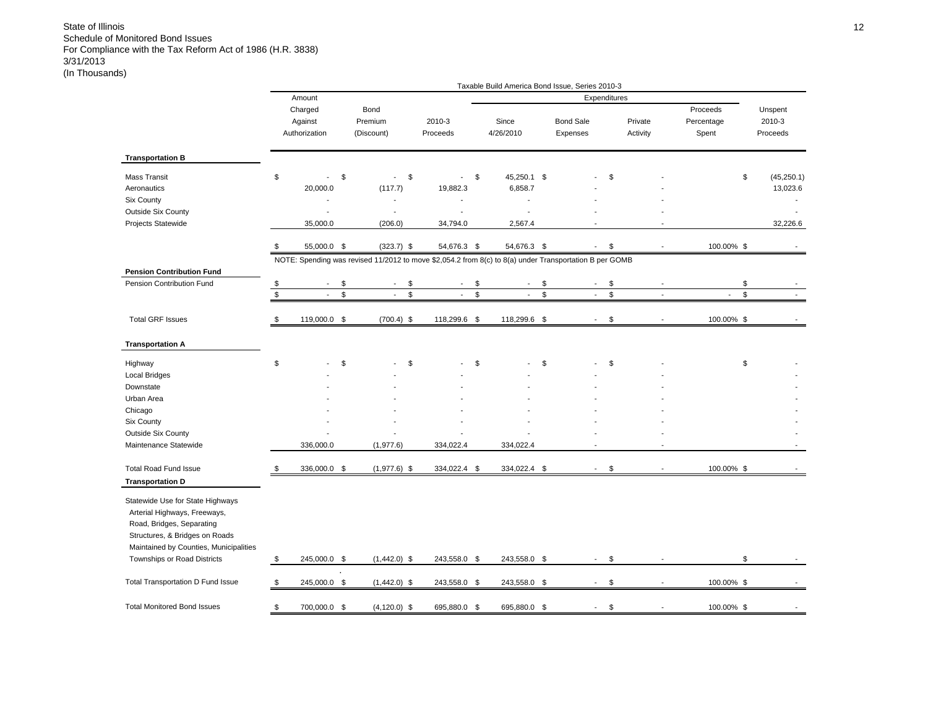|                                                                                                                                                                           |             |                                     |          |                                                                                                        |                          |             | Taxable Build America Bond Issue, Series 2010-3 |             |                              |                     |                                 |                               |
|---------------------------------------------------------------------------------------------------------------------------------------------------------------------------|-------------|-------------------------------------|----------|--------------------------------------------------------------------------------------------------------|--------------------------|-------------|-------------------------------------------------|-------------|------------------------------|---------------------|---------------------------------|-------------------------------|
|                                                                                                                                                                           |             | Amount                              |          |                                                                                                        |                          |             |                                                 |             | Expenditures                 |                     |                                 |                               |
|                                                                                                                                                                           |             | Charged<br>Against<br>Authorization |          | Bond<br>Premium<br>(Discount)                                                                          | 2010-3<br>Proceeds       |             | Since<br>4/26/2010                              |             | <b>Bond Sale</b><br>Expenses | Private<br>Activity | Proceeds<br>Percentage<br>Spent | Unspent<br>2010-3<br>Proceeds |
| <b>Transportation B</b>                                                                                                                                                   |             |                                     |          |                                                                                                        |                          |             |                                                 |             |                              |                     |                                 |                               |
| <b>Mass Transit</b><br>Aeronautics<br>Six County<br><b>Outside Six County</b>                                                                                             | \$          | $\overline{a}$<br>20,000.0          | \$       | \$<br>$\mathbf{r}$<br>(117.7)                                                                          | $\sim$<br>19,882.3       | \$          | 45,250.1 \$<br>6,858.7                          |             |                              | \$                  |                                 | \$<br>(45, 250.1)<br>13,023.6 |
| Projects Statewide                                                                                                                                                        |             | 35,000.0                            |          | (206.0)                                                                                                | 34,794.0                 |             | 2,567.4                                         |             |                              |                     |                                 | 32,226.6                      |
|                                                                                                                                                                           | \$          | 55,000.0 \$                         |          | $(323.7)$ \$                                                                                           | 54,676.3 \$              |             | 54,676.3 \$                                     |             | $\blacksquare$               | \$                  | 100.00% \$                      |                               |
|                                                                                                                                                                           |             |                                     |          | NOTE: Spending was revised 11/2012 to move \$2,054.2 from 8(c) to 8(a) under Transportation B per GOMB |                          |             |                                                 |             |                              |                     |                                 |                               |
| <b>Pension Contribution Fund</b><br>Pension Contribution Fund                                                                                                             | \$          |                                     | \$       | \$                                                                                                     | $\overline{\phantom{a}}$ | \$          |                                                 | \$          |                              | \$                  |                                 | \$                            |
|                                                                                                                                                                           | $\mathbb S$ | $\sim$                              | <b>S</b> | $\mathbb{S}$<br>$\mathbf{L}$                                                                           | $\mathbf{r}$             | $\mathbb S$ | $\blacksquare$                                  | $\mathbb S$ | $\mathbb{L}$                 | \$<br>$\sim$        | $\mathbf{r}$                    | $\mathbb{S}$                  |
| <b>Total GRF Issues</b>                                                                                                                                                   | \$          | 119,000.0 \$                        |          | $(700.4)$ \$                                                                                           | 118,299.6 \$             |             | 118,299.6 \$                                    |             | $\overline{\phantom{a}}$     | \$                  | 100.00% \$                      |                               |
| <b>Transportation A</b>                                                                                                                                                   |             |                                     |          |                                                                                                        |                          |             |                                                 |             |                              |                     |                                 |                               |
| Highway                                                                                                                                                                   | \$          |                                     | \$       | \$                                                                                                     |                          | \$          |                                                 | \$          |                              | \$                  |                                 | \$                            |
| <b>Local Bridges</b>                                                                                                                                                      |             |                                     |          |                                                                                                        |                          |             |                                                 |             |                              |                     |                                 |                               |
| Downstate                                                                                                                                                                 |             |                                     |          |                                                                                                        |                          |             |                                                 |             |                              |                     |                                 |                               |
| Urban Area<br>Chicago                                                                                                                                                     |             |                                     |          |                                                                                                        |                          |             |                                                 |             |                              |                     |                                 |                               |
| Six County                                                                                                                                                                |             |                                     |          |                                                                                                        |                          |             |                                                 |             |                              |                     |                                 |                               |
| <b>Outside Six County</b>                                                                                                                                                 |             |                                     |          |                                                                                                        |                          |             |                                                 |             |                              |                     |                                 |                               |
| Maintenance Statewide                                                                                                                                                     |             | 336,000.0                           |          | (1, 977.6)                                                                                             | 334,022.4                |             | 334,022.4                                       |             |                              |                     |                                 |                               |
| <b>Total Road Fund Issue</b>                                                                                                                                              | S           | 336,000.0 \$                        |          | $(1,977.6)$ \$                                                                                         | 334,022.4 \$             |             | 334,022.4 \$                                    |             |                              | \$                  | 100.00% \$                      |                               |
| <b>Transportation D</b>                                                                                                                                                   |             |                                     |          |                                                                                                        |                          |             |                                                 |             |                              |                     |                                 |                               |
| Statewide Use for State Highways<br>Arterial Highways, Freeways,<br>Road, Bridges, Separating<br>Structures, & Bridges on Roads<br>Maintained by Counties, Municipalities |             |                                     |          |                                                                                                        |                          |             |                                                 |             |                              |                     |                                 |                               |
| Townships or Road Districts                                                                                                                                               | \$          | 245,000.0 \$                        |          | $(1,442.0)$ \$                                                                                         | 243,558.0 \$             |             | 243,558.0 \$                                    |             | $\sim$                       | \$                  |                                 | \$                            |
| Total Transportation D Fund Issue                                                                                                                                         | \$          | 245,000.0 \$                        |          | $(1,442.0)$ \$                                                                                         | 243,558.0 \$             |             | 243,558.0 \$                                    |             | $\blacksquare$               | \$                  | 100.00% \$                      |                               |
| <b>Total Monitored Bond Issues</b>                                                                                                                                        | \$          | 700,000.0 \$                        |          | $(4, 120.0)$ \$                                                                                        | 695,880.0 \$             |             | 695,880.0                                       | \$          |                              | \$                  | 100.00% \$                      |                               |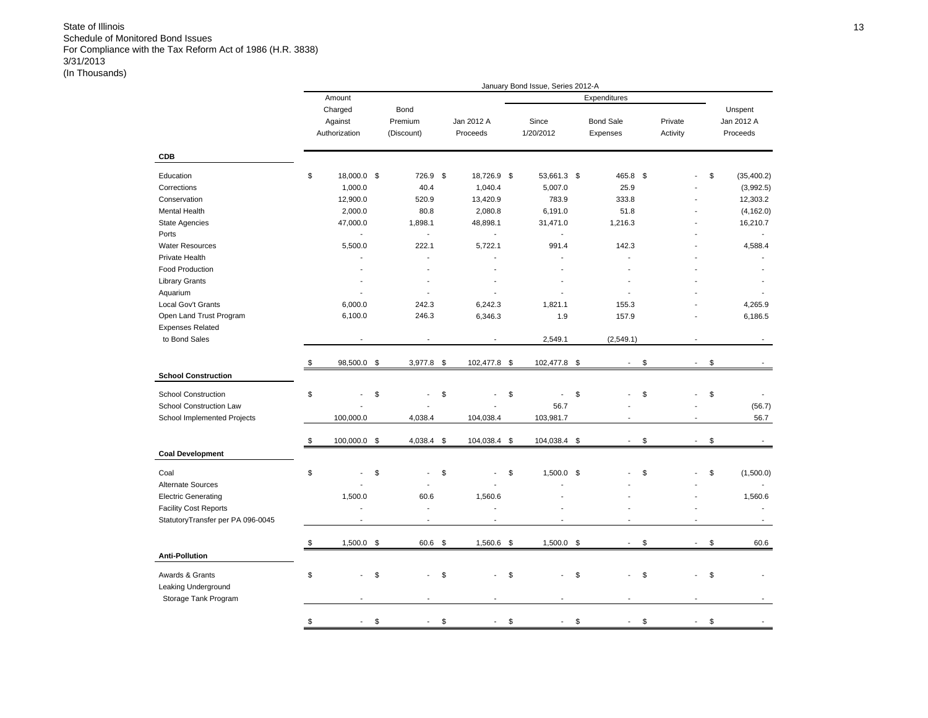|                                   |                          |                          |                  | January Bond Issue, Series 2012-A |                          |          |              |                   |
|-----------------------------------|--------------------------|--------------------------|------------------|-----------------------------------|--------------------------|----------|--------------|-------------------|
|                                   | Amount                   |                          |                  |                                   | Expenditures             |          |              |                   |
|                                   | Charged                  | Bond                     |                  |                                   |                          |          |              | Unspent           |
|                                   | Against                  | Premium                  | Jan 2012 A       | Since                             | <b>Bond Sale</b>         | Private  |              | Jan 2012 A        |
|                                   | Authorization            | (Discount)               | Proceeds         | 1/20/2012                         | Expenses                 | Activity |              | Proceeds          |
|                                   |                          |                          |                  |                                   |                          |          |              |                   |
| CDB                               |                          |                          |                  |                                   |                          |          |              |                   |
| Education                         | \$<br>18,000.0 \$        | 726.9                    | \$<br>18,726.9   | \$<br>53,661.3 \$                 | 465.8                    | \$       |              | \$<br>(35, 400.2) |
| Corrections                       | 1,000.0                  | 40.4                     | 1,040.4          | 5,007.0                           | 25.9                     |          |              | (3,992.5)         |
| Conservation                      | 12,900.0                 | 520.9                    | 13,420.9         | 783.9                             | 333.8                    |          |              | 12,303.2          |
| Mental Health                     | 2,000.0                  | 80.8                     | 2,080.8          | 6,191.0                           | 51.8                     |          |              | (4, 162.0)        |
| <b>State Agencies</b>             | 47,000.0                 | 1,898.1                  | 48,898.1         | 31,471.0                          | 1,216.3                  |          |              | 16,210.7          |
| Ports                             | $\overline{\phantom{a}}$ | $\overline{\phantom{a}}$ | $\blacksquare$   | $\overline{\phantom{a}}$          |                          |          |              |                   |
| <b>Water Resources</b>            | 5,500.0                  | 222.1                    | 5,722.1          | 991.4                             | 142.3                    |          |              | 4,588.4           |
| Private Health                    |                          |                          |                  |                                   |                          |          |              |                   |
| Food Production                   |                          | $\overline{a}$           | $\overline{a}$   | ÷                                 |                          |          |              |                   |
| <b>Library Grants</b>             |                          |                          |                  |                                   |                          |          |              |                   |
| Aquarium                          |                          | ÷                        |                  | ٠                                 |                          |          |              |                   |
|                                   |                          | 242.3                    |                  |                                   |                          |          |              |                   |
| Local Gov't Grants                | 6,000.0                  |                          | 6,242.3          | 1,821.1                           | 155.3                    |          |              | 4,265.9           |
| Open Land Trust Program           | 6,100.0                  | 246.3                    | 6,346.3          | 1.9                               | 157.9                    |          |              | 6,186.5           |
| <b>Expenses Related</b>           |                          |                          |                  |                                   |                          |          |              |                   |
| to Bond Sales                     |                          |                          |                  | 2,549.1                           | (2,549.1)                |          |              |                   |
|                                   | \$<br>98,500.0           | \$<br>$3,977.8$ \$       | 102,477.8 \$     | 102,477.8 \$                      | $\overline{\phantom{a}}$ | \$       | $\sim$       | \$                |
| <b>School Construction</b>        |                          |                          |                  |                                   |                          |          |              |                   |
| <b>School Construction</b>        | \$                       | \$                       | \$               | \$<br>$\overline{\phantom{a}}$    | \$                       | \$       |              | \$                |
| School Construction Law           |                          |                          |                  | 56.7                              |                          |          |              | (56.7)            |
| School Implemented Projects       | 100,000.0                | 4,038.4                  | 104,038.4        | 103,981.7                         |                          |          |              | 56.7              |
|                                   | \$<br>100,000.0 \$       | 4,038.4 \$               | 104,038.4 \$     | 104,038.4 \$                      |                          | \$       | $\mathbf{r}$ | \$                |
| <b>Coal Development</b>           |                          |                          |                  |                                   |                          |          |              |                   |
| Coal                              | \$                       | \$                       | \$               | \$<br>1,500.0 \$                  |                          | \$       |              | \$<br>(1,500.0)   |
| Alternate Sources                 |                          |                          |                  |                                   |                          |          |              |                   |
| <b>Electric Generating</b>        | 1,500.0                  | 60.6                     | 1,560.6          |                                   |                          |          |              | 1,560.6           |
| <b>Facility Cost Reports</b>      | $\blacksquare$           | $\overline{\phantom{a}}$ | ÷,               |                                   |                          |          |              |                   |
|                                   | ÷                        | $\overline{a}$           | ÷.               |                                   | ÷.                       |          | ×.           |                   |
| StatutoryTransfer per PA 096-0045 |                          |                          |                  |                                   |                          |          |              |                   |
|                                   | \$<br>$1,500.0$ \$       | 60.6                     | \$<br>1,560.6 \$ | $1,500.0$ \$                      | $\blacksquare$           | \$       | $\sim$       | \$<br>60.6        |
| <b>Anti-Pollution</b>             |                          |                          |                  |                                   |                          |          |              |                   |
| Awards & Grants                   | \$                       | \$                       | \$               | \$                                | \$                       | \$       |              | \$                |
| Leaking Underground               |                          |                          |                  |                                   |                          |          |              |                   |
| Storage Tank Program              |                          |                          |                  |                                   |                          |          |              |                   |
|                                   | \$                       | \$                       | \$               | \$                                | \$                       | \$       |              | \$                |
|                                   |                          |                          |                  |                                   |                          |          |              |                   |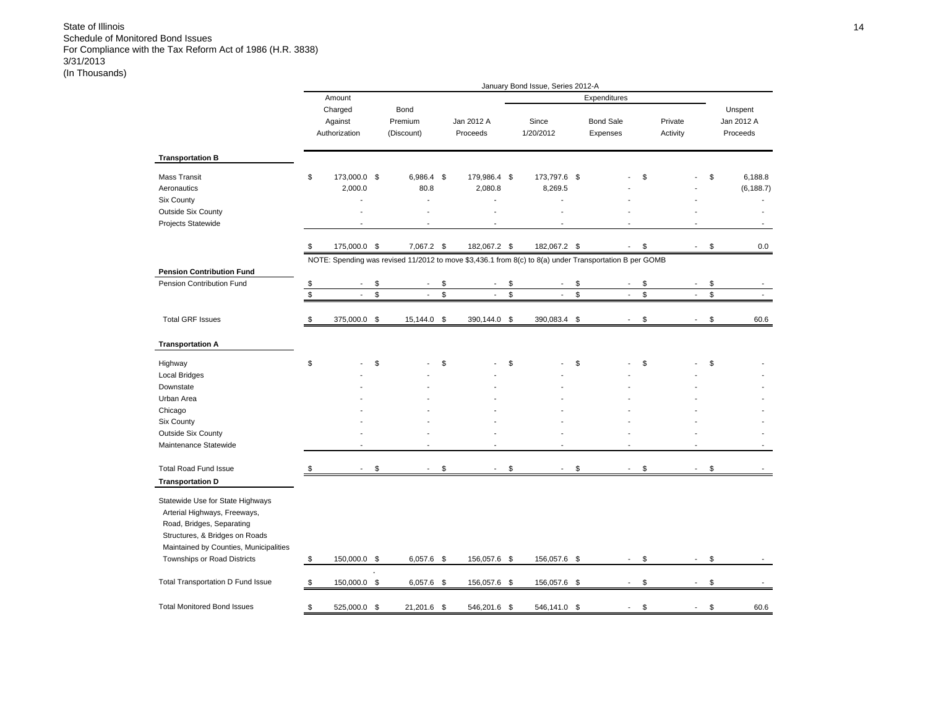|                                                                                                                                                                                                          |                                     |                                      |                                                                                                        | January Bond Issue, Series 2012-A |                              |                     |                          |                                   |
|----------------------------------------------------------------------------------------------------------------------------------------------------------------------------------------------------------|-------------------------------------|--------------------------------------|--------------------------------------------------------------------------------------------------------|-----------------------------------|------------------------------|---------------------|--------------------------|-----------------------------------|
|                                                                                                                                                                                                          | Amount                              |                                      |                                                                                                        |                                   | Expenditures                 |                     |                          |                                   |
|                                                                                                                                                                                                          | Charged<br>Against<br>Authorization | Bond<br>Premium<br>(Discount)        | Jan 2012 A<br>Proceeds                                                                                 | Since<br>1/20/2012                | <b>Bond Sale</b><br>Expenses | Private<br>Activity |                          | Unspent<br>Jan 2012 A<br>Proceeds |
| <b>Transportation B</b>                                                                                                                                                                                  |                                     |                                      |                                                                                                        |                                   |                              |                     |                          |                                   |
| Mass Transit<br>Aeronautics<br>Six County<br><b>Outside Six County</b><br>Projects Statewide                                                                                                             | \$<br>173,000.0 \$<br>2,000.0       | 6,986.4 \$<br>80.8<br>$\overline{a}$ | 179,986.4 \$<br>2,080.8                                                                                | 173,797.6 \$<br>8,269.5           |                              | \$                  |                          | \$<br>6,188.8<br>(6, 188.7)       |
|                                                                                                                                                                                                          | \$<br>175,000.0 \$                  | 7,067.2 \$                           | 182,067.2 \$                                                                                           | 182,067.2 \$                      | $\overline{\phantom{a}}$     | \$                  | $\mathbf{r}$             | \$<br>0.0                         |
| <b>Pension Contribution Fund</b>                                                                                                                                                                         |                                     |                                      | NOTE: Spending was revised 11/2012 to move \$3,436.1 from 8(c) to 8(a) under Transportation B per GOMB |                                   |                              |                     |                          |                                   |
| Pension Contribution Fund                                                                                                                                                                                | \$                                  | \$                                   | \$                                                                                                     | \$                                | \$                           | \$                  |                          | \$                                |
|                                                                                                                                                                                                          | \$<br>$\mathcal{L}$                 | \$<br>$\blacksquare$                 | \$<br>$\blacksquare$                                                                                   | \$<br>$\overline{\phantom{a}}$    | \$<br>$\blacksquare$         | \$                  | $\overline{\phantom{a}}$ | \$<br>$\overline{\phantom{a}}$    |
| <b>Total GRF Issues</b>                                                                                                                                                                                  | \$<br>375,000.0                     | \$<br>15,144.0 \$                    | 390,144.0                                                                                              | \$<br>390,083.4                   | \$                           | \$                  |                          | \$<br>60.6                        |
| <b>Transportation A</b>                                                                                                                                                                                  |                                     |                                      |                                                                                                        |                                   |                              |                     |                          |                                   |
| Highway<br>Local Bridges                                                                                                                                                                                 | \$                                  | \$                                   | \$                                                                                                     | \$                                | \$                           | \$                  |                          | \$                                |
| Downstate                                                                                                                                                                                                |                                     |                                      |                                                                                                        |                                   |                              |                     |                          |                                   |
| Urban Area                                                                                                                                                                                               |                                     |                                      |                                                                                                        |                                   |                              |                     |                          |                                   |
| Chicago                                                                                                                                                                                                  |                                     |                                      |                                                                                                        |                                   |                              |                     |                          |                                   |
| Six County                                                                                                                                                                                               |                                     |                                      |                                                                                                        |                                   |                              |                     |                          |                                   |
| Outside Six County<br>Maintenance Statewide                                                                                                                                                              |                                     |                                      |                                                                                                        |                                   |                              |                     |                          |                                   |
| <b>Total Road Fund Issue</b>                                                                                                                                                                             | \$                                  | \$                                   | \$                                                                                                     | \$                                | \$                           | \$                  |                          | \$                                |
| <b>Transportation D</b>                                                                                                                                                                                  |                                     |                                      |                                                                                                        |                                   |                              |                     |                          |                                   |
| Statewide Use for State Highways<br>Arterial Highways, Freeways,<br>Road, Bridges, Separating<br>Structures, & Bridges on Roads<br>Maintained by Counties, Municipalities<br>Townships or Road Districts | \$<br>150,000.0 \$                  | 6,057.6 \$                           | 156,057.6 \$                                                                                           | 156,057.6 \$                      | $\overline{\phantom{a}}$     | \$                  |                          | \$                                |
|                                                                                                                                                                                                          |                                     |                                      |                                                                                                        |                                   |                              |                     |                          |                                   |
| Total Transportation D Fund Issue                                                                                                                                                                        | \$<br>150,000.0 \$                  | $6,057.6$ \$                         | 156,057.6 \$                                                                                           | 156,057.6 \$                      |                              | \$                  |                          | \$                                |
| <b>Total Monitored Bond Issues</b>                                                                                                                                                                       | \$<br>525.000.0 \$                  | 21.201.6 \$                          | 546.201.6 \$                                                                                           | 546.141.0                         | \$                           | \$                  |                          | \$<br>60.6                        |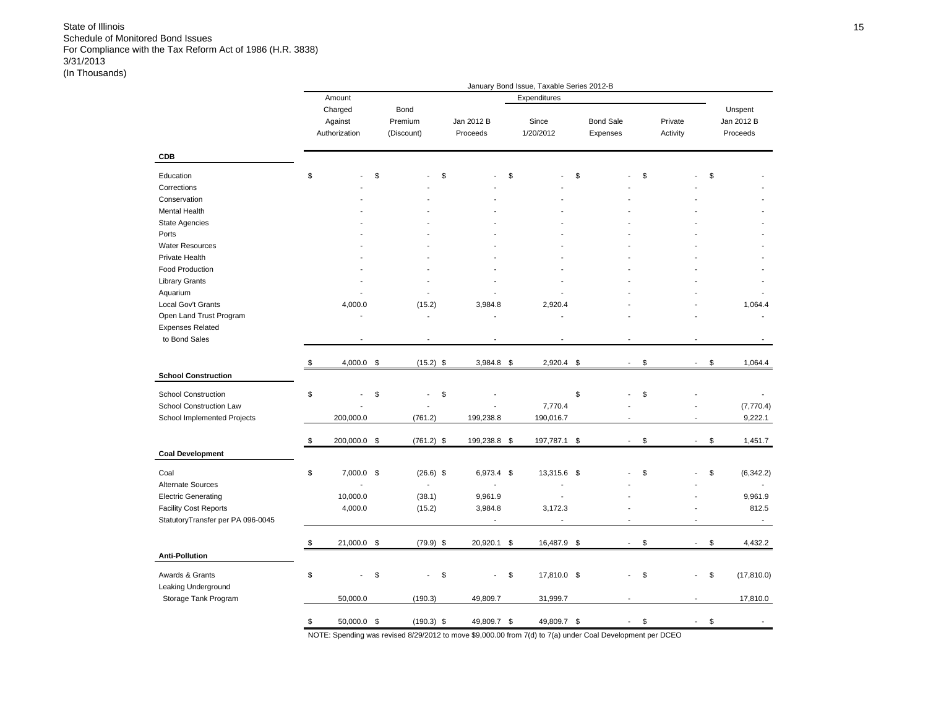|                                                                                                                                                                                     |                                         |                                 |                                        |      | January Bond Issue, Taxable Series 2012-B |                              |                     |                                |                                         |
|-------------------------------------------------------------------------------------------------------------------------------------------------------------------------------------|-----------------------------------------|---------------------------------|----------------------------------------|------|-------------------------------------------|------------------------------|---------------------|--------------------------------|-----------------------------------------|
|                                                                                                                                                                                     | Amount                                  |                                 |                                        |      | Expenditures                              |                              |                     |                                |                                         |
|                                                                                                                                                                                     | Charged<br>Against<br>Authorization     | Bond<br>Premium<br>(Discount)   | Jan 2012 B<br>Proceeds                 |      | Since<br>1/20/2012                        | <b>Bond Sale</b><br>Expenses | Private<br>Activity |                                | Unspent<br>Jan 2012 B<br>Proceeds       |
| <b>CDB</b>                                                                                                                                                                          |                                         |                                 |                                        |      |                                           |                              |                     |                                |                                         |
| Education<br>Corrections<br>Conservation<br>Mental Health<br><b>State Agencies</b><br>Ports<br><b>Water Resources</b><br>Private Health<br>Food Production<br><b>Library Grants</b> | \$                                      | \$                              | \$                                     | \$   |                                           | \$                           | \$                  | \$                             |                                         |
| Aquarium<br>Local Gov't Grants<br>Open Land Trust Program<br><b>Expenses Related</b><br>to Bond Sales                                                                               | 4,000.0                                 | (15.2)<br>L,                    | 3,984.8                                |      | 2,920.4                                   |                              |                     |                                | 1,064.4                                 |
| <b>School Construction</b>                                                                                                                                                          | \$<br>4,000.0                           | \$<br>$(15.2)$ \$               | 3,984.8                                | - \$ | 2,920.4                                   | \$                           | \$                  | \$                             | 1,064.4                                 |
| <b>School Construction</b><br>School Construction Law<br>School Implemented Projects                                                                                                | \$<br>200,000.0                         | \$<br>$\overline{a}$<br>(761.2) | \$<br>199,238.8                        |      | 7,770.4<br>190,016.7                      | \$<br>$\overline{a}$         | \$                  | L.                             | (7,770.4)<br>9,222.1                    |
| <b>Coal Development</b>                                                                                                                                                             | \$<br>200,000.0 \$                      | $(761.2)$ \$                    | 199,238.8 \$                           |      | 197,787.1 \$                              | $\overline{\phantom{a}}$     | \$                  | \$<br>$\blacksquare$           | 1,451.7                                 |
| Coal<br>Alternate Sources<br><b>Electric Generating</b><br><b>Facility Cost Reports</b><br>StatutoryTransfer per PA 096-0045                                                        | \$<br>7,000.0 \$<br>10,000.0<br>4,000.0 | $(26.6)$ \$<br>(38.1)<br>(15.2) | 6,973.4 \$<br>9,961.9<br>3,984.8<br>÷, |      | 13,315.6 \$<br>$\overline{a}$<br>3,172.3  |                              | \$                  | \$<br>L.                       | (6,342.2)<br>9,961.9<br>812.5<br>$\sim$ |
|                                                                                                                                                                                     | \$<br>21,000.0 \$                       | $(79.9)$ \$                     | 20,920.1 \$                            |      | 16,487.9 \$                               | $\overline{\phantom{a}}$     | \$                  | \$<br>$\overline{\phantom{a}}$ | 4,432.2                                 |
| <b>Anti-Pollution</b><br>Awards & Grants<br>Leaking Underground                                                                                                                     | \$                                      | \$                              | \$                                     | \$   | 17,810.0 \$                               |                              | \$                  | \$                             | (17, 810.0)                             |
| Storage Tank Program                                                                                                                                                                | 50,000.0                                | (190.3)                         | 49,809.7                               |      | 31,999.7                                  |                              |                     | $\overline{a}$                 | 17,810.0                                |
|                                                                                                                                                                                     | \$<br>50,000.0 \$                       | $(190.3)$ \$                    | 49,809.7 \$                            |      | 49,809.7 \$                               | $\overline{a}$               | \$                  | \$                             |                                         |

NOTE: Spending was revised 8/29/2012 to move \$9,000.00 from 7(d) to 7(a) under Coal Development per DCEO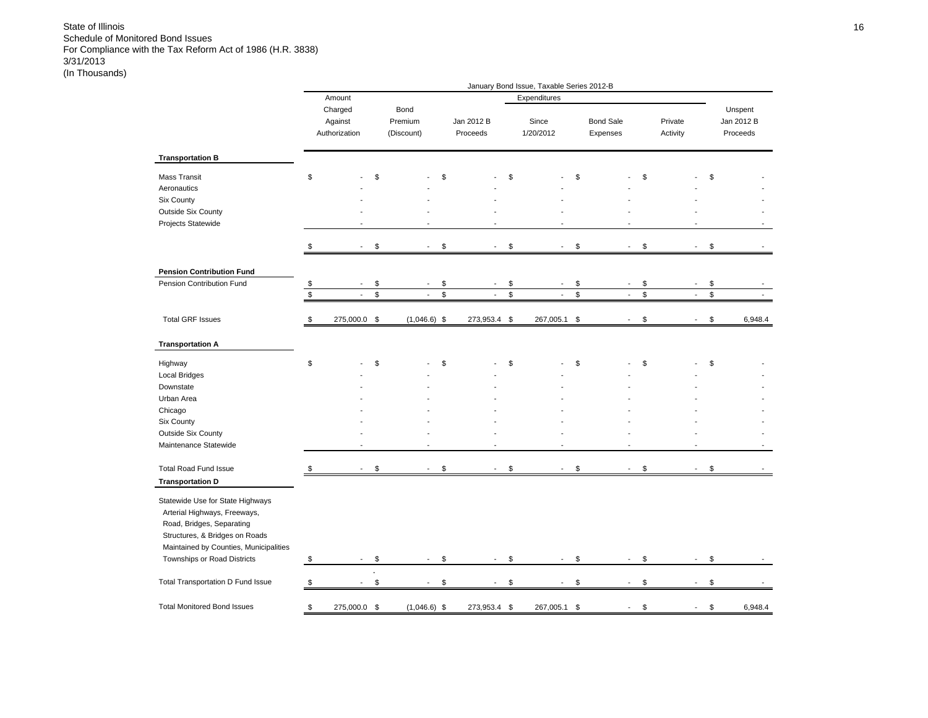|                                                                                                                                                                                                                                     |                                     |                                |                                | January Bond Issue, Taxable Series 2012-B |                                |                      |                          |                                   |
|-------------------------------------------------------------------------------------------------------------------------------------------------------------------------------------------------------------------------------------|-------------------------------------|--------------------------------|--------------------------------|-------------------------------------------|--------------------------------|----------------------|--------------------------|-----------------------------------|
|                                                                                                                                                                                                                                     | Amount                              |                                |                                | Expenditures                              |                                |                      |                          |                                   |
|                                                                                                                                                                                                                                     | Charged<br>Against<br>Authorization | Bond<br>Premium<br>(Discount)  | Jan 2012 B<br>Proceeds         | Since<br>1/20/2012                        | <b>Bond Sale</b><br>Expenses   | Private<br>Activity  |                          | Unspent<br>Jan 2012 B<br>Proceeds |
| <b>Transportation B</b>                                                                                                                                                                                                             |                                     |                                |                                |                                           |                                |                      |                          |                                   |
| Mass Transit<br>Aeronautics<br>Six County<br>Outside Six County<br>Projects Statewide                                                                                                                                               | \$                                  | \$                             | \$                             | \$                                        | \$                             | \$                   |                          | \$                                |
|                                                                                                                                                                                                                                     |                                     | \$<br>$\blacksquare$           | \$<br>$\overline{\phantom{a}}$ | \$<br>$\overline{a}$                      | \$<br>$\sim$                   | \$                   | $\overline{\phantom{a}}$ | \$                                |
| <b>Pension Contribution Fund</b>                                                                                                                                                                                                    |                                     |                                |                                |                                           |                                |                      |                          |                                   |
| Pension Contribution Fund                                                                                                                                                                                                           | \$                                  | \$<br>$\overline{\phantom{a}}$ | \$<br>$\overline{a}$           | \$<br>$\overline{\phantom{a}}$            | \$<br>$\sim$                   | \$                   | $\blacksquare$           | \$                                |
|                                                                                                                                                                                                                                     | \$<br>$\blacksquare$                | \$<br>$\blacksquare$           | \$<br>$\overline{\phantom{a}}$ | \$<br>$\overline{\phantom{a}}$            | \$<br>$\blacksquare$           | \$                   | $\overline{\phantom{a}}$ | \$                                |
| <b>Total GRF Issues</b>                                                                                                                                                                                                             | \$<br>275,000.0                     | \$<br>$(1,046.6)$ \$           | 273,953.4 \$                   | 267,005.1                                 | \$<br>$\sim$                   | \$<br>$\overline{a}$ |                          | \$<br>6,948.4                     |
| <b>Transportation A</b>                                                                                                                                                                                                             |                                     |                                |                                |                                           |                                |                      |                          |                                   |
| Highway<br><b>Local Bridges</b>                                                                                                                                                                                                     | \$                                  | \$                             | \$                             | \$                                        | \$                             | \$                   |                          | \$                                |
| Downstate                                                                                                                                                                                                                           |                                     |                                |                                |                                           |                                |                      |                          |                                   |
| Urban Area<br>Chicago                                                                                                                                                                                                               |                                     |                                |                                |                                           |                                |                      |                          |                                   |
| Six County                                                                                                                                                                                                                          |                                     |                                |                                |                                           |                                |                      |                          |                                   |
| Outside Six County                                                                                                                                                                                                                  |                                     |                                |                                |                                           |                                |                      |                          |                                   |
| Maintenance Statewide                                                                                                                                                                                                               |                                     |                                | ÷,                             |                                           |                                |                      |                          |                                   |
| <b>Total Road Fund Issue</b>                                                                                                                                                                                                        | \$                                  | \$                             | \$                             | \$                                        | \$                             | \$<br>÷,             |                          | \$                                |
| <b>Transportation D</b><br>Statewide Use for State Highways<br>Arterial Highways, Freeways,<br>Road, Bridges, Separating<br>Structures, & Bridges on Roads<br>Maintained by Counties, Municipalities<br>Townships or Road Districts | \$<br>$\overline{\phantom{a}}$      | \$<br>$\overline{\phantom{a}}$ | \$<br>$\overline{\phantom{a}}$ | \$<br>$\overline{\phantom{a}}$            | \$<br>$\mathbf{r}$             | \$                   | $\mathbf{r}$             | \$                                |
| Total Transportation D Fund Issue                                                                                                                                                                                                   | \$                                  | \$                             | \$                             | \$<br>$\overline{a}$                      | \$<br>$\overline{\phantom{a}}$ | \$<br>$\overline{a}$ |                          | \$                                |
|                                                                                                                                                                                                                                     |                                     |                                |                                |                                           |                                |                      |                          |                                   |
| <b>Total Monitored Bond Issues</b>                                                                                                                                                                                                  | \$<br>275,000.0                     | \$<br>$(1,046.6)$ \$           | 273,953.4                      | \$<br>267,005.1                           | \$                             | \$                   |                          | \$<br>6,948.4                     |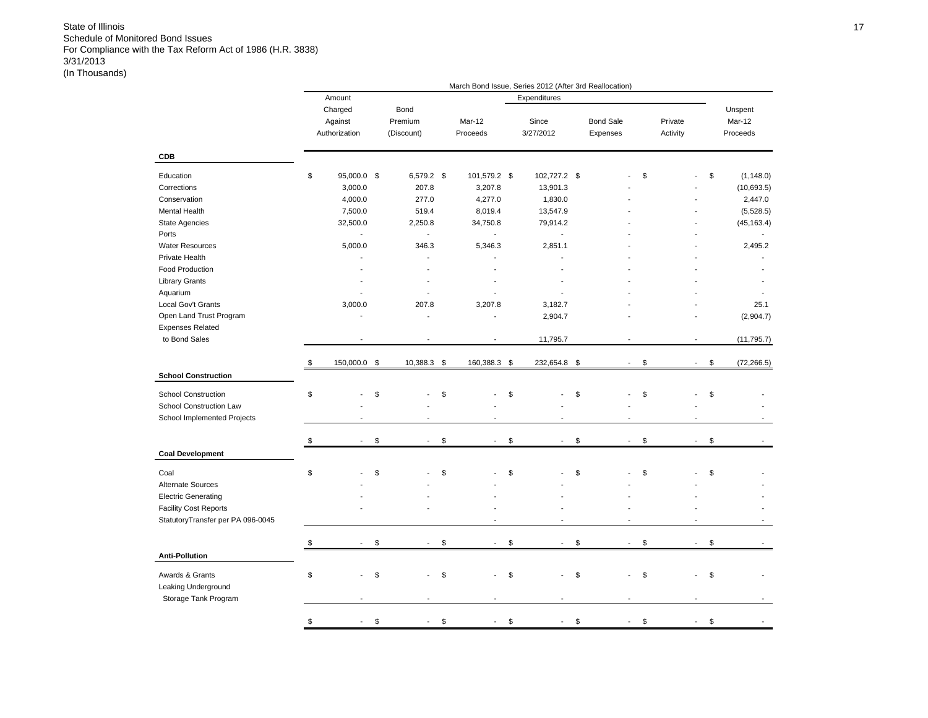|                                   |                    |                                |                                | March Bond Issue, Series 2012 (After 3rd Reallocation) |                                |          |                          |                   |
|-----------------------------------|--------------------|--------------------------------|--------------------------------|--------------------------------------------------------|--------------------------------|----------|--------------------------|-------------------|
|                                   | Amount             |                                |                                | Expenditures                                           |                                |          |                          |                   |
|                                   | Charged            | Bond                           |                                |                                                        |                                |          |                          | Unspent           |
|                                   | Against            | Premium                        | Mar-12                         | Since                                                  | <b>Bond Sale</b>               | Private  |                          | Mar-12            |
|                                   | Authorization      | (Discount)                     | Proceeds                       | 3/27/2012                                              | Expenses                       | Activity |                          | Proceeds          |
| <b>CDB</b>                        |                    |                                |                                |                                                        |                                |          |                          |                   |
|                                   |                    |                                |                                |                                                        |                                |          |                          |                   |
| Education                         | \$<br>95,000.0 \$  | 6,579.2 \$                     | 101,579.2 \$                   | 102,727.2 \$                                           |                                | \$       |                          | \$<br>(1, 148.0)  |
| Corrections                       | 3,000.0            | 207.8                          | 3,207.8                        | 13,901.3                                               |                                |          |                          | (10,693.5)        |
| Conservation                      | 4,000.0            | 277.0                          | 4,277.0                        | 1,830.0                                                |                                |          |                          | 2,447.0           |
| Mental Health                     | 7,500.0            | 519.4                          | 8,019.4                        | 13,547.9                                               |                                |          |                          | (5,528.5)         |
| State Agencies                    | 32,500.0           | 2,250.8                        | 34,750.8                       | 79,914.2                                               |                                |          |                          | (45, 163.4)       |
| Ports                             | ä,                 | $\blacksquare$                 | $\overline{\phantom{a}}$       | $\overline{\phantom{a}}$                               |                                |          |                          |                   |
| <b>Water Resources</b>            | 5,000.0            | 346.3                          | 5,346.3                        | 2,851.1                                                |                                |          |                          | 2,495.2           |
| Private Health                    |                    |                                |                                |                                                        |                                |          |                          |                   |
| <b>Food Production</b>            |                    |                                |                                |                                                        |                                |          |                          |                   |
| <b>Library Grants</b>             |                    |                                |                                |                                                        |                                |          |                          |                   |
| Aquarium                          |                    |                                |                                |                                                        |                                |          |                          |                   |
| Local Gov't Grants                | 3,000.0            | 207.8                          | 3,207.8                        | 3,182.7                                                |                                |          |                          | 25.1              |
| Open Land Trust Program           |                    | $\overline{\phantom{a}}$       |                                | 2,904.7                                                |                                |          |                          | (2,904.7)         |
| <b>Expenses Related</b>           |                    |                                |                                |                                                        |                                |          |                          |                   |
| to Bond Sales                     |                    |                                |                                | 11,795.7                                               |                                |          |                          | (11, 795.7)       |
|                                   |                    |                                |                                |                                                        |                                |          |                          |                   |
|                                   | \$<br>150,000.0 \$ | 10,388.3 \$                    | 160,388.3 \$                   | 232,654.8                                              | \$<br>$\overline{\phantom{a}}$ | \$       | $\sim$                   | \$<br>(72, 266.5) |
| <b>School Construction</b>        |                    |                                |                                |                                                        |                                |          |                          |                   |
| <b>School Construction</b>        | \$                 | \$                             | \$                             | \$                                                     | \$                             | \$       |                          | \$                |
| School Construction Law           |                    |                                |                                |                                                        |                                |          |                          |                   |
| School Implemented Projects       |                    |                                |                                |                                                        |                                |          |                          |                   |
|                                   |                    |                                |                                |                                                        |                                |          |                          |                   |
|                                   | \$                 | \$<br>$\overline{\phantom{a}}$ | \$<br>$\overline{\phantom{a}}$ | \$<br>$\blacksquare$                                   | \$<br>$\blacksquare$           | \$       | $\overline{\phantom{a}}$ | \$                |
| <b>Coal Development</b>           |                    |                                |                                |                                                        |                                |          |                          |                   |
| Coal                              | \$                 | \$                             | \$                             | \$                                                     | \$                             | \$       |                          | \$                |
|                                   |                    |                                |                                |                                                        |                                |          |                          |                   |
| Alternate Sources                 |                    |                                |                                |                                                        |                                |          |                          |                   |
| <b>Electric Generating</b>        |                    |                                |                                |                                                        |                                |          |                          |                   |
| <b>Facility Cost Reports</b>      |                    |                                |                                |                                                        |                                |          |                          |                   |
| StatutoryTransfer per PA 096-0045 |                    |                                |                                |                                                        |                                |          |                          |                   |
|                                   | \$                 | \$<br>$\blacksquare$           | \$<br>$\sim$                   | \$<br>$\sim$                                           | \$<br>$\sim$                   | \$       | $\sim$                   | \$                |
| <b>Anti-Pollution</b>             |                    |                                |                                |                                                        |                                |          |                          |                   |
|                                   |                    |                                |                                |                                                        |                                |          |                          |                   |
| Awards & Grants                   | \$                 | \$                             | \$                             | \$                                                     | \$                             | \$       |                          | \$                |
| Leaking Underground               |                    |                                |                                |                                                        |                                |          |                          |                   |
| Storage Tank Program              |                    |                                |                                |                                                        |                                |          |                          |                   |
|                                   |                    |                                |                                |                                                        |                                |          |                          |                   |
|                                   | \$                 | \$                             | \$                             | \$                                                     | \$                             | \$       |                          | \$                |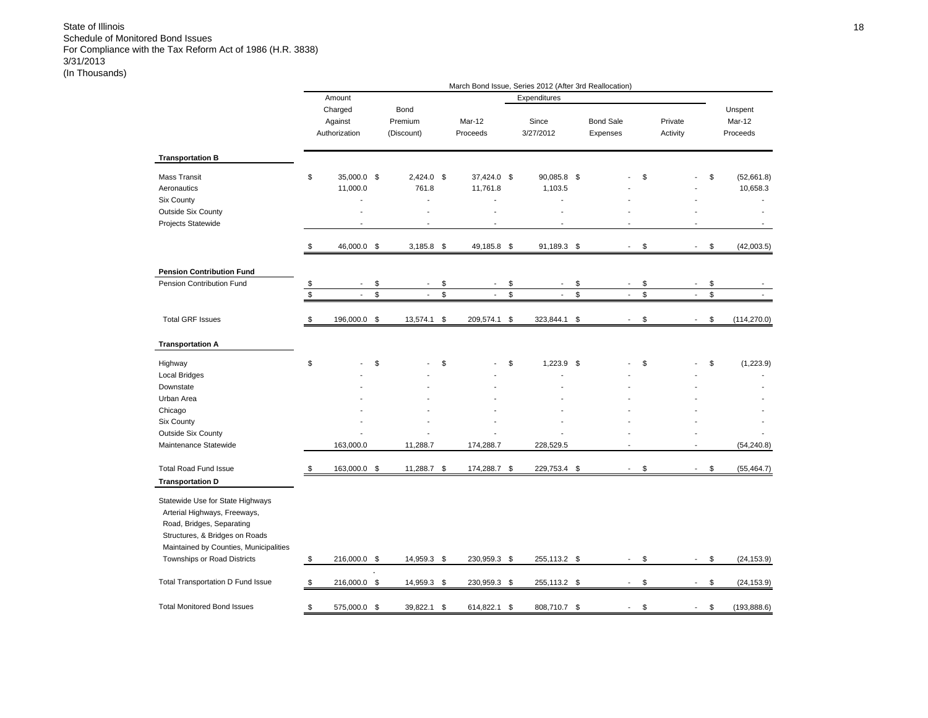|                                                                                                                                                                                                          |       |                                     |                               |                                |                | March Bond Issue, Series 2012 (After 3rd Reallocation) |     |                              |              |                     |                          |                |                               |
|----------------------------------------------------------------------------------------------------------------------------------------------------------------------------------------------------------|-------|-------------------------------------|-------------------------------|--------------------------------|----------------|--------------------------------------------------------|-----|------------------------------|--------------|---------------------|--------------------------|----------------|-------------------------------|
|                                                                                                                                                                                                          |       | Amount                              |                               |                                |                | Expenditures                                           |     |                              |              |                     |                          |                |                               |
|                                                                                                                                                                                                          |       | Charged<br>Against<br>Authorization | Bond<br>Premium<br>(Discount) | Mar-12<br>Proceeds             |                | Since<br>3/27/2012                                     |     | <b>Bond Sale</b><br>Expenses |              | Private<br>Activity |                          |                | Unspent<br>Mar-12<br>Proceeds |
| <b>Transportation B</b>                                                                                                                                                                                  |       |                                     |                               |                                |                |                                                        |     |                              |              |                     |                          |                |                               |
| <b>Mass Transit</b><br>Aeronautics<br><b>Six County</b><br><b>Outside Six County</b><br>Projects Statewide                                                                                               | \$    | 35,000.0 \$<br>11,000.0             | $2,424.0$ \$<br>761.8<br>÷.   | 37,424.0 \$<br>11,761.8        |                | 90,085.8 \$<br>1,103.5<br>ä,                           |     |                              | \$           |                     |                          | \$             | (52,661.8)<br>10,658.3        |
|                                                                                                                                                                                                          | \$    | 46,000.0 \$                         | $3,185.8$ \$                  | 49,185.8 \$                    |                | 91,189.3 \$                                            |     | $\overline{\phantom{a}}$     | \$           |                     | $\overline{\phantom{a}}$ | \$             | (42,003.5)                    |
| <b>Pension Contribution Fund</b>                                                                                                                                                                         |       |                                     |                               |                                |                |                                                        |     |                              |              |                     |                          |                |                               |
| Pension Contribution Fund                                                                                                                                                                                | $\$\$ | $\overline{\phantom{a}}$            | \$<br>$\blacksquare$          | \$<br>$\overline{\phantom{a}}$ | \$             | $\overline{\phantom{a}}$                               | \$  | $\overline{\phantom{a}}$     | \$           |                     | $\overline{\phantom{a}}$ | \$             |                               |
|                                                                                                                                                                                                          | $\,$  | $\blacksquare$                      | \$<br>$\mathbf{r}$            | \$<br>$\mathbf{r}$             | $$\mathbb{S}$$ | $\overline{\phantom{a}}$                               | \$  | $\blacksquare$               | $\mathbb{S}$ |                     | $\overline{\phantom{a}}$ | $$\mathbb{S}$$ |                               |
| <b>Total GRF Issues</b>                                                                                                                                                                                  | \$    | 196,000.0                           | \$<br>13,574.1                | \$<br>209,574.1                | \$             | 323,844.1                                              | \$  |                              | \$           |                     |                          | \$             | (114, 270.0)                  |
| <b>Transportation A</b>                                                                                                                                                                                  |       |                                     |                               |                                |                |                                                        |     |                              |              |                     |                          |                |                               |
| Highway<br><b>Local Bridges</b><br>Downstate                                                                                                                                                             | \$    |                                     | \$                            | \$                             | \$             | $1,223.9$ \$                                           |     |                              | \$           |                     |                          | \$             | (1,223.9)                     |
| Urban Area                                                                                                                                                                                               |       |                                     |                               |                                |                |                                                        |     |                              |              |                     |                          |                |                               |
| Chicago                                                                                                                                                                                                  |       |                                     |                               |                                |                |                                                        |     |                              |              |                     |                          |                |                               |
| Six County<br>Outside Six County                                                                                                                                                                         |       |                                     |                               |                                |                |                                                        |     |                              |              |                     |                          |                |                               |
| Maintenance Statewide                                                                                                                                                                                    |       | 163,000.0                           | 11,288.7                      | 174,288.7                      |                | 228,529.5                                              |     | ÷,                           |              |                     |                          |                | (54, 240.8)                   |
| <b>Total Road Fund Issue</b><br><b>Transportation D</b>                                                                                                                                                  | \$    | 163,000.0                           | \$<br>11,288.7                | \$<br>174,288.7                | \$             | 229,753.4                                              | \$  |                              | \$           |                     |                          | \$             | (55, 464.7)                   |
| Statewide Use for State Highways<br>Arterial Highways, Freeways,<br>Road, Bridges, Separating<br>Structures, & Bridges on Roads<br>Maintained by Counties, Municipalities<br>Townships or Road Districts | \$    | 216,000.0 \$                        | 14,959.3 \$                   | 230,959.3 \$                   |                | 255,113.2 \$                                           |     | $\blacksquare$               | \$           |                     | $\sim$                   | \$             | (24, 153.9)                   |
|                                                                                                                                                                                                          |       |                                     |                               |                                |                |                                                        |     |                              |              |                     |                          |                |                               |
| Total Transportation D Fund Issue                                                                                                                                                                        | \$    | 216,000.0 \$                        | 14,959.3 \$                   | 230,959.3 \$                   |                | 255,113.2                                              | -\$ | $\overline{a}$               | \$           |                     | $\blacksquare$           | \$             | (24, 153.9)                   |
| <b>Total Monitored Bond Issues</b>                                                                                                                                                                       | \$    | 575,000.0 \$                        | 39,822.1                      | \$<br>614,822.1                | \$             | 808,710.7 \$                                           |     |                              | \$           |                     |                          | \$             | (193, 888.6)                  |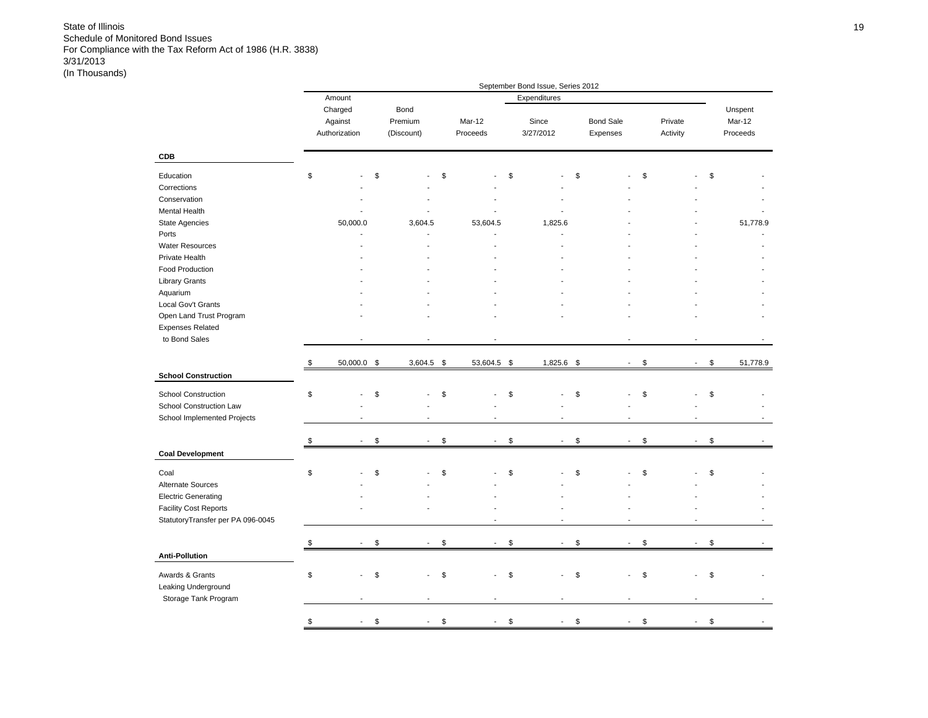|                                   |                                |                                |                                | September Bond Issue, Series 2012 |                                |                     |                                |                    |
|-----------------------------------|--------------------------------|--------------------------------|--------------------------------|-----------------------------------|--------------------------------|---------------------|--------------------------------|--------------------|
|                                   | Amount                         |                                |                                | Expenditures                      |                                |                     |                                |                    |
|                                   | Charged                        | Bond                           |                                |                                   |                                |                     |                                | Unspent            |
|                                   | Against<br>Authorization       | Premium<br>(Discount)          | Mar-12<br>Proceeds             | Since<br>3/27/2012                | <b>Bond Sale</b><br>Expenses   | Private<br>Activity |                                | Mar-12<br>Proceeds |
| <b>CDB</b>                        |                                |                                |                                |                                   |                                |                     |                                |                    |
| Education                         | \$                             | \$                             | \$                             | \$                                | \$                             | \$                  | \$                             |                    |
| Corrections                       |                                |                                |                                |                                   |                                |                     |                                |                    |
| Conservation                      |                                |                                |                                |                                   |                                |                     |                                |                    |
| Mental Health                     |                                |                                |                                |                                   |                                |                     |                                |                    |
| State Agencies                    | 50,000.0                       | 3,604.5                        | 53,604.5                       | 1,825.6                           |                                |                     |                                | 51,778.9           |
| Ports                             |                                |                                |                                |                                   |                                |                     |                                |                    |
| <b>Water Resources</b>            |                                |                                |                                |                                   |                                |                     |                                |                    |
| Private Health                    |                                |                                |                                |                                   |                                |                     |                                |                    |
| Food Production                   |                                |                                |                                |                                   |                                |                     |                                |                    |
| <b>Library Grants</b>             |                                |                                |                                |                                   |                                |                     |                                |                    |
| Aquarium                          |                                |                                |                                |                                   |                                |                     |                                |                    |
| Local Gov't Grants                |                                |                                |                                |                                   |                                |                     |                                |                    |
| Open Land Trust Program           |                                |                                |                                |                                   |                                |                     |                                |                    |
| <b>Expenses Related</b>           |                                |                                |                                |                                   |                                |                     |                                |                    |
| to Bond Sales                     |                                |                                |                                |                                   |                                |                     |                                |                    |
|                                   |                                |                                |                                |                                   |                                |                     |                                |                    |
|                                   | \$<br>50,000.0 \$              | $3,604.5$ \$                   | 53,604.5 \$                    | 1,825.6 \$                        | $\blacksquare$                 | \$                  | \$<br>$\overline{\phantom{a}}$ | 51,778.9           |
| <b>School Construction</b>        |                                |                                |                                |                                   |                                |                     |                                |                    |
| <b>School Construction</b>        | \$                             | \$                             | \$                             | \$                                | \$                             | \$                  | \$                             |                    |
| School Construction Law           |                                |                                |                                |                                   |                                |                     |                                |                    |
| School Implemented Projects       |                                |                                |                                |                                   |                                |                     |                                |                    |
|                                   |                                |                                |                                |                                   |                                |                     |                                |                    |
|                                   | \$<br>$\overline{\phantom{a}}$ | \$<br>$\overline{\phantom{a}}$ | \$<br>$\overline{\phantom{a}}$ | \$<br>$\blacksquare$              | \$<br>$\overline{\phantom{a}}$ | \$                  | \$<br>$\overline{\phantom{a}}$ |                    |
| <b>Coal Development</b>           |                                |                                |                                |                                   |                                |                     |                                |                    |
| Coal                              | \$                             | \$                             | \$                             | \$                                | \$                             | \$                  | \$                             |                    |
| Alternate Sources                 |                                |                                |                                |                                   |                                |                     |                                |                    |
| <b>Electric Generating</b>        |                                |                                |                                |                                   |                                |                     |                                |                    |
| <b>Facility Cost Reports</b>      |                                |                                |                                |                                   |                                |                     |                                |                    |
| StatutoryTransfer per PA 096-0045 |                                |                                |                                |                                   |                                |                     |                                |                    |
|                                   |                                |                                |                                |                                   |                                |                     |                                |                    |
|                                   | \$<br>$\sim$                   | \$<br>$\sim$                   | \$<br>$\sim$                   | \$<br>$\sim$                      | \$<br>$\sim$                   | \$                  | \$<br>$\sim$                   |                    |
| <b>Anti-Pollution</b>             |                                |                                |                                |                                   |                                |                     |                                |                    |
|                                   |                                |                                |                                | ÷.                                | $\overline{a}$                 |                     |                                |                    |
| Awards & Grants                   | \$                             | \$                             | \$                             | \$                                | \$                             | \$                  | \$                             |                    |
| Leaking Underground               |                                |                                |                                |                                   |                                |                     |                                |                    |
| Storage Tank Program              |                                |                                |                                |                                   |                                |                     |                                |                    |
|                                   | \$<br>÷,                       | \$                             | \$                             | \$<br>$\overline{a}$              | \$<br>L,                       | \$                  | \$<br>÷,                       |                    |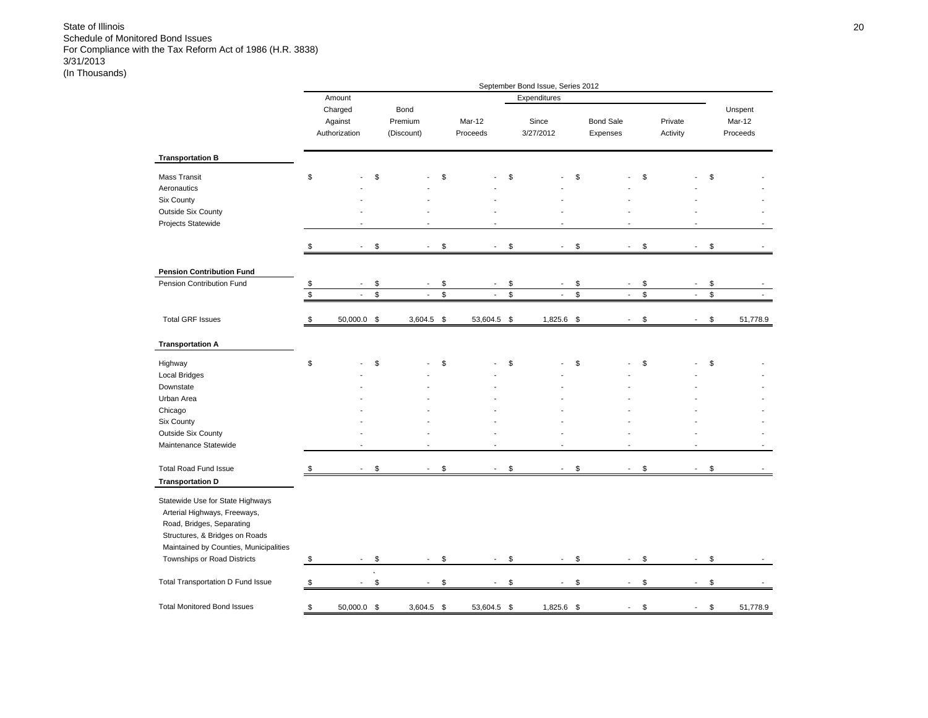|                                                                                                                                                                           |             |                                     |    |                               |             |                             | September Bond Issue, Series 2012 |              |                              |                |                     |                          |               |                               |
|---------------------------------------------------------------------------------------------------------------------------------------------------------------------------|-------------|-------------------------------------|----|-------------------------------|-------------|-----------------------------|-----------------------------------|--------------|------------------------------|----------------|---------------------|--------------------------|---------------|-------------------------------|
|                                                                                                                                                                           |             | Amount                              |    |                               |             |                             | Expenditures                      |              |                              |                |                     |                          |               |                               |
|                                                                                                                                                                           |             | Charged<br>Against<br>Authorization |    | Bond<br>Premium<br>(Discount) |             | Mar-12<br>Proceeds          | Since<br>3/27/2012                |              | <b>Bond Sale</b><br>Expenses |                | Private<br>Activity |                          |               | Unspent<br>Mar-12<br>Proceeds |
| <b>Transportation B</b>                                                                                                                                                   |             |                                     |    |                               |             |                             |                                   |              |                              |                |                     |                          |               |                               |
| Mass Transit<br>Aeronautics<br><b>Six County</b><br>Outside Six County<br>Projects Statewide                                                                              | \$          |                                     | \$ |                               | \$          |                             | \$                                | \$           |                              | \$             |                     |                          | \$            |                               |
|                                                                                                                                                                           | \$          |                                     | \$ |                               | \$          | ÷,                          | \$<br>$\sim$                      | \$           | $\sim$                       | \$             |                     | $\overline{\phantom{a}}$ | \$            |                               |
| <b>Pension Contribution Fund</b>                                                                                                                                          |             |                                     |    |                               |             |                             |                                   |              |                              |                |                     |                          |               |                               |
| Pension Contribution Fund                                                                                                                                                 | \$          |                                     | \$ |                               | \$          |                             | \$                                | \$           |                              | \$             |                     |                          | \$            |                               |
|                                                                                                                                                                           | $\mathbb S$ | $\mathcal{L}$                       | \$ | $\mathbb{Z}^{\mathbb{Z}}$     | $\mathbb S$ | $\mathcal{L}_{\mathcal{A}}$ | \$<br>$\mathcal{L}^{\mathcal{A}}$ | $\mathbb{S}$ | ÷.                           | $$\mathbb{S}$$ |                     | $\mathcal{L}$            | $\mathsf{\$}$ |                               |
| <b>Total GRF Issues</b>                                                                                                                                                   | \$          | 50,000.0 \$                         |    | $3,604.5$ \$                  |             | 53,604.5                    | \$<br>1,825.6                     | - \$         | $\sim$                       | \$             |                     | $\blacksquare$           | \$            | 51,778.9                      |
| <b>Transportation A</b>                                                                                                                                                   |             |                                     |    |                               |             |                             |                                   |              |                              |                |                     |                          |               |                               |
| Highway<br><b>Local Bridges</b>                                                                                                                                           | \$          |                                     | \$ |                               | \$          |                             | \$                                | \$           |                              | \$             |                     |                          | \$            |                               |
| Downstate                                                                                                                                                                 |             |                                     |    |                               |             |                             |                                   |              |                              |                |                     |                          |               |                               |
| Urban Area<br>Chicago                                                                                                                                                     |             |                                     |    |                               |             |                             |                                   |              |                              |                |                     |                          |               |                               |
| Six County                                                                                                                                                                |             |                                     |    |                               |             |                             |                                   |              |                              |                |                     |                          |               |                               |
| Outside Six County                                                                                                                                                        |             |                                     |    |                               |             |                             |                                   |              |                              |                |                     |                          |               |                               |
| Maintenance Statewide                                                                                                                                                     |             |                                     |    |                               |             | ÷                           | $\overline{\phantom{a}}$          |              |                              |                |                     |                          |               |                               |
| <b>Total Road Fund Issue</b><br><b>Transportation D</b>                                                                                                                   | \$          |                                     | S  |                               | \$          |                             | \$                                | \$           |                              | \$             |                     |                          | \$            |                               |
| Statewide Use for State Highways<br>Arterial Highways, Freeways,<br>Road, Bridges, Separating<br>Structures, & Bridges on Roads<br>Maintained by Counties, Municipalities |             |                                     |    |                               |             |                             |                                   |              |                              |                |                     |                          |               |                               |
| Townships or Road Districts                                                                                                                                               | \$          | $\blacksquare$                      | \$ | $\sim$                        | \$          | $\sim$                      | \$<br>$\blacksquare$              | \$           | $\overline{\phantom{a}}$     | \$             |                     | $\mathbf{r}$             | \$            |                               |
| Total Transportation D Fund Issue                                                                                                                                         | \$          |                                     | \$ |                               | \$          |                             | \$<br>$\overline{\phantom{a}}$    | \$           | $\overline{\phantom{a}}$     | \$             |                     | $\overline{a}$           | \$            |                               |
| <b>Total Monitored Bond Issues</b>                                                                                                                                        | \$          | 50,000.0 \$                         |    | 3,604.5                       | \$          | 53,604.5                    | \$<br>1,825.6                     | \$           |                              | \$             |                     |                          | \$            | 51,778.9                      |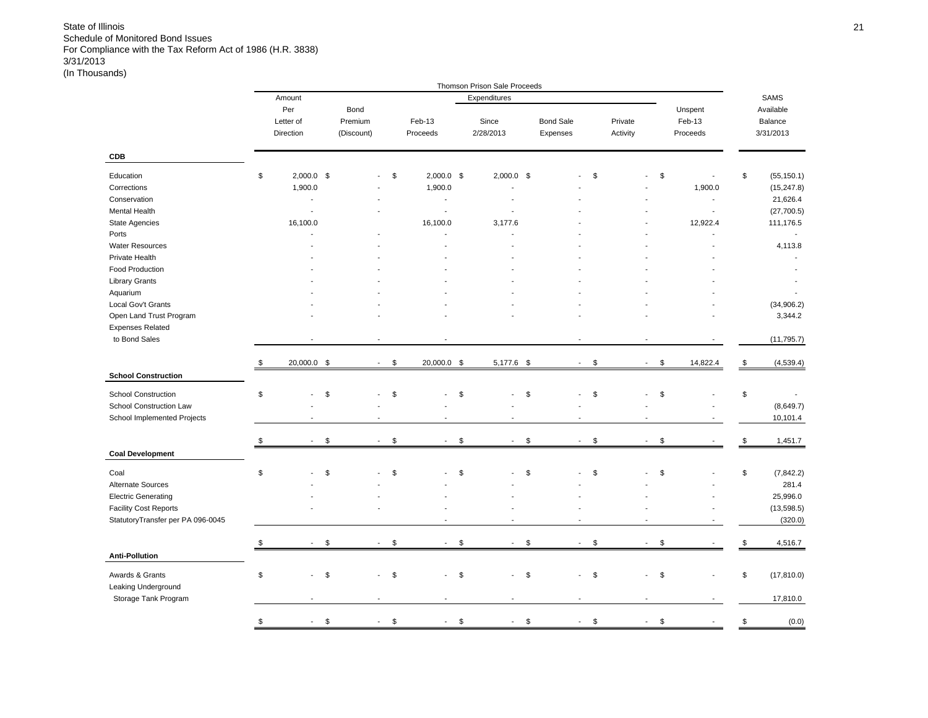|                                   |                          |                                 |                      |                          | Thomson Prison Sale Proceeds |                                |          |                          |                |                   |
|-----------------------------------|--------------------------|---------------------------------|----------------------|--------------------------|------------------------------|--------------------------------|----------|--------------------------|----------------|-------------------|
|                                   | Amount                   |                                 |                      |                          | Expenditures                 |                                |          |                          |                | SAMS              |
|                                   | Per                      | Bond                            |                      |                          |                              |                                |          |                          | Unspent        | Available         |
|                                   | Letter of                | Premium                         |                      | Feb-13                   | Since                        | <b>Bond Sale</b>               | Private  |                          | Feb-13         | Balance           |
|                                   | Direction                | (Discount)                      |                      | Proceeds                 | 2/28/2013                    | Expenses                       | Activity |                          | Proceeds       | 3/31/2013         |
| CDB                               |                          |                                 |                      |                          |                              |                                |          |                          |                |                   |
| Education                         | \$<br>$2,000.0$ \$       |                                 | \$                   | $2,000.0$ \$             | $2,000.0$ \$                 |                                | \$       |                          | \$             | \$<br>(55, 150.1) |
| Corrections                       | 1,900.0                  |                                 |                      | 1,900.0                  |                              |                                |          |                          | 1,900.0        | (15, 247.8)       |
| Conservation                      | $\blacksquare$           |                                 |                      | $\blacksquare$           |                              |                                |          |                          | $\blacksquare$ | 21,626.4          |
| Mental Health                     | $\overline{\phantom{a}}$ |                                 |                      | $\blacksquare$           |                              |                                |          |                          | $\blacksquare$ | (27,700.5)        |
|                                   |                          |                                 |                      |                          |                              |                                |          |                          |                |                   |
| <b>State Agencies</b>             | 16,100.0                 |                                 |                      | 16,100.0                 | 3,177.6                      |                                |          |                          | 12,922.4       | 111,176.5         |
| Ports                             |                          |                                 |                      |                          | $\overline{a}$               |                                |          |                          |                |                   |
| <b>Water Resources</b>            |                          |                                 |                      |                          |                              |                                |          |                          |                | 4,113.8           |
| Private Health                    |                          |                                 |                      |                          |                              |                                |          |                          |                |                   |
| Food Production                   |                          |                                 |                      |                          |                              |                                |          |                          |                |                   |
| <b>Library Grants</b>             |                          |                                 |                      |                          |                              |                                |          |                          |                |                   |
| Aquarium                          |                          |                                 |                      |                          |                              |                                |          |                          |                |                   |
| Local Gov't Grants                |                          |                                 |                      |                          |                              |                                |          |                          |                | (34, 906.2)       |
| Open Land Trust Program           |                          |                                 |                      |                          |                              |                                |          |                          |                | 3,344.2           |
| <b>Expenses Related</b>           |                          |                                 |                      |                          |                              |                                |          |                          |                |                   |
| to Bond Sales                     |                          |                                 |                      |                          |                              |                                |          |                          |                | (11, 795.7)       |
|                                   |                          |                                 |                      |                          |                              |                                |          |                          |                |                   |
| <b>School Construction</b>        | \$<br>20,000.0 \$        |                                 | \$<br>$\blacksquare$ | 20,000.0 \$              | 5,177.6 \$                   | $\sim$                         | \$       | $\blacksquare$           | \$<br>14,822.4 | \$<br>(4, 539.4)  |
|                                   |                          |                                 |                      |                          |                              |                                |          |                          |                |                   |
| <b>School Construction</b>        | \$                       | \$<br>÷,                        | \$                   |                          | \$                           | \$                             | \$       |                          | \$             | \$                |
| School Construction Law           |                          |                                 |                      |                          |                              |                                |          |                          |                | (8,649.7)         |
| School Implemented Projects       |                          |                                 |                      | $\blacksquare$           |                              |                                |          |                          |                | 10,101.4          |
|                                   | \$                       | $\mathfrak s$<br>$\mathbf{r}$   | \$                   | $\blacksquare$           | \$<br>$\overline{a}$         | \$<br>$\overline{\phantom{a}}$ | \$       | $\overline{\phantom{a}}$ | \$             | \$<br>1,451.7     |
| <b>Coal Development</b>           |                          |                                 |                      |                          |                              |                                |          |                          |                |                   |
| Coal                              | \$                       | \$                              | \$                   |                          | \$                           | \$                             | \$       |                          | \$             | \$<br>(7, 842.2)  |
| Alternate Sources                 |                          |                                 |                      |                          |                              |                                |          |                          |                | 281.4             |
| <b>Electric Generating</b>        |                          |                                 |                      |                          |                              |                                |          |                          |                | 25,996.0          |
|                                   |                          |                                 |                      |                          |                              |                                |          |                          |                |                   |
| <b>Facility Cost Reports</b>      |                          |                                 |                      |                          |                              |                                |          |                          |                | (13, 598.5)       |
| StatutoryTransfer per PA 096-0045 |                          |                                 |                      | $\overline{\phantom{a}}$ |                              |                                |          |                          |                | (320.0)           |
|                                   | \$                       | $\mathfrak s$<br>$\overline{a}$ | \$                   | $\blacksquare$           | \$<br>$\overline{a}$         | \$<br>$\blacksquare$           | \$       | $\blacksquare$           | \$             | \$<br>4,516.7     |
| <b>Anti-Pollution</b>             |                          |                                 |                      |                          |                              |                                |          |                          |                |                   |
| Awards & Grants                   | \$                       | \$<br>$\overline{\phantom{a}}$  | \$                   |                          | \$<br>÷,                     | \$                             | \$       | ÷,                       | \$             | \$<br>(17, 810.0) |
| Leaking Underground               |                          |                                 |                      |                          |                              |                                |          |                          |                |                   |
| Storage Tank Program              |                          | $\overline{a}$                  |                      |                          | $\overline{a}$               |                                |          | $\overline{\phantom{a}}$ |                | 17,810.0          |
|                                   | \$<br>$\blacksquare$     | \$<br>$\overline{\phantom{a}}$  | \$                   | $\overline{\phantom{a}}$ | \$<br>$\blacksquare$         | \$<br>$\blacksquare$           | \$       | $\overline{\phantom{a}}$ | \$             | \$<br>(0.0)       |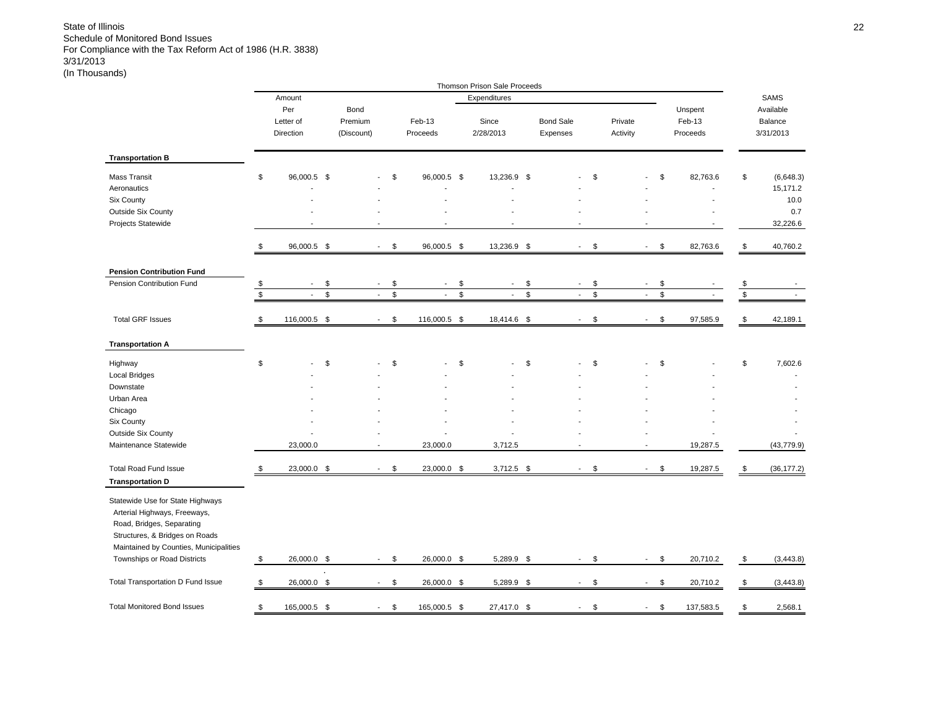|                                                                                                                                                                           |                   |                                                         |          |                                    |          |                                  |                    | Thomson Prison Sale Proceeds               |                     |                                    |          |                          |          |                               |                 |                                   |
|---------------------------------------------------------------------------------------------------------------------------------------------------------------------------|-------------------|---------------------------------------------------------|----------|------------------------------------|----------|----------------------------------|--------------------|--------------------------------------------|---------------------|------------------------------------|----------|--------------------------|----------|-------------------------------|-----------------|-----------------------------------|
|                                                                                                                                                                           |                   | Amount                                                  |          |                                    |          |                                  |                    | Expenditures                               |                     |                                    |          |                          |          |                               |                 | <b>SAMS</b>                       |
|                                                                                                                                                                           |                   | Per<br>Letter of<br>Direction                           |          | Bond<br>Premium<br>(Discount)      |          | Feb-13<br>Proceeds               |                    | Since<br>2/28/2013                         |                     | <b>Bond Sale</b><br>Expenses       |          | Private<br>Activity      |          | Unspent<br>Feb-13<br>Proceeds |                 | Available<br>Balance<br>3/31/2013 |
| <b>Transportation B</b>                                                                                                                                                   |                   |                                                         |          |                                    |          |                                  |                    |                                            |                     |                                    |          |                          |          |                               |                 |                                   |
| Mass Transit<br>Aeronautics<br>Six County                                                                                                                                 | \$                | 96,000.5 \$                                             |          |                                    | \$       | 96,000.5 \$                      |                    | 13,236.9                                   | \$                  |                                    | \$       |                          | \$       | 82,763.6                      | \$              | (6,648.3)<br>15,171.2<br>10.0     |
| Outside Six County<br>Projects Statewide                                                                                                                                  |                   |                                                         |          |                                    |          |                                  |                    |                                            |                     |                                    |          |                          |          |                               |                 | 0.7<br>32,226.6                   |
|                                                                                                                                                                           | \$                | 96,000.5 \$                                             |          | $\sim$                             | \$       | 96,000.5 \$                      |                    | 13,236.9 \$                                |                     | $\overline{\phantom{a}}$           | \$       | $\blacksquare$           | \$       | 82,763.6                      | \$              | 40,760.2                          |
| <b>Pension Contribution Fund</b>                                                                                                                                          |                   |                                                         |          |                                    |          |                                  |                    |                                            |                     |                                    |          |                          |          |                               |                 |                                   |
| Pension Contribution Fund                                                                                                                                                 | \$<br>$\mathbb S$ | $\overline{\phantom{a}}$<br>$\mathcal{L}_{\mathcal{A}}$ | \$<br>\$ | $\overline{\phantom{a}}$<br>$\sim$ | \$<br>\$ | $\blacksquare$<br>$\blacksquare$ | \$<br>$\mathbb{S}$ | $\overline{\phantom{a}}$<br>$\blacksquare$ | \$<br>$\mathfrak s$ | $\overline{\phantom{a}}$<br>$\sim$ | \$<br>\$ | $\blacksquare$<br>$\sim$ | \$<br>\$ |                               | $\frac{\$}{\$}$ |                                   |
| <b>Total GRF Issues</b>                                                                                                                                                   | \$                | 116,000.5 \$                                            |          | $\overline{\phantom{a}}$           | \$       | 116,000.5 \$                     |                    | 18,414.6 \$                                |                     | $\blacksquare$                     | \$       |                          | \$       | 97,585.9                      | \$              | 42,189.1                          |
| <b>Transportation A</b>                                                                                                                                                   |                   |                                                         |          |                                    |          |                                  |                    |                                            |                     |                                    |          |                          |          |                               |                 |                                   |
| Highway<br><b>Local Bridges</b>                                                                                                                                           | \$                |                                                         | \$       |                                    | \$       |                                  | \$                 |                                            | \$                  |                                    | \$       |                          | \$       |                               | \$              | 7,602.6                           |
| Downstate<br>Urban Area                                                                                                                                                   |                   |                                                         |          |                                    |          |                                  |                    |                                            |                     |                                    |          |                          |          |                               |                 |                                   |
| Chicago<br>Six County                                                                                                                                                     |                   |                                                         |          |                                    |          |                                  |                    |                                            |                     |                                    |          |                          |          |                               |                 |                                   |
| Outside Six County<br>Maintenance Statewide                                                                                                                               |                   | 23,000.0                                                |          |                                    |          | 23,000.0                         |                    | 3,712.5                                    |                     |                                    |          |                          |          | 19,287.5                      |                 | (43, 779.9)                       |
| <b>Total Road Fund Issue</b><br><b>Transportation D</b>                                                                                                                   | \$                | 23,000.0 \$                                             |          | $\mathbf{r}$                       | \$       | 23,000.0 \$                      |                    | $3,712.5$ \$                               |                     | $\sim$                             | \$       | $\mathbf{r}$             | \$       | 19,287.5                      | \$              | (36, 177.2)                       |
| Statewide Use for State Highways<br>Arterial Highways, Freeways,<br>Road, Bridges, Separating<br>Structures, & Bridges on Roads<br>Maintained by Counties, Municipalities |                   |                                                         |          |                                    |          |                                  |                    |                                            |                     |                                    |          |                          |          |                               |                 |                                   |
| Townships or Road Districts                                                                                                                                               | \$                | 26,000.0 \$                                             |          | $\sim$                             | \$       | 26,000.0 \$                      |                    | 5,289.9 \$                                 |                     | $\sim$                             | \$       | $\sim$                   | \$       | 20,710.2                      | \$              | (3, 443.8)                        |
| Total Transportation D Fund Issue                                                                                                                                         | \$                | 26,000.0 \$                                             |          | $\overline{\phantom{a}}$           | \$       | 26,000.0 \$                      |                    | 5,289.9 \$                                 |                     | $\overline{\phantom{a}}$           | \$       | $\overline{\phantom{a}}$ | \$       | 20,710.2                      | $\,$            | (3, 443.8)                        |
| <b>Total Monitored Bond Issues</b>                                                                                                                                        | \$                | 165,000.5 \$                                            |          | $\sim$                             | \$       | 165,000.5 \$                     |                    | 27,417.0 \$                                |                     | $\overline{\phantom{a}}$           | \$       | ÷                        | \$       | 137,583.5                     | \$              | 2,568.1                           |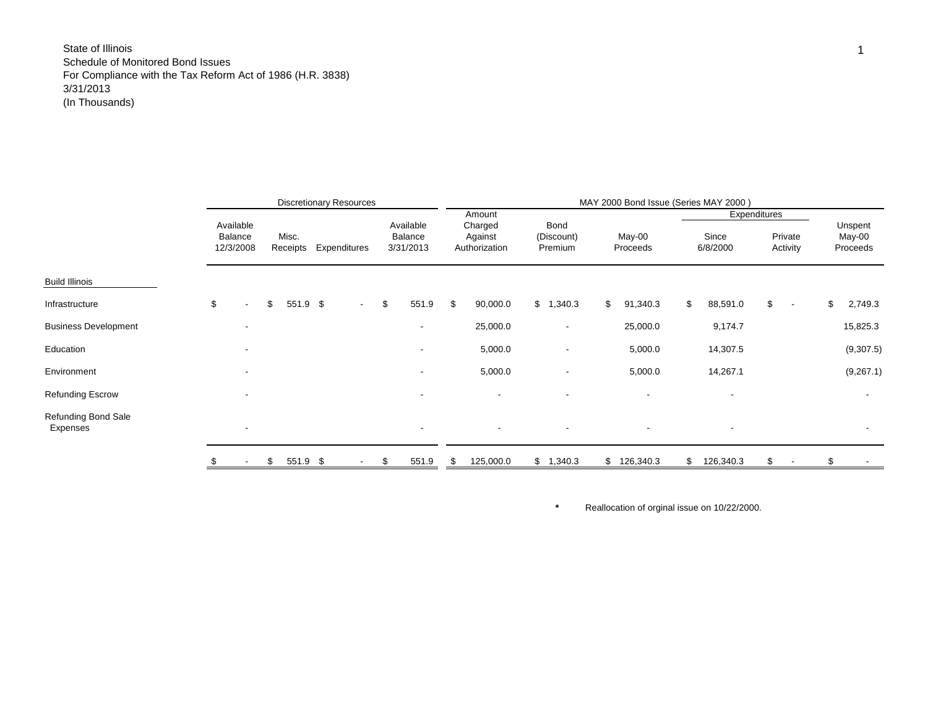|                                        |                                   |                   | <b>Discretionary Resources</b> |                                   |                                               |                               | MAY 2000 Bond Issue (Series MAY 2000) |                                   |                     |    |                               |
|----------------------------------------|-----------------------------------|-------------------|--------------------------------|-----------------------------------|-----------------------------------------------|-------------------------------|---------------------------------------|-----------------------------------|---------------------|----|-------------------------------|
|                                        | Available<br>Balance<br>12/3/2008 | Misc.<br>Receipts | Expenditures                   | Available<br>Balance<br>3/31/2013 | Amount<br>Charged<br>Against<br>Authorization | Bond<br>(Discount)<br>Premium | May-00<br>Proceeds                    | Expenditures<br>Since<br>6/8/2000 | Private<br>Activity |    | Unspent<br>May-00<br>Proceeds |
| <b>Build Illinois</b>                  |                                   |                   |                                |                                   |                                               |                               |                                       |                                   |                     |    |                               |
| Infrastructure                         | \$<br>$\overline{\phantom{a}}$    | \$<br>551.9 \$    | $\sim$                         | \$<br>551.9                       | \$<br>90,000.0                                | \$1,340.3                     | \$<br>91,340.3                        | \$<br>88,591.0                    | \$<br>$\sim$        | \$ | 2,749.3                       |
| <b>Business Development</b>            |                                   |                   |                                | $\overline{\phantom{a}}$          | 25,000.0                                      | $\overline{\phantom{a}}$      | 25,000.0                              | 9,174.7                           |                     |    | 15,825.3                      |
| Education                              |                                   |                   |                                | ۰                                 | 5,000.0                                       | $\overline{\phantom{a}}$      | 5,000.0                               | 14,307.5                          |                     |    | (9,307.5)                     |
| Environment                            |                                   |                   |                                | ۰                                 | 5,000.0                                       | $\overline{\phantom{a}}$      | 5,000.0                               | 14,267.1                          |                     |    | (9,267.1)                     |
| <b>Refunding Escrow</b>                |                                   |                   |                                |                                   |                                               | $\overline{\phantom{a}}$      |                                       |                                   |                     |    |                               |
| <b>Refunding Bond Sale</b><br>Expenses |                                   |                   |                                | $\overline{\phantom{a}}$          |                                               | $\overline{\phantom{a}}$      |                                       |                                   |                     |    | $\overline{\phantom{a}}$      |
|                                        |                                   | \$<br>551.9 \$    | $\sim$                         | \$<br>551.9                       | \$<br>125,000.0                               | \$1,340.3                     | \$126,340.3                           | \$<br>126,340.3                   | \$                  | £. |                               |

Reallocation of orginal issue on 10/22/2000.

**\***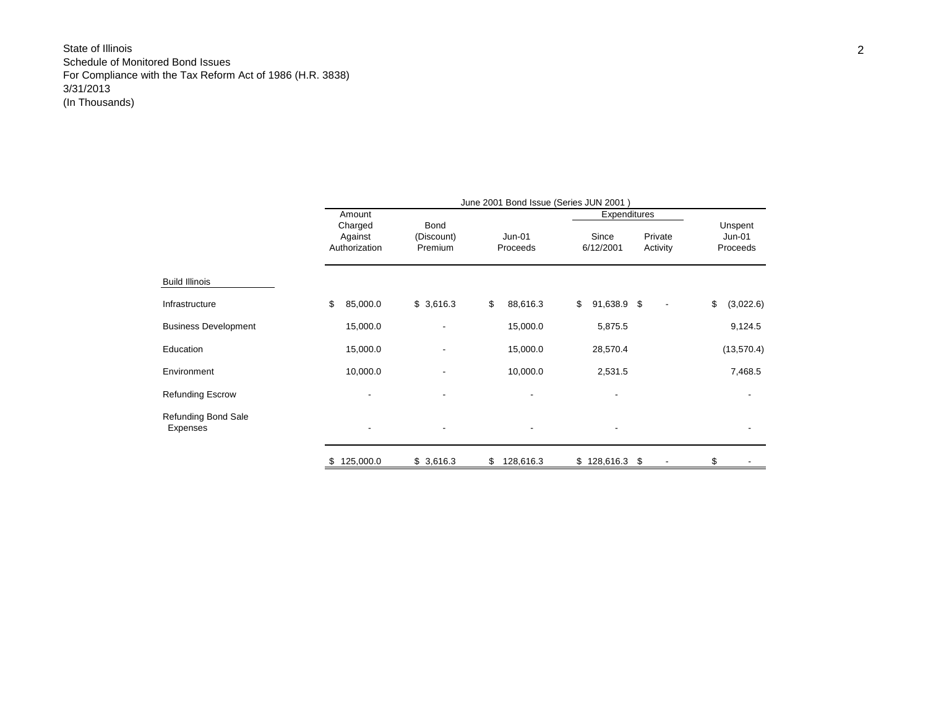|                                        |                                     |                                      | June 2001 Bond Issue (Series JUN 2001) |                                               |                                 |
|----------------------------------------|-------------------------------------|--------------------------------------|----------------------------------------|-----------------------------------------------|---------------------------------|
|                                        | Amount                              |                                      |                                        | Expenditures                                  |                                 |
|                                        | Charged<br>Against<br>Authorization | <b>Bond</b><br>(Discount)<br>Premium | $Jun-01$<br>Proceeds                   | Since<br>Private<br>6/12/2001<br>Activity     | Unspent<br>$Jun-01$<br>Proceeds |
| <b>Build Illinois</b>                  |                                     |                                      |                                        |                                               |                                 |
| Infrastructure                         | \$<br>85,000.0                      | \$3,616.3                            | \$<br>88,616.3                         | \$<br>91,638.9 \$<br>$\overline{\phantom{a}}$ | \$<br>(3,022.6)                 |
| <b>Business Development</b>            | 15,000.0                            | ۰                                    | 15,000.0                               | 5,875.5                                       | 9,124.5                         |
| Education                              | 15,000.0                            | ۰                                    | 15,000.0                               | 28,570.4                                      | (13, 570.4)                     |
| Environment                            | 10,000.0                            |                                      | 10,000.0                               | 2,531.5                                       | 7,468.5                         |
| <b>Refunding Escrow</b>                |                                     |                                      |                                        |                                               |                                 |
| <b>Refunding Bond Sale</b><br>Expenses |                                     | ۰                                    |                                        |                                               |                                 |
|                                        | 125,000.0<br>S                      | \$3,616.3                            | 128,616.3<br>\$                        | \$128,616.3<br>\$                             | \$                              |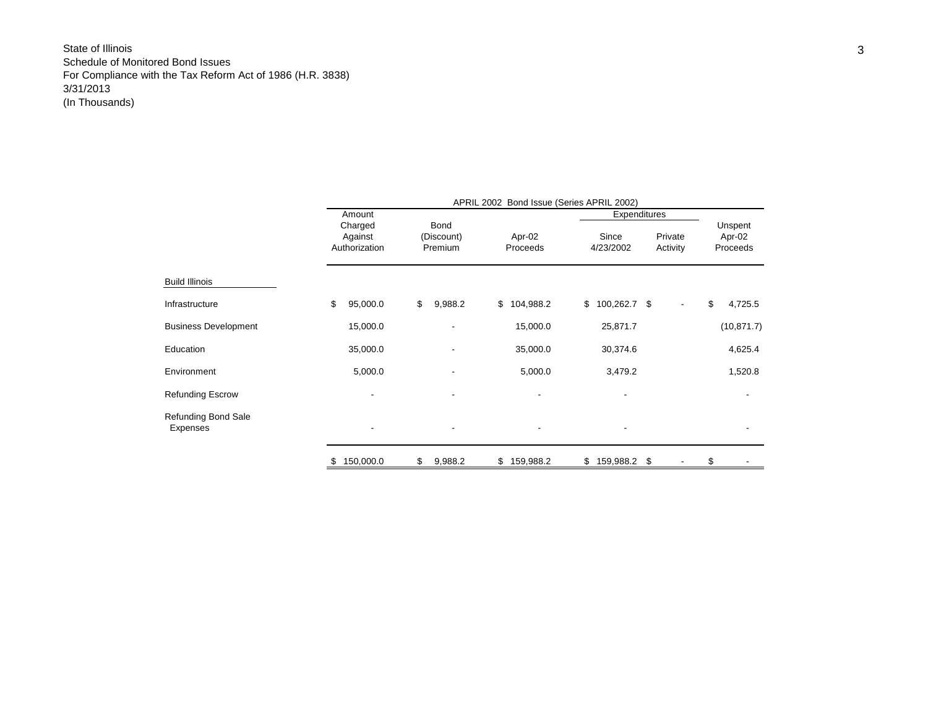|                                 | APRIL 2002 Bond Issue (Series APRIL 2002)<br>Expenditures<br>Amount<br>Charged<br><b>Bond</b><br>Since<br>Against<br>Apr-02<br>(Discount)<br>Authorization<br>4/23/2002<br>Proceeds<br>Premium<br>\$<br>\$104,988.2<br>$$100,262.7$ \$<br>95,000.0<br>\$<br>9,988.2<br>15,000.0<br>15,000.0<br>25,871.7<br>35,000.0<br>35,000.0<br>30,374.6<br>5,000.0<br>3,479.2<br>5,000.0<br>$\overline{\phantom{a}}$<br>$\overline{\phantom{a}}$ |           |               |                 |             |    |                     |                               |
|---------------------------------|--------------------------------------------------------------------------------------------------------------------------------------------------------------------------------------------------------------------------------------------------------------------------------------------------------------------------------------------------------------------------------------------------------------------------------------|-----------|---------------|-----------------|-------------|----|---------------------|-------------------------------|
|                                 |                                                                                                                                                                                                                                                                                                                                                                                                                                      |           |               |                 |             |    | Private<br>Activity | Unspent<br>Apr-02<br>Proceeds |
| <b>Build Illinois</b>           |                                                                                                                                                                                                                                                                                                                                                                                                                                      |           |               |                 |             |    |                     |                               |
| Infrastructure                  |                                                                                                                                                                                                                                                                                                                                                                                                                                      |           |               |                 |             |    |                     | \$<br>4,725.5                 |
| <b>Business Development</b>     |                                                                                                                                                                                                                                                                                                                                                                                                                                      |           |               |                 |             |    |                     | (10, 871.7)                   |
| Education                       |                                                                                                                                                                                                                                                                                                                                                                                                                                      |           |               |                 |             |    |                     | 4,625.4                       |
| Environment                     |                                                                                                                                                                                                                                                                                                                                                                                                                                      |           |               |                 |             |    |                     | 1,520.8                       |
| <b>Refunding Escrow</b>         |                                                                                                                                                                                                                                                                                                                                                                                                                                      |           |               |                 |             |    |                     |                               |
| Refunding Bond Sale<br>Expenses |                                                                                                                                                                                                                                                                                                                                                                                                                                      |           |               |                 |             |    |                     | $\overline{\phantom{a}}$      |
|                                 | \$                                                                                                                                                                                                                                                                                                                                                                                                                                   | 150,000.0 | \$<br>9,988.2 | \$<br>159,988.2 | \$159,988.2 | \$ |                     | \$                            |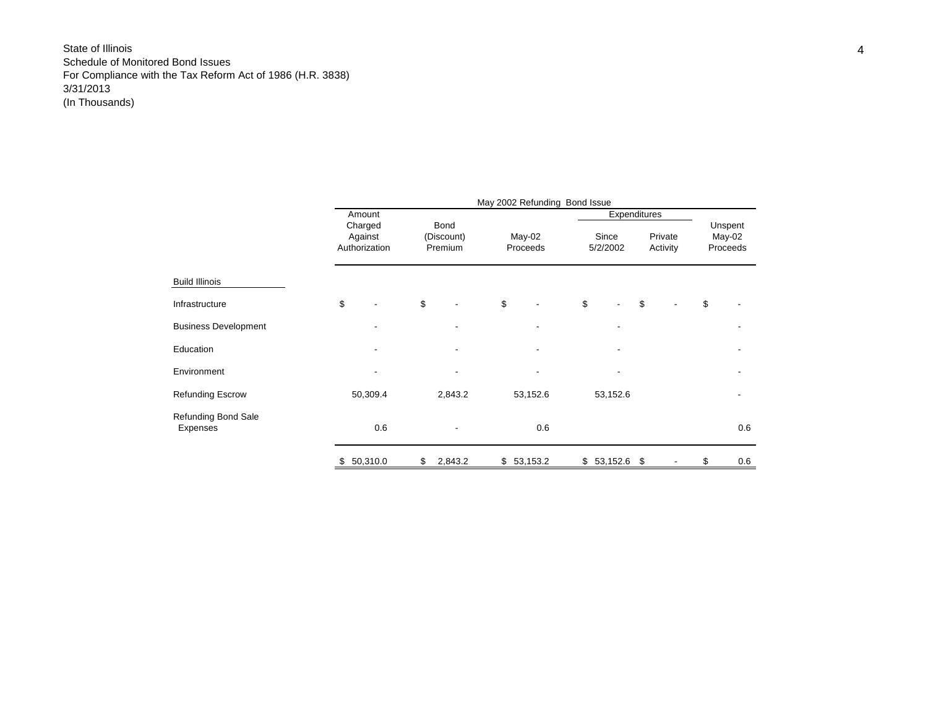|                                        |                          |                       | May 2002 Refunding Bond Issue |            |              |          |                    |
|----------------------------------------|--------------------------|-----------------------|-------------------------------|------------|--------------|----------|--------------------|
|                                        | Amount<br>Charged        | <b>Bond</b>           |                               | Since      | Expenditures | Private  | Unspent            |
|                                        | Against<br>Authorization | (Discount)<br>Premium | May-02<br>Proceeds            | 5/2/2002   |              | Activity | May-02<br>Proceeds |
| Build Illinois                         |                          |                       |                               |            |              |          |                    |
| Infrastructure                         | \$                       | \$                    | \$                            | \$         | \$           |          | \$                 |
| <b>Business Development</b>            |                          |                       |                               |            |              |          |                    |
| Education                              |                          |                       |                               |            |              |          |                    |
| Environment                            |                          |                       |                               |            |              |          |                    |
| <b>Refunding Escrow</b>                | 50,309.4                 | 2,843.2               | 53,152.6                      | 53,152.6   |              |          |                    |
| <b>Refunding Bond Sale</b><br>Expenses | 0.6                      |                       | 0.6                           |            |              |          | 0.6                |
|                                        | \$<br>50,310.0           | \$<br>2,843.2         | \$53,153.2                    | \$53,152.6 | \$           |          | \$<br>0.6          |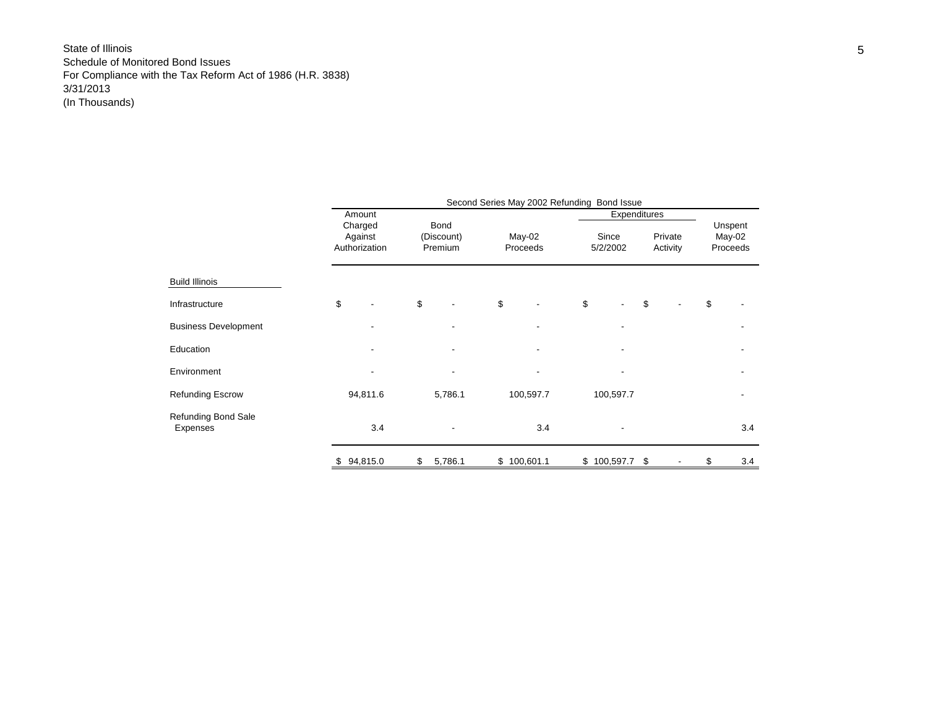|                                 |     |                                               |                               | Second Series May 2002 Refunding Bond Issue |                                   |                     |                               |
|---------------------------------|-----|-----------------------------------------------|-------------------------------|---------------------------------------------|-----------------------------------|---------------------|-------------------------------|
|                                 |     | Amount<br>Charged<br>Against<br>Authorization | Bond<br>(Discount)<br>Premium | $May-02$<br>Proceeds                        | Expenditures<br>Since<br>5/2/2002 | Private<br>Activity | Unspent<br>May-02<br>Proceeds |
|                                 |     |                                               |                               |                                             |                                   |                     |                               |
| <b>Build Illinois</b>           |     |                                               |                               |                                             |                                   |                     |                               |
| Infrastructure                  | \$  |                                               | \$                            | \$                                          | \$                                | \$                  | \$                            |
| <b>Business Development</b>     |     |                                               |                               |                                             |                                   |                     |                               |
| Education                       |     |                                               |                               |                                             |                                   |                     |                               |
| Environment                     |     |                                               |                               |                                             |                                   |                     |                               |
| <b>Refunding Escrow</b>         |     | 94,811.6                                      | 5,786.1                       | 100,597.7                                   | 100,597.7                         |                     |                               |
| Refunding Bond Sale<br>Expenses |     | 3.4                                           |                               | 3.4                                         |                                   |                     | 3.4                           |
|                                 | \$. | 94,815.0                                      | \$<br>5,786.1                 | \$100,601.1                                 | \$100,597.7                       | \$                  | \$<br>3.4                     |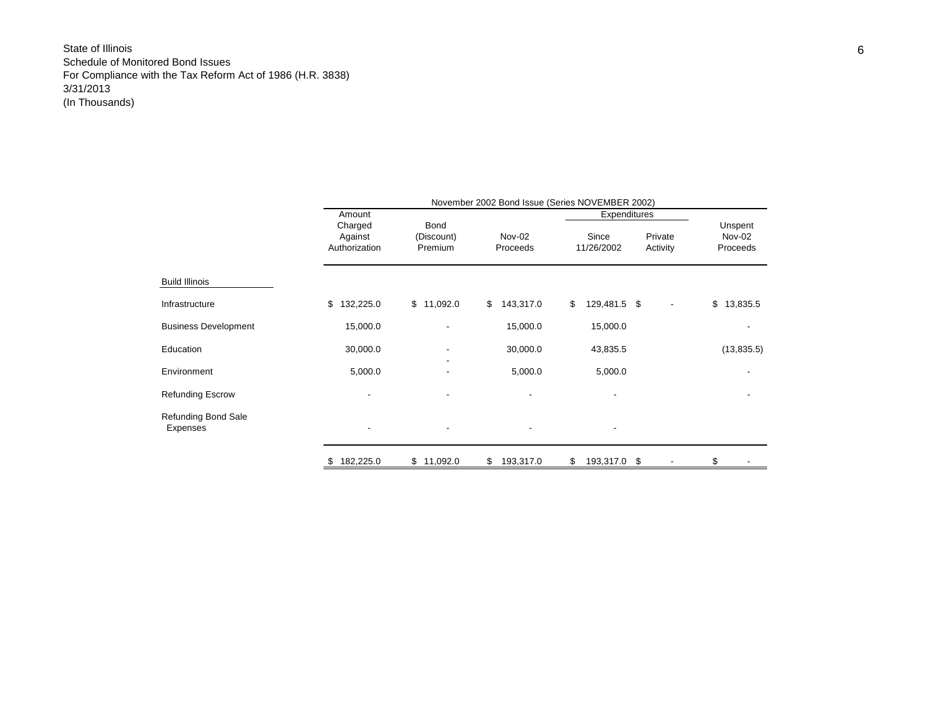|                                 |                                     |                               |                    | November 2002 Bond Issue (Series NOVEMBER 2002) |                     |                               |
|---------------------------------|-------------------------------------|-------------------------------|--------------------|-------------------------------------------------|---------------------|-------------------------------|
|                                 | Amount                              |                               |                    | Expenditures                                    |                     |                               |
|                                 | Charged<br>Against<br>Authorization | Bond<br>(Discount)<br>Premium | Nov-02<br>Proceeds | Since<br>11/26/2002                             | Private<br>Activity | Unspent<br>Nov-02<br>Proceeds |
| <b>Build Illinois</b>           |                                     |                               |                    |                                                 |                     |                               |
| Infrastructure                  | 132,225.0<br>\$                     | \$11,092.0                    | 143,317.0<br>\$    | \$<br>129,481.5 \$                              | -                   | \$13,835.5                    |
| <b>Business Development</b>     | 15,000.0                            |                               | 15,000.0           | 15,000.0                                        |                     |                               |
| Education                       | 30,000.0                            |                               | 30,000.0           | 43,835.5                                        |                     | (13,835.5)                    |
| Environment                     | 5,000.0                             |                               | 5,000.0            | 5,000.0                                         |                     |                               |
| <b>Refunding Escrow</b>         |                                     |                               |                    |                                                 |                     |                               |
| Refunding Bond Sale<br>Expenses | -                                   |                               |                    |                                                 |                     |                               |
|                                 | 182,225.0                           | \$11,092.0                    | \$<br>193,317.0    | \$<br>193,317.0<br>\$                           |                     | \$                            |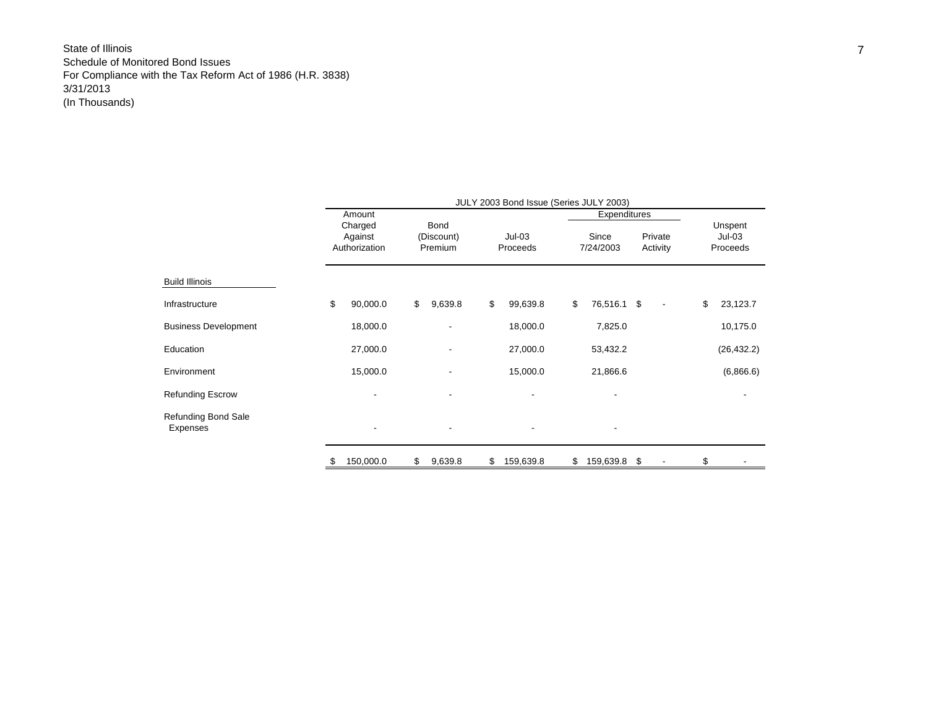|                                 |    |                          |                    | JULY 2003 Bond Issue (Series JULY 2003) |                    |                          |                     |
|---------------------------------|----|--------------------------|--------------------|-----------------------------------------|--------------------|--------------------------|---------------------|
|                                 |    | Amount                   |                    |                                         | Expenditures       |                          |                     |
|                                 |    | Charged<br>Against       | Bond<br>(Discount) | $Jul-03$                                | Since              | Private                  | Unspent<br>$Jul-03$ |
|                                 |    | Authorization            | Premium            | Proceeds                                | 7/24/2003          | Activity                 | Proceeds            |
| <b>Build Illinois</b>           |    |                          |                    |                                         |                    |                          |                     |
| Infrastructure                  | \$ | 90,000.0                 | \$<br>9,639.8      | \$<br>99,639.8                          | \$<br>76,516.1 \$  | $\overline{\phantom{a}}$ | \$<br>23,123.7      |
| <b>Business Development</b>     |    | 18,000.0                 |                    | 18,000.0                                | 7,825.0            |                          | 10,175.0            |
| Education                       |    | 27,000.0                 |                    | 27,000.0                                | 53,432.2           |                          | (26, 432.2)         |
| Environment                     |    | 15,000.0                 |                    | 15,000.0                                | 21,866.6           |                          | (6,866.6)           |
| <b>Refunding Escrow</b>         |    |                          |                    |                                         |                    |                          |                     |
| Refunding Bond Sale<br>Expenses |    | $\overline{\phantom{a}}$ |                    |                                         | ۰                  |                          |                     |
|                                 | S  | 150,000.0                | \$<br>9,639.8      | \$<br>159,639.8                         | \$<br>159,639.8 \$ |                          | \$                  |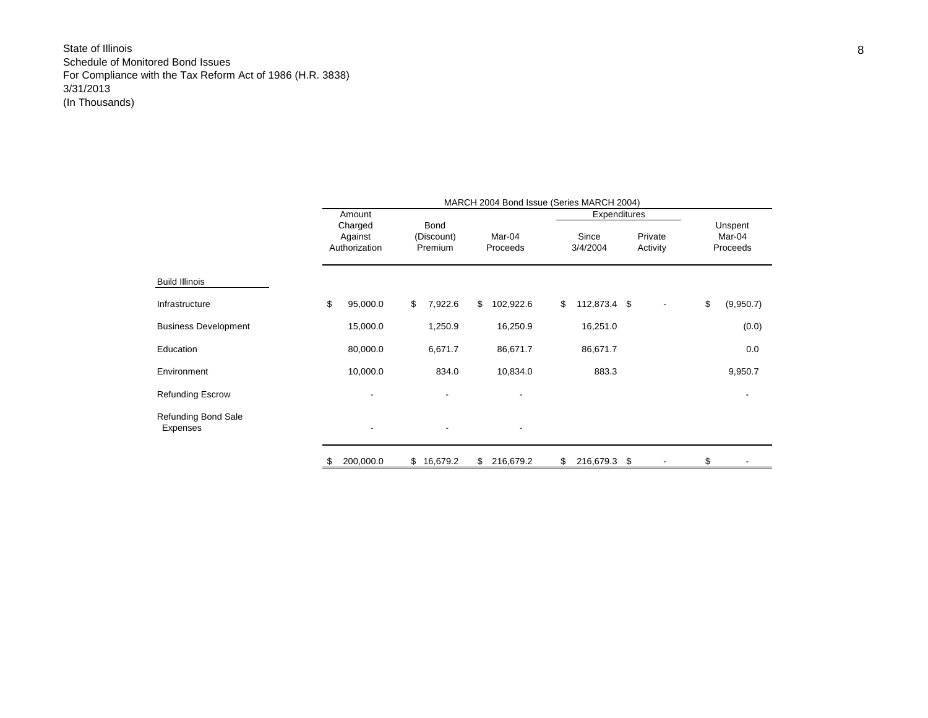|                                        | MARCH 2004 Bond Issue (Series MARCH 2004) |    |                                      |    |                          |    |                   |    |                     |    |                               |  |
|----------------------------------------|-------------------------------------------|----|--------------------------------------|----|--------------------------|----|-------------------|----|---------------------|----|-------------------------------|--|
|                                        | Amount                                    |    |                                      |    |                          |    | Expenditures      |    |                     |    |                               |  |
|                                        | Charged<br>Against<br>Authorization       |    | <b>Bond</b><br>(Discount)<br>Premium |    | Mar-04<br>Proceeds       |    | Since<br>3/4/2004 |    | Private<br>Activity |    | Unspent<br>Mar-04<br>Proceeds |  |
| <b>Build Illinois</b>                  |                                           |    |                                      |    |                          |    |                   |    |                     |    |                               |  |
| Infrastructure                         | \$<br>95,000.0                            | \$ | 7,922.6                              | \$ | 102,922.6                | \$ | 112,873.4 \$      |    |                     | \$ | (9,950.7)                     |  |
| <b>Business Development</b>            | 15,000.0                                  |    | 1,250.9                              |    | 16,250.9                 |    | 16,251.0          |    |                     |    | (0.0)                         |  |
| Education                              | 80,000.0                                  |    | 6,671.7                              |    | 86,671.7                 |    | 86,671.7          |    |                     |    | 0.0                           |  |
| Environment                            | 10,000.0                                  |    | 834.0                                |    | 10,834.0                 |    | 883.3             |    |                     |    | 9,950.7                       |  |
| <b>Refunding Escrow</b>                |                                           |    |                                      |    |                          |    |                   |    |                     |    |                               |  |
| <b>Refunding Bond Sale</b><br>Expenses | ٠                                         |    | ٠                                    |    | $\overline{\phantom{a}}$ |    |                   |    |                     |    |                               |  |
|                                        | \$<br>200,000.0                           | \$ | 16,679.2                             | \$ | 216,679.2                | \$ | 216,679.3         | \$ |                     |    |                               |  |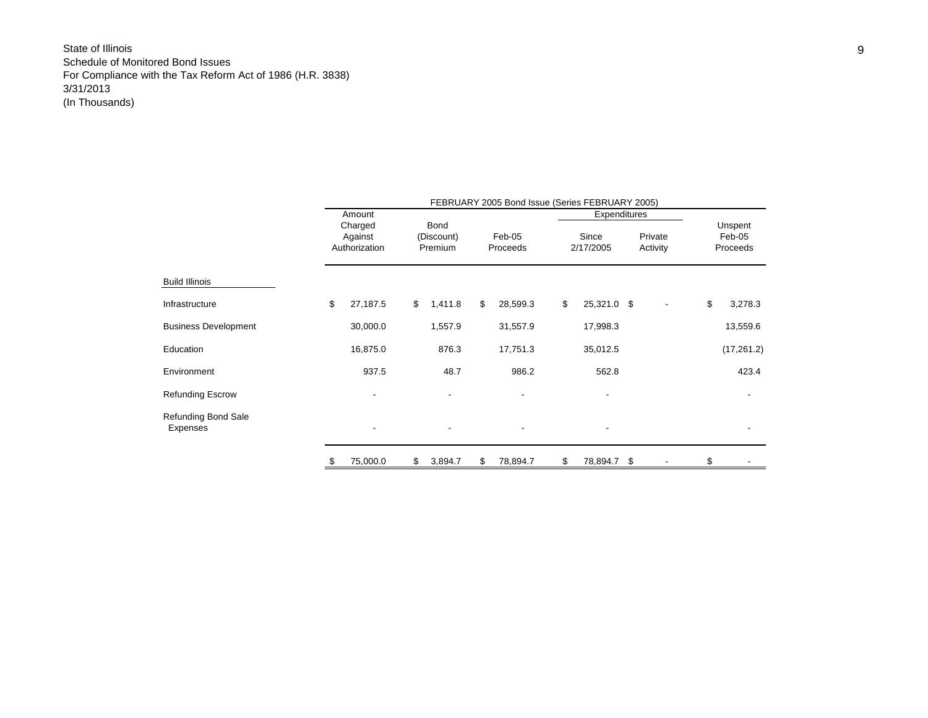|                                 |                                     |                               | FEBRUARY 2005 Bond Issue (Series FEBRUARY 2005) |                    |      |                     |                               |
|---------------------------------|-------------------------------------|-------------------------------|-------------------------------------------------|--------------------|------|---------------------|-------------------------------|
|                                 | Amount                              |                               |                                                 | Expenditures       |      |                     |                               |
|                                 | Charged<br>Against<br>Authorization | Bond<br>(Discount)<br>Premium | Feb-05<br>Proceeds                              | Since<br>2/17/2005 |      | Private<br>Activity | Unspent<br>Feb-05<br>Proceeds |
| Build Illinois                  |                                     |                               |                                                 |                    |      |                     |                               |
| Infrastructure                  | \$<br>27,187.5                      | \$<br>1,411.8                 | \$<br>28,599.3                                  | \$<br>25,321.0 \$  |      |                     | \$<br>3,278.3                 |
| <b>Business Development</b>     | 30,000.0                            | 1,557.9                       | 31,557.9                                        | 17,998.3           |      |                     | 13,559.6                      |
| Education                       | 16,875.0                            | 876.3                         | 17,751.3                                        | 35,012.5           |      |                     | (17, 261.2)                   |
| Environment                     | 937.5                               | 48.7                          | 986.2                                           | 562.8              |      |                     | 423.4                         |
| Refunding Escrow                |                                     |                               |                                                 |                    |      |                     |                               |
| Refunding Bond Sale<br>Expenses |                                     |                               |                                                 |                    |      |                     |                               |
|                                 | 75,000.0                            | \$<br>3,894.7                 | \$<br>78,894.7                                  | \$<br>78,894.7     | - \$ |                     | \$                            |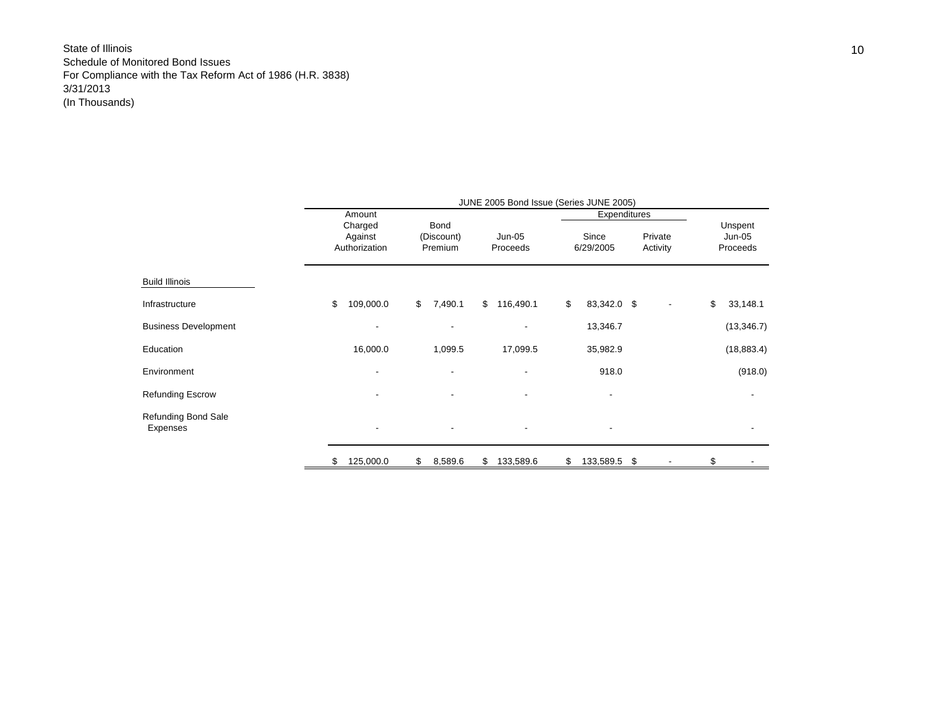|                                 | JUNE 2005 Bond Issue (Series JUNE 2005) |                          |                          |                              |                     |                    |  |  |  |  |  |  |  |
|---------------------------------|-----------------------------------------|--------------------------|--------------------------|------------------------------|---------------------|--------------------|--|--|--|--|--|--|--|
|                                 | Amount<br>Charged                       | Bond                     |                          | Expenditures                 |                     | Unspent            |  |  |  |  |  |  |  |
|                                 | Against<br>Authorization                | (Discount)<br>Premium    | Jun-05<br>Proceeds       | Since<br>6/29/2005           | Private<br>Activity | Jun-05<br>Proceeds |  |  |  |  |  |  |  |
| <b>Build Illinois</b>           |                                         |                          |                          |                              |                     |                    |  |  |  |  |  |  |  |
| Infrastructure                  | \$<br>109,000.0                         | $\mathbb{S}$<br>7,490.1  | \$116,490.1              | \$<br>83,342.0 \$            |                     | \$<br>33,148.1     |  |  |  |  |  |  |  |
| <b>Business Development</b>     |                                         | $\blacksquare$           | $\overline{\phantom{0}}$ | 13,346.7                     |                     | (13, 346.7)        |  |  |  |  |  |  |  |
| Education                       | 16,000.0                                | 1,099.5                  | 17,099.5                 | 35,982.9                     |                     | (18, 883.4)        |  |  |  |  |  |  |  |
| Environment                     |                                         | $\blacksquare$           | $\overline{\phantom{a}}$ | 918.0                        |                     | (918.0)            |  |  |  |  |  |  |  |
| <b>Refunding Escrow</b>         |                                         | $\blacksquare$           | $\overline{\phantom{0}}$ | $\qquad \qquad \blacksquare$ |                     |                    |  |  |  |  |  |  |  |
| Refunding Bond Sale<br>Expenses |                                         | $\overline{\phantom{a}}$ | $\overline{\phantom{a}}$ | $\overline{\phantom{a}}$     |                     |                    |  |  |  |  |  |  |  |
|                                 | 125,000.0<br>\$                         | 8,589.6<br>\$            | 133,589.6<br>\$          | \$<br>133,589.5 \$           |                     | \$                 |  |  |  |  |  |  |  |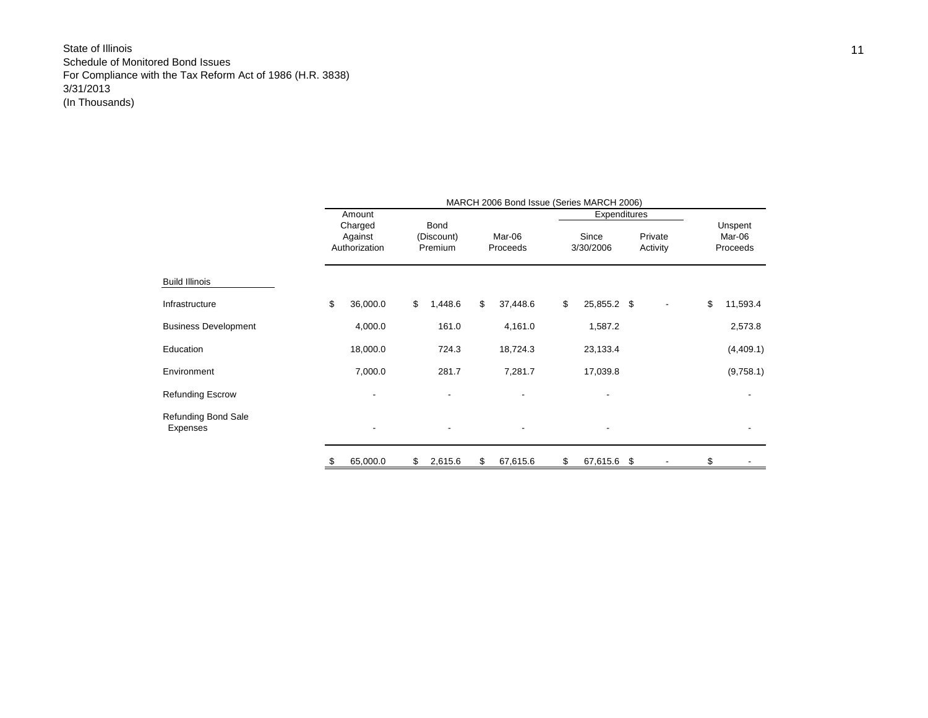|                                 |                                     |                               | MARCH 2006 Bond Issue (Series MARCH 2006) |                    |                     |     |                               |
|---------------------------------|-------------------------------------|-------------------------------|-------------------------------------------|--------------------|---------------------|-----|-------------------------------|
|                                 | Amount                              |                               |                                           | Expenditures       |                     |     |                               |
|                                 | Charged<br>Against<br>Authorization | Bond<br>(Discount)<br>Premium | Mar-06<br>Proceeds                        | Since<br>3/30/2006 | Private<br>Activity |     | Unspent<br>Mar-06<br>Proceeds |
| <b>Build Illinois</b>           |                                     |                               |                                           |                    |                     |     |                               |
| Infrastructure                  | \$<br>36,000.0                      | \$<br>1,448.6                 | \$<br>37,448.6                            | \$<br>25,855.2 \$  |                     | \$  | 11,593.4                      |
| <b>Business Development</b>     | 4,000.0                             | 161.0                         | 4,161.0                                   | 1,587.2            |                     |     | 2,573.8                       |
| Education                       | 18,000.0                            | 724.3                         | 18,724.3                                  | 23,133.4           |                     |     | (4,409.1)                     |
| Environment                     | 7,000.0                             | 281.7                         | 7,281.7                                   | 17,039.8           |                     |     | (9,758.1)                     |
| Refunding Escrow                |                                     |                               |                                           |                    |                     |     |                               |
| Refunding Bond Sale<br>Expenses |                                     |                               |                                           |                    |                     |     |                               |
|                                 | 65,000.0                            | \$<br>2,615.6                 | \$<br>67,615.6                            | \$<br>67,615.6     | -\$                 | \$. |                               |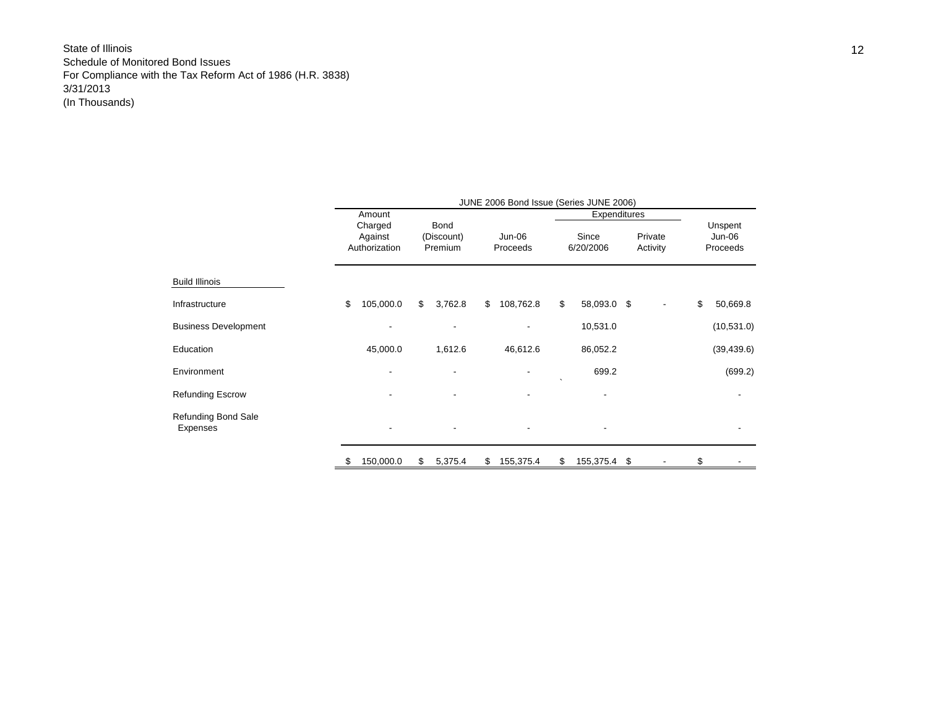|                                        | JUNE 2006 Bond Issue (Series JUNE 2006) |                          |    |                          |    |           |           |              |    |          |    |             |
|----------------------------------------|-----------------------------------------|--------------------------|----|--------------------------|----|-----------|-----------|--------------|----|----------|----|-------------|
|                                        |                                         | Amount                   |    |                          |    |           |           | Expenditures |    |          |    |             |
|                                        |                                         | Charged                  |    | <b>Bond</b>              |    |           |           |              |    |          |    | Unspent     |
|                                        |                                         | Against                  |    | (Discount)               |    | Jun-06    |           | Since        |    | Private  |    | Jun-06      |
|                                        |                                         | Authorization            |    | Premium                  |    | Proceeds  |           | 6/20/2006    |    | Activity |    | Proceeds    |
|                                        |                                         |                          |    |                          |    |           |           |              |    |          |    |             |
| <b>Build Illinois</b>                  |                                         |                          |    |                          |    |           |           |              |    |          |    |             |
| Infrastructure                         | \$                                      | 105,000.0                | \$ | 3,762.8                  | \$ | 108,762.8 | \$        | 58,093.0 \$  |    |          | \$ | 50,669.8    |
| <b>Business Development</b>            |                                         |                          |    |                          |    |           |           | 10,531.0     |    |          |    | (10, 531.0) |
| Education                              |                                         | 45,000.0                 |    | 1,612.6                  |    | 46,612.6  |           | 86,052.2     |    |          |    | (39, 439.6) |
| Environment                            |                                         |                          |    |                          |    |           | $\lambda$ | 699.2        |    |          |    | (699.2)     |
| <b>Refunding Escrow</b>                |                                         |                          |    |                          |    |           |           |              |    |          |    |             |
| <b>Refunding Bond Sale</b><br>Expenses |                                         | $\overline{\phantom{a}}$ |    | $\overline{\phantom{a}}$ |    |           |           |              |    |          |    |             |
|                                        |                                         | 150,000.0                | \$ | 5,375.4                  | \$ | 155,375.4 | \$        | 155,375.4    | \$ |          | \$ |             |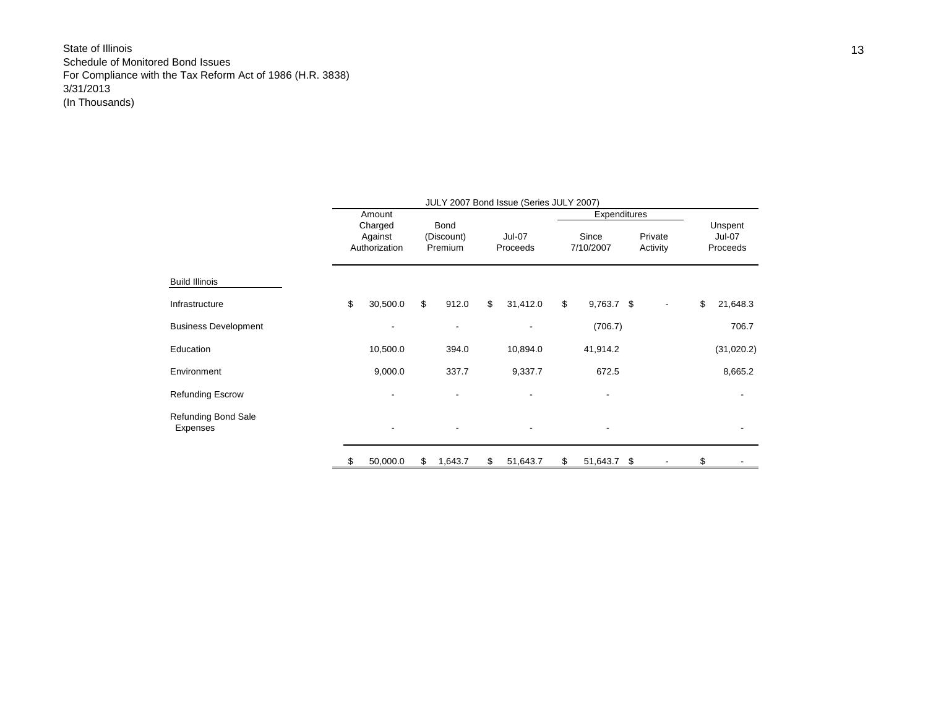|                                 | JULY 2007 Bond Issue (Series JULY 2007) |                                     |                               |                          |                           |          |                    |              |                     |    |                                      |
|---------------------------------|-----------------------------------------|-------------------------------------|-------------------------------|--------------------------|---------------------------|----------|--------------------|--------------|---------------------|----|--------------------------------------|
|                                 |                                         | Amount                              |                               |                          |                           |          |                    | Expenditures |                     |    |                                      |
|                                 |                                         | Charged<br>Against<br>Authorization | Bond<br>(Discount)<br>Premium |                          | <b>Jul-07</b><br>Proceeds |          | Since<br>7/10/2007 |              | Private<br>Activity |    | Unspent<br><b>Jul-07</b><br>Proceeds |
| Build Illinois                  |                                         |                                     |                               |                          |                           |          |                    |              |                     |    |                                      |
| Infrastructure                  | \$                                      | 30,500.0                            | \$                            | 912.0                    | \$                        | 31,412.0 | \$                 | $9,763.7$ \$ |                     | \$ | 21,648.3                             |
| <b>Business Development</b>     |                                         |                                     |                               | $\overline{\phantom{a}}$ |                           |          |                    | (706.7)      |                     |    | 706.7                                |
| Education                       |                                         | 10,500.0                            |                               | 394.0                    |                           | 10,894.0 |                    | 41,914.2     |                     |    | (31,020.2)                           |
| Environment                     |                                         | 9,000.0                             |                               | 337.7                    |                           | 9,337.7  |                    | 672.5        |                     |    | 8,665.2                              |
| <b>Refunding Escrow</b>         |                                         |                                     |                               | ٠                        |                           |          |                    |              |                     |    |                                      |
| Refunding Bond Sale<br>Expenses |                                         |                                     |                               |                          |                           |          |                    |              |                     |    |                                      |
|                                 |                                         | 50,000.0                            | \$                            | 1,643.7                  | \$                        | 51,643.7 | \$                 | 51,643.7 \$  |                     | \$ |                                      |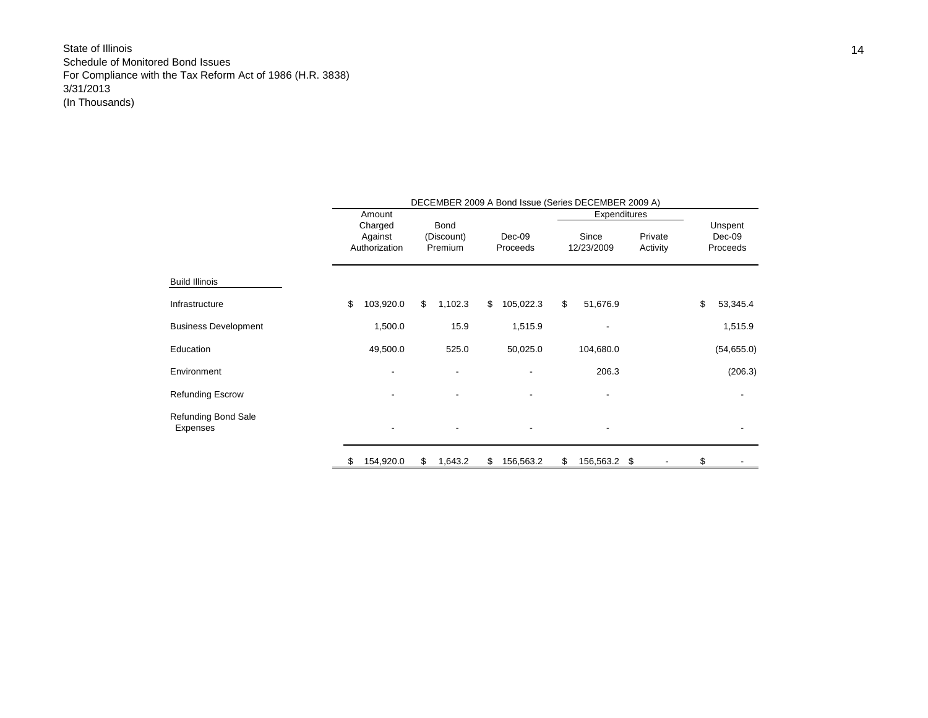|                             | DECEMBER 2009 A Bond Issue (Series DECEMBER 2009 A) |    |                       |    |                    |    |                     |                     |    |                    |  |  |
|-----------------------------|-----------------------------------------------------|----|-----------------------|----|--------------------|----|---------------------|---------------------|----|--------------------|--|--|
|                             | Amount                                              |    |                       |    |                    |    | Expenditures        |                     |    |                    |  |  |
|                             | Charged                                             |    | Bond                  |    |                    |    |                     |                     |    | Unspent            |  |  |
|                             | Against<br>Authorization                            |    | (Discount)<br>Premium |    | Dec-09<br>Proceeds |    | Since<br>12/23/2009 | Private<br>Activity |    | Dec-09<br>Proceeds |  |  |
|                             |                                                     |    |                       |    |                    |    |                     |                     |    |                    |  |  |
| <b>Build Illinois</b>       |                                                     |    |                       |    |                    |    |                     |                     |    |                    |  |  |
| Infrastructure              | \$<br>103,920.0                                     | \$ | 1,102.3               | \$ | 105,022.3          | \$ | 51,676.9            |                     | \$ | 53,345.4           |  |  |
| <b>Business Development</b> | 1,500.0                                             |    | 15.9                  |    | 1,515.9            |    |                     |                     |    | 1,515.9            |  |  |
| Education                   | 49,500.0                                            |    | 525.0                 |    | 50,025.0           |    | 104,680.0           |                     |    | (54,655.0)         |  |  |
| Environment                 |                                                     |    |                       |    |                    |    | 206.3               |                     |    | (206.3)            |  |  |
| <b>Refunding Escrow</b>     |                                                     |    |                       |    |                    |    |                     |                     |    |                    |  |  |
| Refunding Bond Sale         |                                                     |    |                       |    |                    |    |                     |                     |    |                    |  |  |
| Expenses                    |                                                     |    | -                     |    |                    |    |                     |                     |    |                    |  |  |
|                             | 154,920.0                                           | \$ | 1,643.2               | \$ | 156,563.2          | \$ | 156,563.2           | \$                  | \$ |                    |  |  |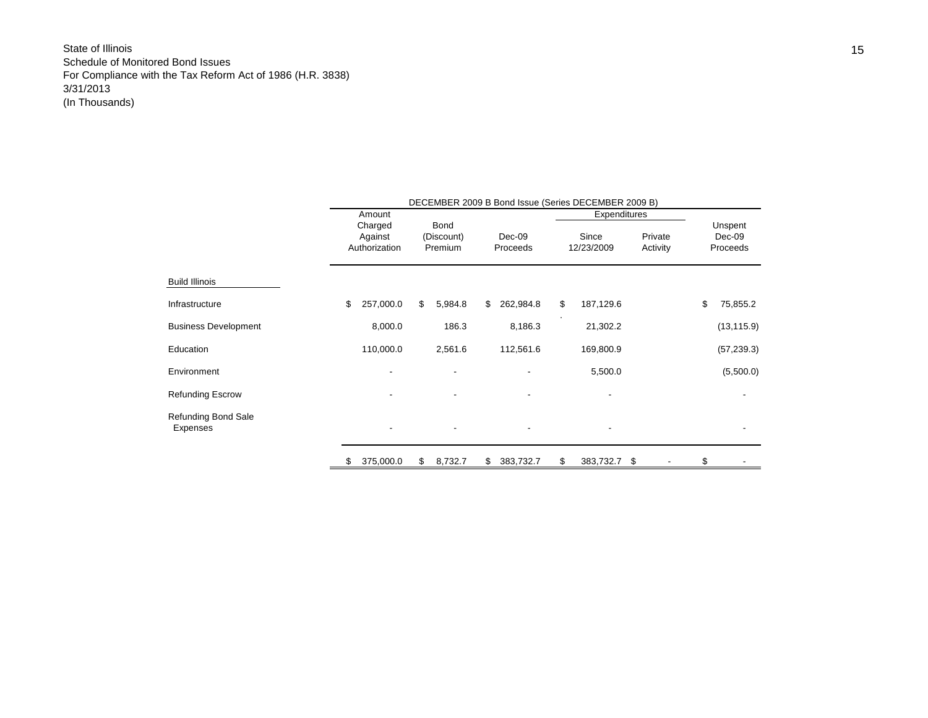|                             |         |               |            |         |    |           |              | DECEMBER 2009 B Bond Issue (Series DECEMBER 2009 B) |          |    |             |  |
|-----------------------------|---------|---------------|------------|---------|----|-----------|--------------|-----------------------------------------------------|----------|----|-------------|--|
|                             |         | Amount        |            |         |    |           | Expenditures |                                                     |          |    |             |  |
|                             |         | Charged       |            | Bond    |    |           |              |                                                     |          |    | Unspent     |  |
|                             | Against |               | (Discount) |         |    | Dec-09    |              | Since                                               | Private  |    | Dec-09      |  |
|                             |         | Authorization |            | Premium |    | Proceeds  |              | 12/23/2009                                          | Activity |    | Proceeds    |  |
| <b>Build Illinois</b>       |         |               |            |         |    |           |              |                                                     |          |    |             |  |
| Infrastructure              | \$      | 257,000.0     | \$         | 5,984.8 | \$ | 262,984.8 | \$           | 187,129.6                                           |          | \$ | 75,855.2    |  |
| <b>Business Development</b> |         | 8,000.0       |            | 186.3   |    | 8,186.3   |              | 21,302.2                                            |          |    | (13, 115.9) |  |
| Education                   |         | 110,000.0     |            | 2,561.6 |    | 112,561.6 |              | 169,800.9                                           |          |    | (57, 239.3) |  |
| Environment                 |         |               |            |         |    |           |              | 5,500.0                                             |          |    | (5,500.0)   |  |
| Refunding Escrow            |         |               |            |         |    |           |              |                                                     |          |    |             |  |
| Refunding Bond Sale         |         |               |            |         |    |           |              |                                                     |          |    |             |  |
| Expenses                    |         |               |            |         |    |           |              |                                                     |          |    |             |  |
|                             | \$      | 375,000.0     | \$         | 8,732.7 | \$ | 383,732.7 | \$           | 383,732.7 \$                                        |          | \$ |             |  |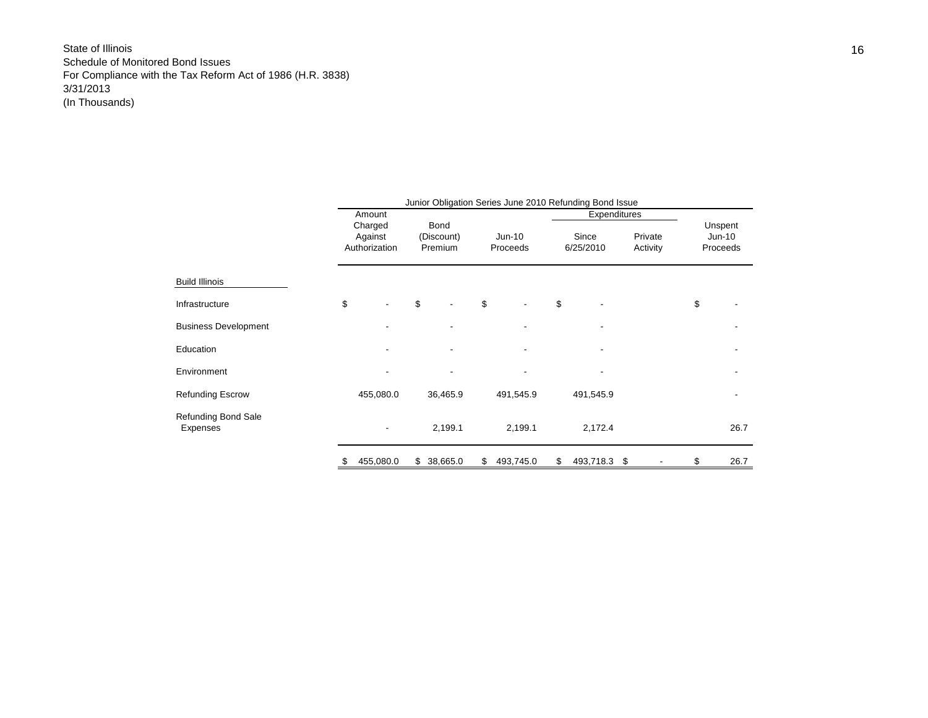|                                        | Junior Obligation Series June 2010 Refunding Bond Issue |               |                    |          |    |           |              |              |  |          |          |                     |  |
|----------------------------------------|---------------------------------------------------------|---------------|--------------------|----------|----|-----------|--------------|--------------|--|----------|----------|---------------------|--|
|                                        | Amount                                                  |               |                    |          |    |           | Expenditures |              |  |          |          |                     |  |
|                                        | Charged<br>Against                                      |               | Bond<br>(Discount) |          |    | $Jun-10$  | Since        |              |  | Private  |          | Unspent<br>$Jun-10$ |  |
|                                        |                                                         | Authorization | Premium            |          |    | Proceeds  | 6/25/2010    |              |  | Activity | Proceeds |                     |  |
|                                        |                                                         |               |                    |          |    |           |              |              |  |          |          |                     |  |
| <b>Build Illinois</b>                  |                                                         |               |                    |          |    |           |              |              |  |          |          |                     |  |
| Infrastructure                         | \$                                                      |               | \$                 | ٠        | \$ |           | \$           |              |  |          | \$       |                     |  |
| <b>Business Development</b>            |                                                         |               |                    |          |    |           |              |              |  |          |          |                     |  |
| Education                              |                                                         |               |                    |          |    |           |              |              |  |          |          |                     |  |
| Environment                            |                                                         |               |                    |          |    | ٠         |              |              |  |          |          |                     |  |
| <b>Refunding Escrow</b>                |                                                         | 455,080.0     |                    | 36,465.9 |    | 491,545.9 |              | 491,545.9    |  |          |          |                     |  |
| <b>Refunding Bond Sale</b><br>Expenses |                                                         |               |                    | 2,199.1  |    | 2,199.1   |              | 2,172.4      |  |          |          | 26.7                |  |
|                                        |                                                         | 455,080.0     | \$                 | 38,665.0 | \$ | 493,745.0 | \$           | 493,718.3 \$ |  |          | \$       | 26.7                |  |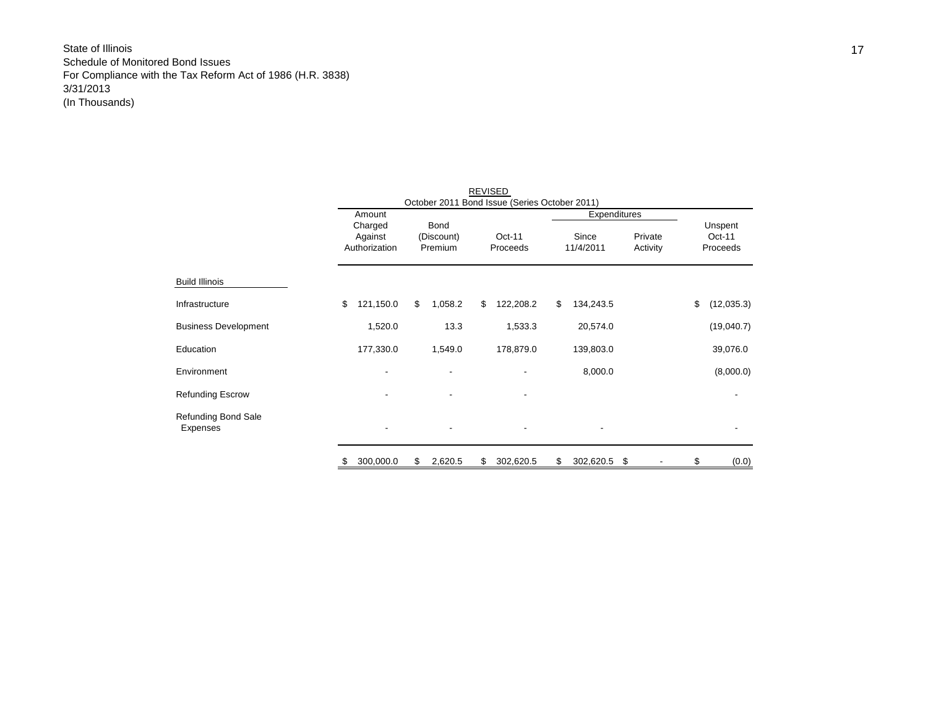|                                        | Amount        |                    |         |                           |    |           |    |           |    |          |          |            |  |
|----------------------------------------|---------------|--------------------|---------|---------------------------|----|-----------|----|-----------|----|----------|----------|------------|--|
|                                        |               | Charged<br>Against |         | <b>Bond</b><br>(Discount) |    |           |    |           |    |          |          | Unspent    |  |
|                                        |               |                    |         |                           |    | $Oct-11$  |    | Since     |    | Private  |          | $Oct-11$   |  |
|                                        | Authorization |                    | Premium |                           |    | Proceeds  |    | 11/4/2011 |    | Activity | Proceeds |            |  |
|                                        |               |                    |         |                           |    |           |    |           |    |          |          |            |  |
| <b>Build Illinois</b>                  |               |                    |         |                           |    |           |    |           |    |          |          |            |  |
| Infrastructure                         | \$            | 121,150.0          | \$      | 1,058.2                   | \$ | 122,208.2 | \$ | 134,243.5 |    |          | \$       | (12,035.3) |  |
| <b>Business Development</b>            |               | 1,520.0            |         | 13.3                      |    | 1,533.3   |    | 20,574.0  |    |          |          | (19,040.7) |  |
| Education                              |               | 177,330.0          |         | 1,549.0                   |    | 178,879.0 |    | 139,803.0 |    |          |          | 39,076.0   |  |
| Environment                            |               |                    |         |                           |    |           |    | 8,000.0   |    |          |          | (8,000.0)  |  |
| <b>Refunding Escrow</b>                |               |                    |         |                           |    |           |    |           |    |          |          |            |  |
| <b>Refunding Bond Sale</b><br>Expenses |               | $\blacksquare$     |         |                           |    | ٠         |    | -         |    |          |          |            |  |
|                                        | \$            | 300,000.0          | \$      | 2,620.5                   | \$ | 302,620.5 | \$ | 302,620.5 | \$ |          | S        | (0.0)      |  |